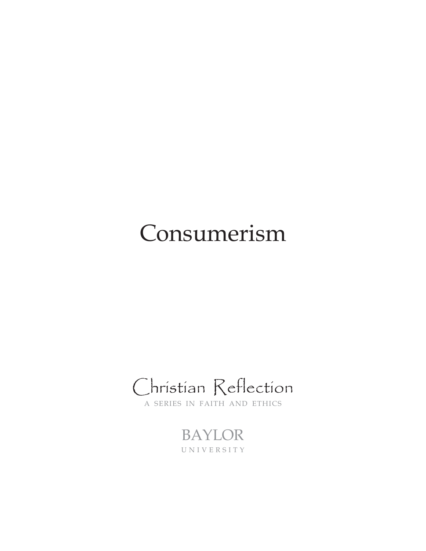# Consumerism

Christian Reflection

A SERIES IN FAITH AND ETHICS

BAYLOR UNIVERSITY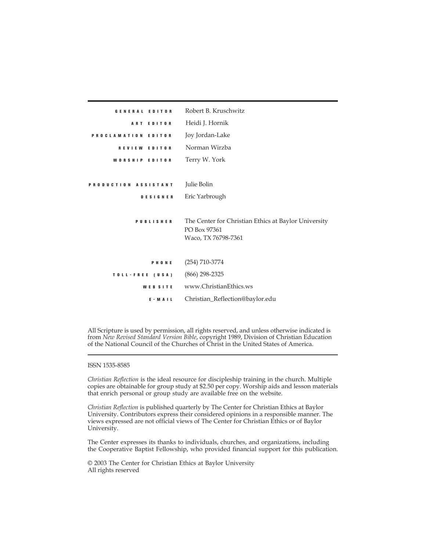| GENERAL EDITOR       | Robert B. Kruschwitz                                 |
|----------------------|------------------------------------------------------|
| <b>ART EDITOR</b>    | Heidi J. Hornik                                      |
| PROCLAMATION EDITOR  | Joy Jordan-Lake                                      |
| REVIEW EDITOR        | Norman Wirzba                                        |
| WORSHIP EDITOR       | Terry W. York                                        |
|                      |                                                      |
| PRODUCTION ASSISTANT | Julie Bolin                                          |
| <b>DESIGNER</b>      | Eric Yarbrough                                       |
|                      |                                                      |
| <b>PUBLISHER</b>     | The Center for Christian Ethics at Baylor University |
|                      | PO Box 97361                                         |
|                      | Waco, TX 76798-7361                                  |
| PHONE                | $(254) 710 - 3774$                                   |
|                      |                                                      |
| TOLL-FREE (USA)      | $(866)$ 298-2325                                     |
| <b>WEBSITE</b>       | www.ChristianEthics.ws                               |
| $E - M A L$          | Christian_Reflection@baylor.edu                      |

All Scripture is used by permission, all rights reserved, and unless otherwise indicated is from *New Revised Standard Version Bible*, copyright 1989, Division of Christian Education of the National Council of the Churches of Christ in the United States of America.

### ISSN 1535-8585

*Christian Reflection* is the ideal resource for discipleship training in the church. Multiple copies are obtainable for group study at \$2.50 per copy. Worship aids and lesson materials that enrich personal or group study are available free on the website.

*Christian Reflection* is published quarterly by The Center for Christian Ethics at Baylor University. Contributors express their considered opinions in a responsible manner. The views expressed are not official views of The Center for Christian Ethics or of Baylor University.

The Center expresses its thanks to individuals, churches, and organizations, including the Cooperative Baptist Fellowship, who provided financial support for this publication.

© 2003 The Center for Christian Ethics at Baylor University All rights reserved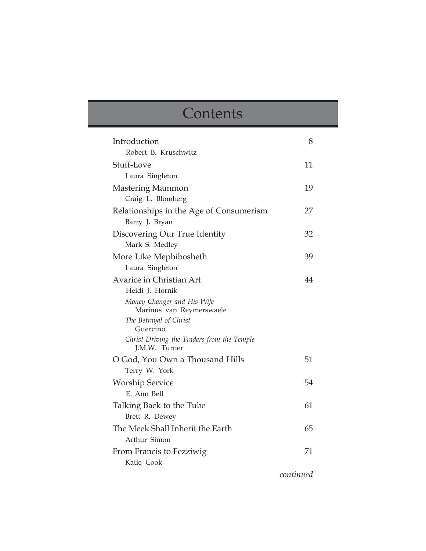# **Contents**

| Introduction                                                | 8  |
|-------------------------------------------------------------|----|
| Robert B. Kruschwitz                                        |    |
| Stuff-Love                                                  | 11 |
| Laura Singleton                                             |    |
| Mastering Mammon                                            | 19 |
| Craig L. Blomberg                                           |    |
| Relationships in the Age of Consumerism                     | 27 |
| Barry J. Bryan                                              |    |
| Discovering Our True Identity                               | 32 |
| Mark S. Medley                                              |    |
| More Like Mephibosheth                                      | 39 |
| Laura Singleton                                             |    |
| Avarice in Christian Art                                    | 44 |
| Heidi J. Hornik                                             |    |
| Money-Changer and His Wife<br>Marinus van Reymerswaele      |    |
| The Betrayal of Christ                                      |    |
| Guercino                                                    |    |
| Christ Driving the Traders from the Temple<br>J.M.W. Turner |    |
| O God, You Own a Thousand Hills                             | 51 |
| Terry W. York                                               |    |
| <b>Worship Service</b>                                      | 54 |
| E. Ann Bell                                                 |    |
| Talking Back to the Tube                                    | 61 |
| Brett R. Dewey                                              |    |
| The Meek Shall Inherit the Earth                            | 65 |
| Arthur Simon                                                |    |
| From Francis to Fezziwig                                    | 71 |
| Katie Cook                                                  |    |
|                                                             |    |

*continued*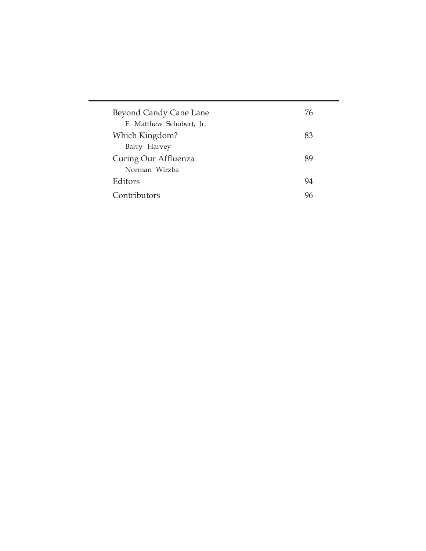| Beyond Candy Cane Lane   | 76 |
|--------------------------|----|
| F. Matthew Schobert, Jr. |    |
| Which Kingdom?           | 83 |
| Barry Harvey             |    |
| Curing Our Affluenza     | 89 |
| Norman Wirzba            |    |
| Editors                  | 94 |
| Contributors             | 96 |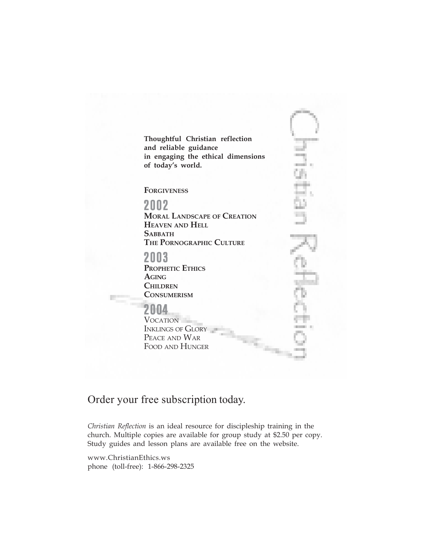**Thoughtful Christian reflection and reliable guidance in engaging the ethical dimensions of today's world.**

**FORGIVENESS**

## 2002

**MORAL LANDSCAPE OF CREATION HEAVEN AND HELL SABBATH THE PORNOGRAPHIC CULTURE**

# 2003

**PROPHETIC ETHICS AGING CHILDREN CONSUMERISM**

# 2004

VOCATION INKLINGS OF GLORY PEACE AND WAR FOOD AND HUNGER

# mi i

# Order your free subscription today.

*Christian Reflection* is an ideal resource for discipleship training in the church. Multiple copies are available for group study at \$2.50 per copy. Study guides and lesson plans are available free on the website.

www.ChristianEthics.ws phone (toll-free): 1-866-298-2325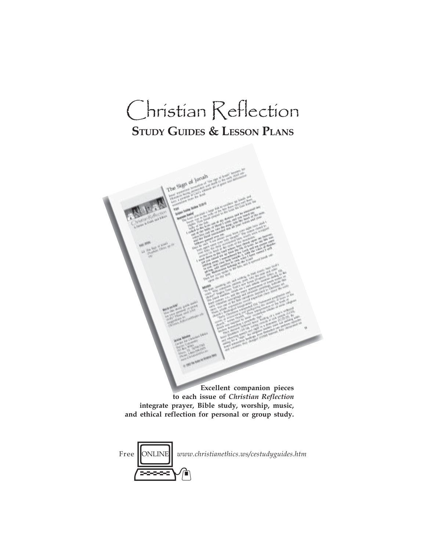# Christian Reflection **STUDY GUIDES & LESSON PLANS**

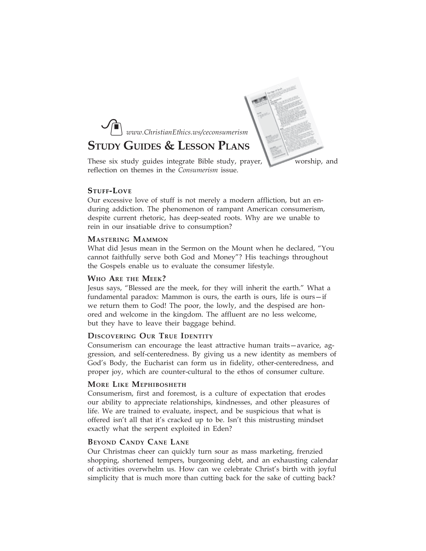

# **STUDY GUIDES & LESSON PLANS**



These six study guides integrate Bible study, prayer, worship, and reflection on themes in the *Consumerism* issue.

### **STUFF-LOVE**

Our excessive love of stuff is not merely a modern affliction, but an enduring addiction. The phenomenon of rampant American consumerism, despite current rhetoric, has deep-seated roots. Why are we unable to rein in our insatiable drive to consumption?

### **MASTERING MAMMON**

What did Jesus mean in the Sermon on the Mount when he declared, "You cannot faithfully serve both God and Money"? His teachings throughout the Gospels enable us to evaluate the consumer lifestyle.

### **WHO ARE THE MEEK?**

Jesus says, "Blessed are the meek, for they will inherit the earth." What a fundamental paradox: Mammon is ours, the earth is ours, life is ours—if we return them to God! The poor, the lowly, and the despised are honored and welcome in the kingdom. The affluent are no less welcome, but they have to leave their baggage behind.

### **DISCOVERING OUR TRUE IDENTITY**

Consumerism can encourage the least attractive human traits—avarice, aggression, and self-centeredness. By giving us a new identity as members of God's Body, the Eucharist can form us in fidelity, other-centeredness, and proper joy, which are counter-cultural to the ethos of consumer culture.

### **MORE LIKE MEPHIBOSHETH**

Consumerism, first and foremost, is a culture of expectation that erodes our ability to appreciate relationships, kindnesses, and other pleasures of life. We are trained to evaluate, inspect, and be suspicious that what is offered isn't all that it's cracked up to be. Isn't this mistrusting mindset exactly what the serpent exploited in Eden?

### **BEYOND CANDY CANE LANE**

Our Christmas cheer can quickly turn sour as mass marketing, frenzied shopping, shortened tempers, burgeoning debt, and an exhausting calendar of activities overwhelm us. How can we celebrate Christ's birth with joyful simplicity that is much more than cutting back for the sake of cutting back?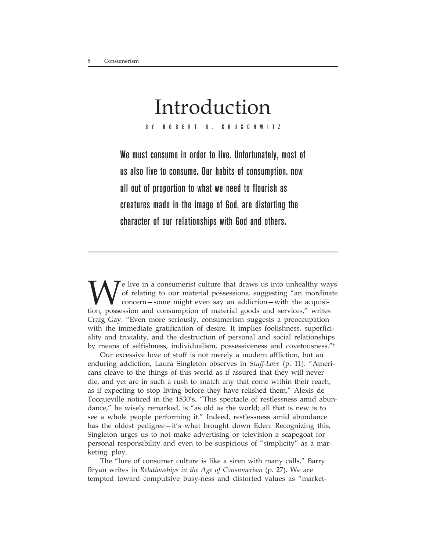# Introduction

BY ROBERT B. KRUSCHWITZ

We must consume in order to live. Unfortunately, most of us also live to consume. Our habits of consumption, now all out of proportion to what we need to flourish as creatures made in the image of God, are distorting the character of our relationships with God and others.

We live in a consumerist culture that draws us into unhealthy ways<br>of relating to our material possessions, suggesting "an inordinate<br>concern—some might even say an addiction—with the acquisi-<br>tion possession and consumpti of relating to our material possessions, suggesting "an inordinate concern—some might even say an addiction—with the acquisition, possession and consumption of material goods and services," writes Craig Gay. "Even more seriously, consumerism suggests a preoccupation with the immediate gratification of desire. It implies foolishness, superficiality and triviality, and the destruction of personal and social relationships by means of selfishness, individualism, possessiveness and covetousness."<sup>†</sup>

Our excessive love of stuff is not merely a modern affliction, but an enduring addiction, Laura Singleton observes in *Stuff-Love* (p. 11). "Americans cleave to the things of this world as if assured that they will never die, and yet are in such a rush to snatch any that come within their reach, as if expecting to stop living before they have relished them," Alexis de Tocqueville noticed in the 1830's. "This spectacle of restlessness amid abundance," he wisely remarked, is "as old as the world; all that is new is to see a whole people performing it." Indeed, restlessness amid abundance has the oldest pedigree—it's what brought down Eden. Recognizing this, Singleton urges us to not make advertising or television a scapegoat for personal responsibility and even to be suspicious of "simplicity" as a marketing ploy.

The "lure of consumer culture is like a siren with many calls," Barry Bryan writes in *Relationships in the Age of Consumerism* (p. 27). We are tempted toward compulsive busy-ness and distorted values as "market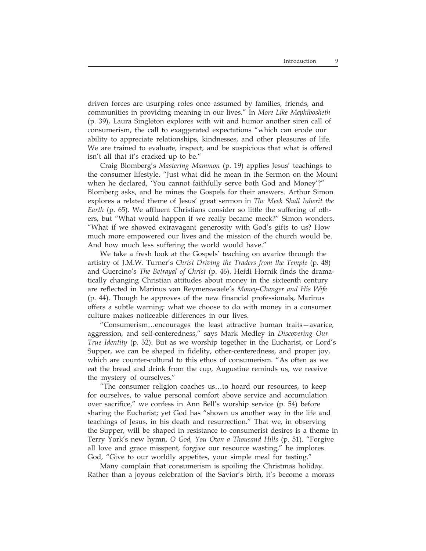driven forces are usurping roles once assumed by families, friends, and communities in providing meaning in our lives." In *More Like Mephibosheth* (p. 39), Laura Singleton explores with wit and humor another siren call of consumerism, the call to exaggerated expectations "which can erode our ability to appreciate relationships, kindnesses, and other pleasures of life. We are trained to evaluate, inspect, and be suspicious that what is offered isn't all that it's cracked up to be."

Craig Blomberg's *Mastering Mammon* (p. 19) applies Jesus' teachings to the consumer lifestyle. "Just what did he mean in the Sermon on the Mount when he declared, 'You cannot faithfully serve both God and Money'?" Blomberg asks, and he mines the Gospels for their answers. Arthur Simon explores a related theme of Jesus' great sermon in *The Meek Shall Inherit the Earth* (p. 65). We affluent Christians consider so little the suffering of others, but "What would happen if we really became meek?" Simon wonders. "What if we showed extravagant generosity with God's gifts to us? How much more empowered our lives and the mission of the church would be. And how much less suffering the world would have."

We take a fresh look at the Gospels' teaching on avarice through the artistry of J.M.W. Turner's *Christ Driving the Traders from the Temple* (p. 48) and Guercino's *The Betrayal of Christ* (p. 46). Heidi Hornik finds the dramatically changing Christian attitudes about money in the sixteenth century are reflected in Marinus van Reymerswaele's *Money-Changer and His Wife* (p. 44). Though he approves of the new financial professionals, Marinus offers a subtle warning: what we choose to do with money in a consumer culture makes noticeable differences in our lives.

"Consumerism…encourages the least attractive human traits—avarice, aggression, and self-centeredness," says Mark Medley in *Discovering Our True Identity* (p. 32). But as we worship together in the Eucharist, or Lord's Supper, we can be shaped in fidelity, other-centeredness, and proper joy, which are counter-cultural to this ethos of consumerism. "As often as we eat the bread and drink from the cup, Augustine reminds us, we receive the mystery of ourselves."

"The consumer religion coaches us…to hoard our resources, to keep for ourselves, to value personal comfort above service and accumulation over sacrifice," we confess in Ann Bell's worship service (p. 54) before sharing the Eucharist; yet God has "shown us another way in the life and teachings of Jesus, in his death and resurrection." That we, in observing the Supper, will be shaped in resistance to consumerist desires is a theme in Terry York's new hymn, *O God, You Own a Thousand Hills* (p. 51). "Forgive all love and grace misspent, forgive our resource wasting," he implores God, "Give to our worldly appetites, your simple meal for tasting."

Many complain that consumerism is spoiling the Christmas holiday. Rather than a joyous celebration of the Savior's birth, it's become a morass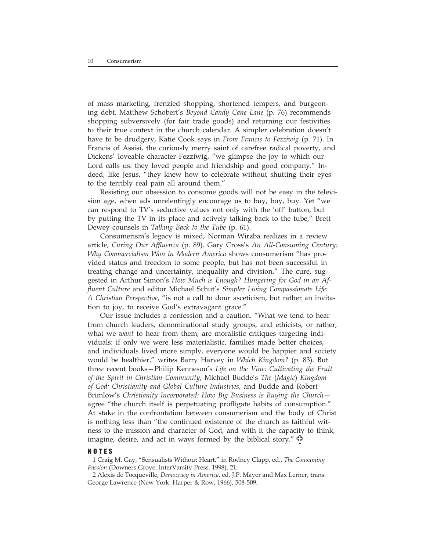of mass marketing, frenzied shopping, shortened tempers, and burgeoning debt. Matthew Schobert's *Beyond Candy Cane Lane* (p. 76) recommends shopping subversively (for fair trade goods) and returning our festivities to their true context in the church calendar. A simpler celebration doesn't have to be drudgery, Katie Cook says in *From Francis to Fezziwig* (p. 71). In Francis of Assisi, the curiously merry saint of carefree radical poverty, and Dickens' loveable character Fezziwig, "we glimpse the joy to which our Lord calls us: they loved people and friendship and good company." Indeed, like Jesus, "they knew how to celebrate without shutting their eyes to the terribly real pain all around them."

Resisting our obsession to consume goods will not be easy in the television age, when ads unrelentingly encourage us to buy, buy, buy. Yet "we can respond to TV's seductive values not only with the 'off' button, but by putting the TV in its place and actively talking back to the tube," Brett Dewey counsels in *Talking Back to the Tube* (p. 61).

Consumerism's legacy is mixed, Norman Wirzba realizes in a review article, *Curing Our Affluenza* (p. 89). Gary Cross's *An All-Consuming Century: Why Commercialism Won in Modern America* shows consumerism "has provided status and freedom to some people, but has not been successful in treating change and uncertainty, inequality and division." The cure, suggested in Arthur Simon's *How Much is Enough? Hungering for God in an Affluent Culture* and editor Michael Schut's *Simpler Living Compassionate Life: A Christian Perspective*, "is not a call to dour asceticism, but rather an invitation to joy, to receive God's extravagant grace."

Our issue includes a confession and a caution. "What we tend to hear from church leaders, denominational study groups, and ethicists, or rather, what we *want* to hear from them, are moralistic critiques targeting individuals: if only we were less materialistic, families made better choices, and individuals lived more simply, everyone would be happier and society would be healthier," writes Barry Harvey in *Which Kingdom?* (p. 83). But three recent books—Philip Kenneson's *Life on the Vine: Cultivating the Fruit of the Spirit in Christian Community*, Michael Budde's *The* (*Magic*) *Kingdom of God: Christianity and Global Culture Industries*, and Budde and Robert Brimlow's *Christianity Incorporated: How Big Business is Buying the Church* agree "the church itself is perpetuating profligate habits of consumption." At stake in the confrontation between consumerism and the body of Christ is nothing less than "the continued existence of the church as faithful witness to the mission and character of God, and with it the capacity to think, imagine, desire, and act in ways formed by the biblical story."

### **NOTES**

1 Craig M. Gay, "Sensualists Without Heart," in Rodney Clapp, ed., *The Consuming Passion* (Downers Grove: InterVarsity Press, 1998), 21.

2 Alexis de Tocqueville, *Democracy in America*, ed. J.P. Mayer and Max Lerner, trans. George Lawrence (New York: Harper & Row, 1966), 508-509.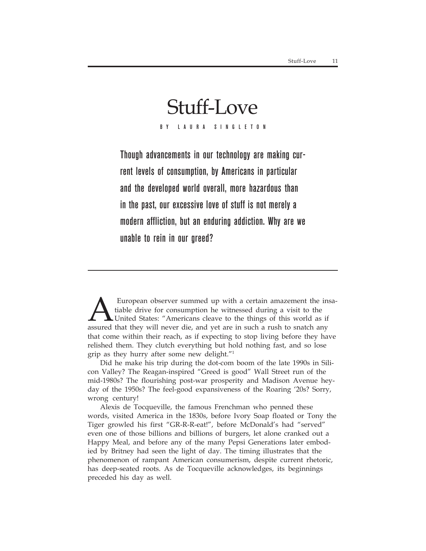# Stuff-Love

BY LAURA SINGLETON

Though advancements in our technology are making current levels of consumption, by Americans in particular and the developed world overall, more hazardous than in the past, our excessive love of stuff is not merely a modern affliction, but an enduring addiction. Why are we unable to rein in our greed?

European observer summed up with a certain amazement the insa-<br>tiable drive for consumption he witnessed during a visit to the<br>United States: "Americans cleave to the things of this world as if<br>assured that they will never tiable drive for consumption he witnessed during a visit to the United States: "Americans cleave to the things of this world as if assured that they will never die, and yet are in such a rush to snatch any that come within their reach, as if expecting to stop living before they have relished them. They clutch everything but hold nothing fast, and so lose grip as they hurry after some new delight."1

Did he make his trip during the dot-com boom of the late 1990s in Silicon Valley? The Reagan-inspired "Greed is good" Wall Street run of the mid-1980s? The flourishing post-war prosperity and Madison Avenue heyday of the 1950s? The feel-good expansiveness of the Roaring '20s? Sorry, wrong century!

Alexis de Tocqueville, the famous Frenchman who penned these words, visited America in the 1830s, before Ivory Soap floated or Tony the Tiger growled his first "GR-R-R-eat!", before McDonald's had "served" even one of those billions and billions of burgers, let alone cranked out a Happy Meal, and before any of the many Pepsi Generations later embodied by Britney had seen the light of day. The timing illustrates that the phenomenon of rampant American consumerism, despite current rhetoric, has deep-seated roots. As de Tocqueville acknowledges, its beginnings preceded his day as well.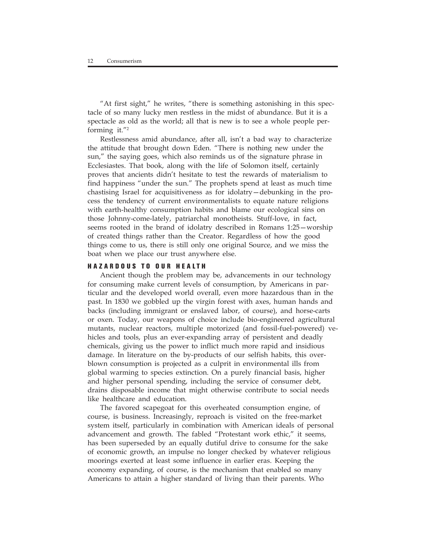"At first sight," he writes, "there is something astonishing in this spectacle of so many lucky men restless in the midst of abundance. But it is a spectacle as old as the world; all that is new is to see a whole people performing it."2

Restlessness amid abundance, after all, isn't a bad way to characterize the attitude that brought down Eden. "There is nothing new under the sun," the saying goes, which also reminds us of the signature phrase in Ecclesiastes. That book, along with the life of Solomon itself, certainly proves that ancients didn't hesitate to test the rewards of materialism to find happiness "under the sun." The prophets spend at least as much time chastising Israel for acquisitiveness as for idolatry—debunking in the process the tendency of current environmentalists to equate nature religions with earth-healthy consumption habits and blame our ecological sins on those Johnny-come-lately, patriarchal monotheists. Stuff-love, in fact, seems rooted in the brand of idolatry described in Romans 1:25—worship of created things rather than the Creator. Regardless of how the good things come to us, there is still only one original Source, and we miss the boat when we place our trust anywhere else.

### **HA ZARDOUS TO OUR HEALTH**

Ancient though the problem may be, advancements in our technology for consuming make current levels of consumption, by Americans in particular and the developed world overall, even more hazardous than in the past. In 1830 we gobbled up the virgin forest with axes, human hands and backs (including immigrant or enslaved labor, of course), and horse-carts or oxen. Today, our weapons of choice include bio-engineered agricultural mutants, nuclear reactors, multiple motorized (and fossil-fuel-powered) vehicles and tools, plus an ever-expanding array of persistent and deadly chemicals, giving us the power to inflict much more rapid and insidious damage. In literature on the by-products of our selfish habits, this overblown consumption is projected as a culprit in environmental ills from global warming to species extinction. On a purely financial basis, higher and higher personal spending, including the service of consumer debt, drains disposable income that might otherwise contribute to social needs like healthcare and education.

The favored scapegoat for this overheated consumption engine, of course, is business. Increasingly, reproach is visited on the free-market system itself, particularly in combination with American ideals of personal advancement and growth. The fabled "Protestant work ethic," it seems, has been superseded by an equally dutiful drive to consume for the sake of economic growth, an impulse no longer checked by whatever religious moorings exerted at least some influence in earlier eras. Keeping the economy expanding, of course, is the mechanism that enabled so many Americans to attain a higher standard of living than their parents. Who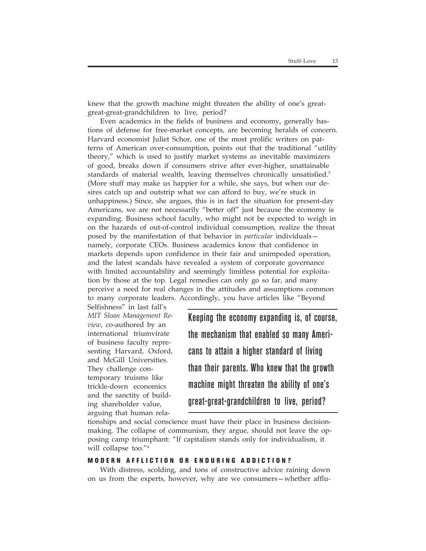knew that the growth machine might threaten the ability of one's greatgreat-great-grandchildren to live, period?

Even academics in the fields of business and economy, generally bastions of defense for free-market concepts, are becoming heralds of concern. Harvard economist Juliet Schor, one of the most prolific writers on patterns of American over-consumption, points out that the traditional "utility theory," which is used to justify market systems as inevitable maximizers of good, breaks down if consumers strive after ever-higher, unattainable standards of material wealth, leaving themselves chronically unsatisfied.<sup>3</sup> (More stuff may make us happier for a while, she says, but when our desires catch up and outstrip what we can afford to buy, we're stuck in unhappiness.) Since, she argues, this is in fact the situation for present-day Americans, we are not necessarily "better off" just because the economy is expanding. Business school faculty, who might not be expected to weigh in on the hazards of out-of-control individual consumption, realize the threat posed by the manifestation of that behavior in *particular* individuals namely, corporate CEOs. Business academics know that confidence in markets depends upon confidence in their fair and unimpeded operation, and the latest scandals have revealed a system of corporate governance with limited accountability and seemingly limitless potential for exploitation by those at the top. Legal remedies can only go so far, and many perceive a need for real changes in the attitudes and assumptions common to many corporate leaders. Accordingly, you have articles like "Beyond

Selfishness" in last fall's *MIT Sloan Management Review*, co-authored by an international triumvirate of business faculty representing Harvard, Oxford, and McGill Universities. They challenge contemporary truisms like trickle-down economics and the sanctity of building shareholder value, arguing that human rela-

Keeping the economy expanding is, of course, the mechanism that enabled so many Americans to attain a higher standard of living than their parents. Who knew that the growth machine might threaten the ability of one's great-great-grandchildren to live, period?

tionships and social conscience must have their place in business decisionmaking. The collapse of communism, they argue, should not leave the opposing camp triumphant: "If capitalism stands only for individualism, it will collapse too."4

### **MODERN AFFLICTION OR ENDURING ADDICTION?**

With distress, scolding, and tons of constructive advice raining down on us from the experts, however, why are we consumers—whether afflu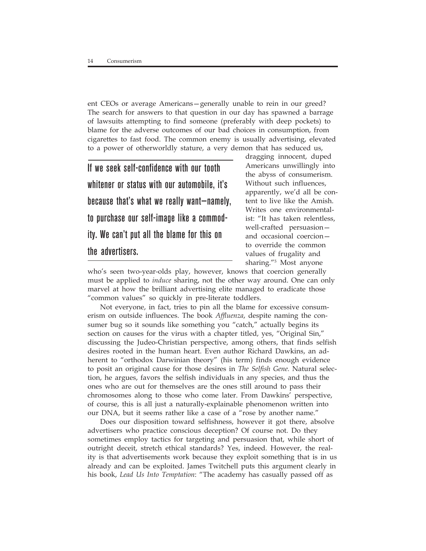ent CEOs or average Americans—generally unable to rein in our greed? The search for answers to that question in our day has spawned a barrage of lawsuits attempting to find someone (preferably with deep pockets) to blame for the adverse outcomes of our bad choices in consumption, from cigarettes to fast food. The common enemy is usually advertising, elevated to a power of otherworldly stature, a very demon that has seduced us,

If we seek self-confidence with our tooth whitener or status with our automobile, it's because that's what we really want—namely, to purchase our self-image like a commodity. We can't put all the blame for this on the advertisers.

dragging innocent, duped Americans unwillingly into the abyss of consumerism. Without such influences, apparently, we'd all be content to live like the Amish. Writes one environmentalist: "It has taken relentless, well-crafted persuasion and occasional coercion to override the common values of frugality and sharing."5 Most anyone

who's seen two-year-olds play, however, knows that coercion generally must be applied to *induce* sharing, not the other way around. One can only marvel at how the brilliant advertising elite managed to eradicate those "common values" so quickly in pre-literate toddlers.

Not everyone, in fact, tries to pin all the blame for excessive consumerism on outside influences. The book *Affluenza*, despite naming the consumer bug so it sounds like something you "catch," actually begins its section on causes for the virus with a chapter titled, yes, "Original Sin," discussing the Judeo-Christian perspective, among others, that finds selfish desires rooted in the human heart. Even author Richard Dawkins, an adherent to "orthodox Darwinian theory" (his term) finds enough evidence to posit an original cause for those desires in *The Selfish Gene.* Natural selection, he argues, favors the selfish individuals in any species, and thus the ones who are out for themselves are the ones still around to pass their chromosomes along to those who come later. From Dawkins' perspective, of course, this is all just a naturally-explainable phenomenon written into our DNA, but it seems rather like a case of a "rose by another name."

Does our disposition toward selfishness, however it got there, absolve advertisers who practice conscious deception? Of course not. Do they sometimes employ tactics for targeting and persuasion that, while short of outright deceit, stretch ethical standards? Yes, indeed. However, the reality is that advertisements work because they exploit something that is in us already and can be exploited. James Twitchell puts this argument clearly in his book, *Lead Us Into Temptation*: "The academy has casually passed off as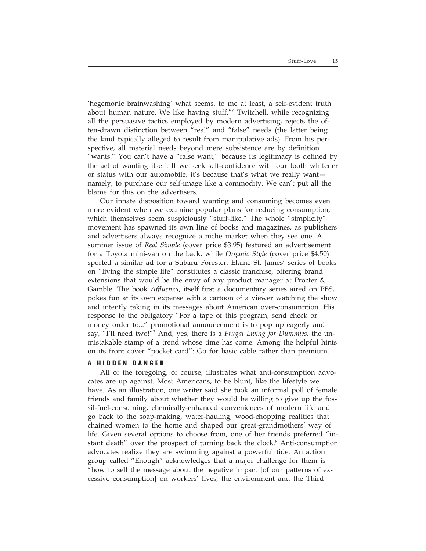'hegemonic brainwashing' what seems, to me at least, a self-evident truth about human nature. We like having stuff."6 Twitchell, while recognizing all the persuasive tactics employed by modern advertising, rejects the often-drawn distinction between "real" and "false" needs (the latter being the kind typically alleged to result from manipulative ads). From his perspective, all material needs beyond mere subsistence are by definition "wants." You can't have a "false want," because its legitimacy is defined by the act of wanting itself. If we seek self-confidence with our tooth whitener or status with our automobile, it's because that's what we really want namely, to purchase our self-image like a commodity. We can't put all the blame for this on the advertisers.

Our innate disposition toward wanting and consuming becomes even more evident when we examine popular plans for reducing consumption, which themselves seem suspiciously "stuff-like." The whole "simplicity" movement has spawned its own line of books and magazines, as publishers and advertisers always recognize a niche market when they see one. A summer issue of *Real Simple* (cover price \$3.95) featured an advertisement for a Toyota mini-van on the back, while *Organic Style* (cover price \$4.50) sported a similar ad for a Subaru Forester. Elaine St. James' series of books on "living the simple life" constitutes a classic franchise, offering brand extensions that would be the envy of any product manager at Procter & Gamble. The book *Affluenza*, itself first a documentary series aired on PBS, pokes fun at its own expense with a cartoon of a viewer watching the show and intently taking in its messages about American over-consumption. His response to the obligatory "For a tape of this program, send check or money order to..." promotional announcement is to pop up eagerly and say, "I'll need two!"7 And, yes, there is a *Frugal Living for Dummies*, the unmistakable stamp of a trend whose time has come. Among the helpful hints on its front cover "pocket card": Go for basic cable rather than premium.

### **A HIDDEN DANGER**

All of the foregoing, of course, illustrates what anti-consumption advocates are up against. Most Americans, to be blunt, like the lifestyle we have. As an illustration, one writer said she took an informal poll of female friends and family about whether they would be willing to give up the fossil-fuel-consuming, chemically-enhanced conveniences of modern life and go back to the soap-making, water-hauling, wood-chopping realities that chained women to the home and shaped our great-grandmothers' way of life. Given several options to choose from, one of her friends preferred "instant death" over the prospect of turning back the clock.<sup>8</sup> Anti-consumption advocates realize they are swimming against a powerful tide. An action group called "Enough" acknowledges that a major challenge for them is "how to sell the message about the negative impact [of our patterns of excessive consumption] on workers' lives, the environment and the Third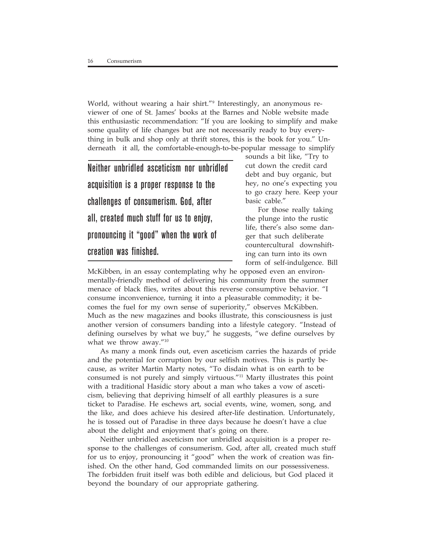World, without wearing a hair shirt."9 Interestingly, an anonymous reviewer of one of St. James' books at the Barnes and Noble website made this enthusiastic recommendation: "If you are looking to simplify and make some quality of life changes but are not necessarily ready to buy everything in bulk and shop only at thrift stores, this is the book for you." Underneath it all, the comfortable-enough-to-be-popular message to simplify

Neither unbridled asceticism nor unbridled acquisition is a proper response to the challenges of consumerism. God, after all, created much stuff for us to enjoy, pronouncing it "good" when the work of creation was finished.

sounds a bit like, "Try to cut down the credit card debt and buy organic, but hey, no one's expecting you to go crazy here. Keep your basic cable."

For those really taking the plunge into the rustic life, there's also some danger that such deliberate countercultural downshifting can turn into its own form of self-indulgence. Bill

McKibben, in an essay contemplating why he opposed even an environmentally-friendly method of delivering his community from the summer menace of black flies, writes about this reverse consumptive behavior. "I consume inconvenience, turning it into a pleasurable commodity; it becomes the fuel for my own sense of superiority," observes McKibben. Much as the new magazines and books illustrate, this consciousness is just another version of consumers banding into a lifestyle category. "Instead of defining ourselves by what we buy," he suggests, "we define ourselves by what we throw away."<sup>10</sup>

As many a monk finds out, even asceticism carries the hazards of pride and the potential for corruption by our selfish motives. This is partly because, as writer Martin Marty notes, "To disdain what is on earth to be consumed is not purely and simply virtuous."11 Marty illustrates this point with a traditional Hasidic story about a man who takes a vow of asceticism, believing that depriving himself of all earthly pleasures is a sure ticket to Paradise. He eschews art, social events, wine, women, song, and the like, and does achieve his desired after-life destination. Unfortunately, he is tossed out of Paradise in three days because he doesn't have a clue about the delight and enjoyment that's going on there.

Neither unbridled asceticism nor unbridled acquisition is a proper response to the challenges of consumerism. God, after all, created much stuff for us to enjoy, pronouncing it "good" when the work of creation was finished. On the other hand, God commanded limits on our possessiveness. The forbidden fruit itself was both edible and delicious, but God placed it beyond the boundary of our appropriate gathering.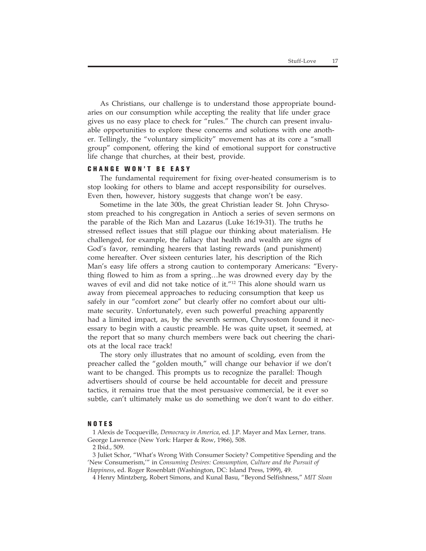As Christians, our challenge is to understand those appropriate boundaries on our consumption while accepting the reality that life under grace gives us no easy place to check for "rules." The church can present invaluable opportunities to explore these concerns and solutions with one another. Tellingly, the "voluntary simplicity" movement has at its core a "small group" component, offering the kind of emotional support for constructive life change that churches, at their best, provide.

### **CHANGE WON'T BE EASY**

The fundamental requirement for fixing over-heated consumerism is to stop looking for others to blame and accept responsibility for ourselves. Even then, however, history suggests that change won't be easy.

Sometime in the late 300s, the great Christian leader St. John Chrysostom preached to his congregation in Antioch a series of seven sermons on the parable of the Rich Man and Lazarus (Luke 16:19-31). The truths he stressed reflect issues that still plague our thinking about materialism. He challenged, for example, the fallacy that health and wealth are signs of God's favor, reminding hearers that lasting rewards (and punishment) come hereafter. Over sixteen centuries later, his description of the Rich Man's easy life offers a strong caution to contemporary Americans: "Everything flowed to him as from a spring…he was drowned every day by the waves of evil and did not take notice of it."12 This alone should warn us away from piecemeal approaches to reducing consumption that keep us safely in our "comfort zone" but clearly offer no comfort about our ultimate security. Unfortunately, even such powerful preaching apparently had a limited impact, as, by the seventh sermon, Chrysostom found it necessary to begin with a caustic preamble. He was quite upset, it seemed, at the report that so many church members were back out cheering the chariots at the local race track!

The story only illustrates that no amount of scolding, even from the preacher called the "golden mouth," will change our behavior if we don't want to be changed. This prompts us to recognize the parallel: Though advertisers should of course be held accountable for deceit and pressure tactics, it remains true that the most persuasive commercial, be it ever so subtle, can't ultimately make us do something we don't want to do either.

### **NOTES**

1 Alexis de Tocqueville, *Democracy in America*, ed. J.P. Mayer and Max Lerner, trans. George Lawrence (New York: Harper & Row, 1966), 508.

2 Ibid., 509.

3 Juliet Schor, "What's Wrong With Consumer Society? Competitive Spending and the 'New Consumerism,'" in *Consuming Desires: Consumption, Culture and the Pursuit of Happiness*, ed. Roger Rosenblatt (Washington, DC: Island Press, 1999), 49.

4 Henry Mintzberg, Robert Simons, and Kunal Basu, "Beyond Selfishness," *MIT Sloan*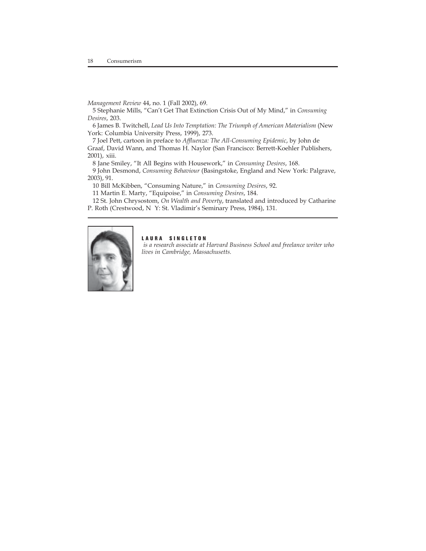*Management Review* 44, no. 1 (Fall 2002), 69.

5 Stephanie Mills, "Can't Get That Extinction Crisis Out of My Mind," in *Consuming Desires*, 203.

6 James B. Twitchell, *Lead Us Into Temptation: The Triumph of American Materialism* (New York: Columbia University Press, 1999), 273.

7 Joel Pett, cartoon in preface to *Affluenza: The All-Consuming Epidemic*, by John de Graaf, David Wann, and Thomas H. Naylor (San Francisco: Berrett-Koehler Publishers, 2001), xiii.

8 Jane Smiley, "It All Begins with Housework," in *Consuming Desires*, 168.

9 John Desmond, *Consuming Behaviour* (Basingstoke, England and New York: Palgrave, 2003), 91.

10 Bill McKibben, "Consuming Nature," in *Consuming Desires*, 92.

11 Martin E. Marty, "Equipoise," in *Consuming Desires*, 184.

12 St. John Chrysostom, *On Wealth and Poverty*, translated and introduced by Catharine P. Roth (Crestwood, N Y: St. Vladimir's Seminary Press, 1984), 131.



### **LAURA SINGLETON**

 *is a research associate at Harvard Business School and freelance writer who lives in Cambridge, Massachusetts.*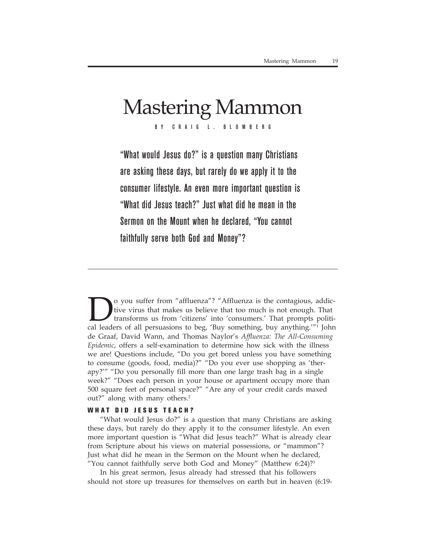# Mastering Mammon

BY CRAIG L. BLOMBERG

"What would Jesus do?" is a question many Christians are asking these days, but rarely do we apply it to the consumer lifestyle. An even more important question is "What did Jesus teach?" Just what did he mean in the Sermon on the Mount when he declared, "You cannot faithfully serve both God and Money"?

o you suffer from "affluenza"? "Affluenza is the contagious, addictive virus that makes us believe that too much is not enough. That transforms us from 'citizens' into 'consumers.' That prompts political leaders of all persuasions to beg, 'Buy something, buy anything.'"1 John de Graaf, David Wann, and Thomas Naylor's *Affluenza: The All-Consuming Epidemic*, offers a self-examination to determine how sick with the illness we are! Questions include, "Do you get bored unless you have something to consume (goods, food, media)?" "Do you ever use shopping as 'therapy?'" "Do you personally fill more than one large trash bag in a single week?" "Does each person in your house or apartment occupy more than 500 square feet of personal space?" "Are any of your credit cards maxed out?" along with many others.<sup>2</sup>

### **WHAT DID JESUS TEACH?**

"What would Jesus do?" is a question that many Christians are asking these days, but rarely do they apply it to the consumer lifestyle. An even more important question is "What did Jesus teach?" What is already clear from Scripture about his views on material possessions, or "mammon"? Just what did he mean in the Sermon on the Mount when he declared, "You cannot faithfully serve both God and Money" (Matthew  $6:24$ )? $3$ 

In his great sermon, Jesus already had stressed that his followers should not store up treasures for themselves on earth but in heaven (6:19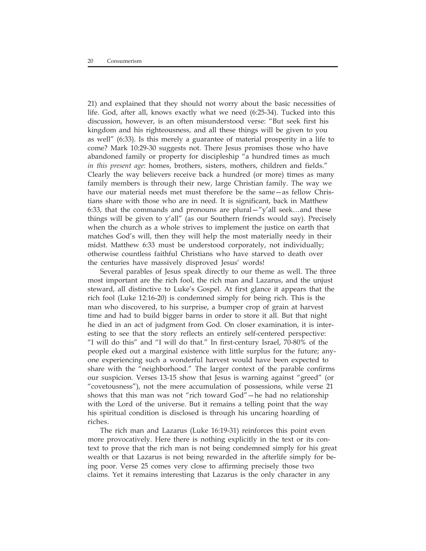21) and explained that they should not worry about the basic necessities of life. God, after all, knows exactly what we need (6:25-34). Tucked into this discussion, however, is an often misunderstood verse: "But seek first his kingdom and his righteousness, and all these things will be given to you as well" (6:33). Is this merely a guarantee of material prosperity in a life to come? Mark 10:29-30 suggests not. There Jesus promises those who have abandoned family or property for discipleship "a hundred times as much *in this present age*: homes, brothers, sisters, mothers, children and fields." Clearly the way believers receive back a hundred (or more) times as many family members is through their new, large Christian family. The way we have our material needs met must therefore be the same—as fellow Christians share with those who are in need. It is significant, back in Matthew 6:33, that the commands and pronouns are plural—"y'all seek…and these things will be given to y'all" (as our Southern friends would say). Precisely when the church as a whole strives to implement the justice on earth that matches God's will, then they will help the most materially needy in their midst. Matthew 6:33 must be understood corporately, not individually; otherwise countless faithful Christians who have starved to death over the centuries have massively disproved Jesus' words!

Several parables of Jesus speak directly to our theme as well. The three most important are the rich fool, the rich man and Lazarus, and the unjust steward, all distinctive to Luke's Gospel. At first glance it appears that the rich fool (Luke 12:16-20) is condemned simply for being rich. This is the man who discovered, to his surprise, a bumper crop of grain at harvest time and had to build bigger barns in order to store it all. But that night he died in an act of judgment from God. On closer examination, it is interesting to see that the story reflects an entirely self-centered perspective: "I will do this" and "I will do that." In first-century Israel, 70-80% of the people eked out a marginal existence with little surplus for the future; anyone experiencing such a wonderful harvest would have been expected to share with the "neighborhood." The larger context of the parable confirms our suspicion. Verses 13-15 show that Jesus is warning against "greed" (or "covetousness"), not the mere accumulation of possessions, while verse 21 shows that this man was not "rich toward God"—he had no relationship with the Lord of the universe. But it remains a telling point that the way his spiritual condition is disclosed is through his uncaring hoarding of riches.

The rich man and Lazarus (Luke 16:19-31) reinforces this point even more provocatively. Here there is nothing explicitly in the text or its context to prove that the rich man is not being condemned simply for his great wealth or that Lazarus is not being rewarded in the afterlife simply for being poor. Verse 25 comes very close to affirming precisely those two claims. Yet it remains interesting that Lazarus is the only character in any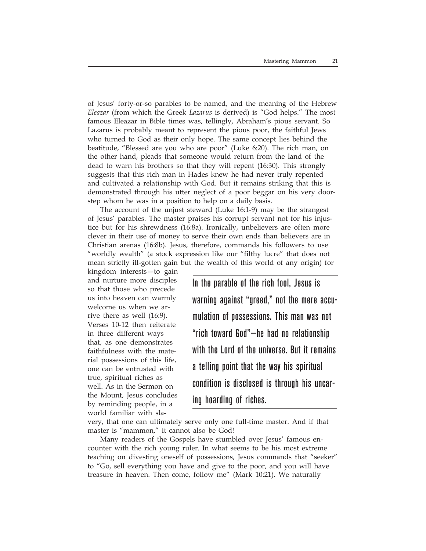of Jesus' forty-or-so parables to be named, and the meaning of the Hebrew *Eleazar* (from which the Greek *Lazarus* is derived) is "God helps." The most famous Eleazar in Bible times was, tellingly, Abraham's pious servant. So Lazarus is probably meant to represent the pious poor, the faithful Jews who turned to God as their only hope. The same concept lies behind the beatitude, "Blessed are you who are poor" (Luke 6:20). The rich man, on the other hand, pleads that someone would return from the land of the dead to warn his brothers so that they will repent (16:30). This strongly suggests that this rich man in Hades knew he had never truly repented and cultivated a relationship with God. But it remains striking that this is demonstrated through his utter neglect of a poor beggar on his very doorstep whom he was in a position to help on a daily basis.

The account of the unjust steward (Luke 16:1-9) may be the strangest of Jesus' parables. The master praises his corrupt servant not for his injustice but for his shrewdness (16:8a). Ironically, unbelievers are often more clever in their use of money to serve their own ends than believers are in Christian arenas (16:8b). Jesus, therefore, commands his followers to use "worldly wealth" (a stock expression like our "filthy lucre" that does not mean strictly ill-gotten gain but the wealth of this world of any origin) for

kingdom interests—to gain and nurture more disciples so that those who precede us into heaven can warmly welcome us when we arrive there as well (16:9). Verses 10-12 then reiterate in three different ways that, as one demonstrates faithfulness with the material possessions of this life, one can be entrusted with true, spiritual riches as well. As in the Sermon on the Mount, Jesus concludes by reminding people, in a world familiar with sla-

In the parable of the rich fool, Jesus is warning against "greed," not the mere accumulation of possessions. This man was not "rich toward God"—he had no relationship with the Lord of the universe. But it remains a telling point that the way his spiritual condition is disclosed is through his uncaring hoarding of riches.

very, that one can ultimately serve only one full-time master. And if that master is "mammon," it cannot also be God!

Many readers of the Gospels have stumbled over Jesus' famous encounter with the rich young ruler. In what seems to be his most extreme teaching on divesting oneself of possessions, Jesus commands that "seeker" to "Go, sell everything you have and give to the poor, and you will have treasure in heaven. Then come, follow me" (Mark 10:21). We naturally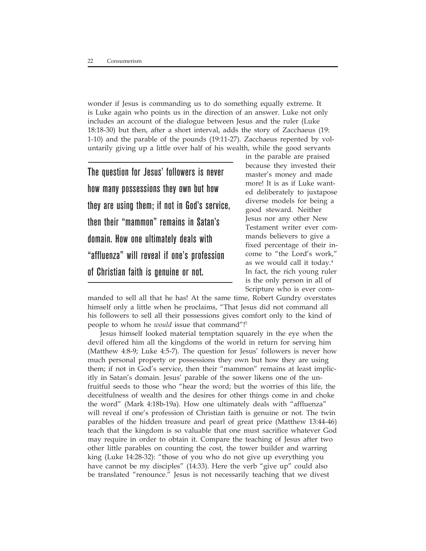wonder if Jesus is commanding us to do something equally extreme. It is Luke again who points us in the direction of an answer. Luke not only includes an account of the dialogue between Jesus and the ruler (Luke 18:18-30) but then, after a short interval, adds the story of Zacchaeus (19: 1-10) and the parable of the pounds (19:11-27). Zacchaeus repented by voluntarily giving up a little over half of his wealth, while the good servants

The question for Jesus' followers is never how many possessions they own but how they are using them; if not in God's service, then their "mammon" remains in Satan's domain. How one ultimately deals with "affluenza" will reveal if one's profession of Christian faith is genuine or not.

in the parable are praised because they invested their master's money and made more! It is as if Luke wanted deliberately to juxtapose diverse models for being a good steward. Neither Jesus nor any other New Testament writer ever commands believers to give a fixed percentage of their income to "the Lord's work," as we would call it today.4 In fact, the rich young ruler is the only person in all of Scripture who is ever com-

manded to sell all that he has! At the same time, Robert Gundry overstates himself only a little when he proclaims, "That Jesus did not command all his followers to sell all their possessions gives comfort only to the kind of people to whom he *would* issue that command"!5

Jesus himself looked material temptation squarely in the eye when the devil offered him all the kingdoms of the world in return for serving him (Matthew 4:8-9; Luke 4:5-7). The question for Jesus' followers is never how much personal property or possessions they own but how they are using them; if not in God's service, then their "mammon" remains at least implicitly in Satan's domain. Jesus' parable of the sower likens one of the unfruitful seeds to those who "hear the word; but the worries of this life, the deceitfulness of wealth and the desires for other things come in and choke the word" (Mark 4:18b-19a). How one ultimately deals with "affluenza" will reveal if one's profession of Christian faith is genuine or not. The twin parables of the hidden treasure and pearl of great price (Matthew 13:44-46) teach that the kingdom is so valuable that one must sacrifice whatever God may require in order to obtain it. Compare the teaching of Jesus after two other little parables on counting the cost, the tower builder and warring king (Luke 14:28-32): "those of you who do not give up everything you have cannot be my disciples" (14:33). Here the verb "give up" could also be translated "renounce." Jesus is not necessarily teaching that we divest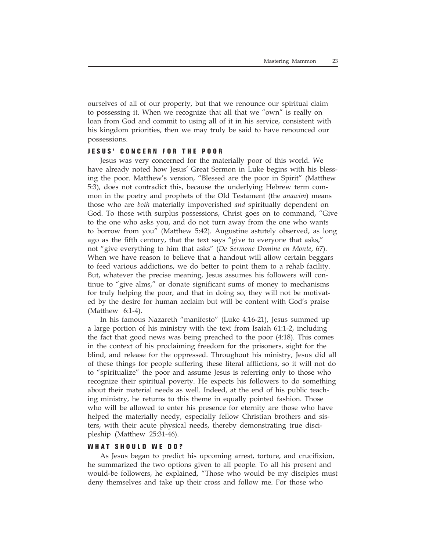ourselves of all of our property, but that we renounce our spiritual claim to possessing it. When we recognize that all that we "own" is really on loan from God and commit to using all of it in his service, consistent with his kingdom priorities, then we may truly be said to have renounced our possessions.

### **JESUS' CONCERN FOR THE POOR**

Jesus was very concerned for the materially poor of this world. We have already noted how Jesus' Great Sermon in Luke begins with his blessing the poor. Matthew's version, "Blessed are the poor in Spirit" (Matthew 5:3), does not contradict this, because the underlying Hebrew term common in the poetry and prophets of the Old Testament (the *anawim*) means those who are *both* materially impoverished *and* spiritually dependent on God. To those with surplus possessions, Christ goes on to command, "Give to the one who asks you, and do not turn away from the one who wants to borrow from you" (Matthew 5:42). Augustine astutely observed, as long ago as the fifth century, that the text says "give to everyone that asks," not "give everything to him that asks" (*De Sermone Domine en Monte*, 67). When we have reason to believe that a handout will allow certain beggars to feed various addictions, we do better to point them to a rehab facility. But, whatever the precise meaning, Jesus assumes his followers will continue to "give alms," or donate significant sums of money to mechanisms for truly helping the poor, and that in doing so, they will not be motivated by the desire for human acclaim but will be content with God's praise (Matthew 6:1-4).

In his famous Nazareth "manifesto" (Luke 4:16-21), Jesus summed up a large portion of his ministry with the text from Isaiah 61:1-2, including the fact that good news was being preached to the poor (4:18). This comes in the context of his proclaiming freedom for the prisoners, sight for the blind, and release for the oppressed. Throughout his ministry, Jesus did all of these things for people suffering these literal afflictions, so it will not do to "spiritualize" the poor and assume Jesus is referring only to those who recognize their spiritual poverty. He expects his followers to do something about their material needs as well. Indeed, at the end of his public teaching ministry, he returns to this theme in equally pointed fashion. Those who will be allowed to enter his presence for eternity are those who have helped the materially needy, especially fellow Christian brothers and sisters, with their acute physical needs, thereby demonstrating true discipleship (Matthew 25:31-46).

### **WHAT SHOULD WE DO?**

As Jesus began to predict his upcoming arrest, torture, and crucifixion, he summarized the two options given to all people. To all his present and would-be followers, he explained, "Those who would be my disciples must deny themselves and take up their cross and follow me. For those who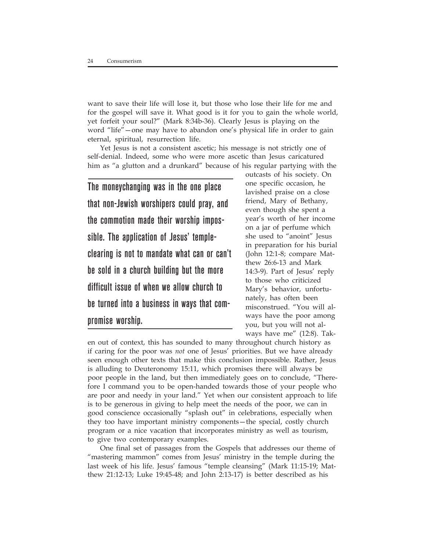want to save their life will lose it, but those who lose their life for me and for the gospel will save it. What good is it for you to gain the whole world, yet forfeit your soul?" (Mark 8:34b-36). Clearly Jesus is playing on the word "life"—one may have to abandon one's physical life in order to gain eternal, spiritual, resurrection life.

Yet Jesus is not a consistent ascetic; his message is not strictly one of self-denial. Indeed, some who were more ascetic than Jesus caricatured him as "a glutton and a drunkard" because of his regular partying with the

The moneychanging was in the one place that non-Jewish worshipers could pray, and the commotion made their worship impossible. The application of Jesus' templeclearing is not to mandate what can or can't be sold in a church building but the more difficult issue of when we allow church to be turned into a business in ways that compromise worship.

outcasts of his society. On one specific occasion, he lavished praise on a close friend, Mary of Bethany, even though she spent a year's worth of her income on a jar of perfume which she used to "anoint" Jesus in preparation for his burial (John 12:1-8; compare Matthew 26:6-13 and Mark 14:3-9). Part of Jesus' reply to those who criticized Mary's behavior, unfortunately, has often been misconstrued. "You will always have the poor among you, but you will not always have me" (12:8). Tak-

en out of context, this has sounded to many throughout church history as if caring for the poor was *not* one of Jesus' priorities. But we have already seen enough other texts that make this conclusion impossible. Rather, Jesus is alluding to Deuteronomy 15:11, which promises there will always be poor people in the land, but then immediately goes on to conclude, "Therefore I command you to be open-handed towards those of your people who are poor and needy in your land." Yet when our consistent approach to life is to be generous in giving to help meet the needs of the poor, we can in good conscience occasionally "splash out" in celebrations, especially when they too have important ministry components—the special, costly church program or a nice vacation that incorporates ministry as well as tourism, to give two contemporary examples.

One final set of passages from the Gospels that addresses our theme of "mastering mammon" comes from Jesus' ministry in the temple during the last week of his life. Jesus' famous "temple cleansing" (Mark 11:15-19; Matthew 21:12-13; Luke 19:45-48; and John 2:13-17) is better described as his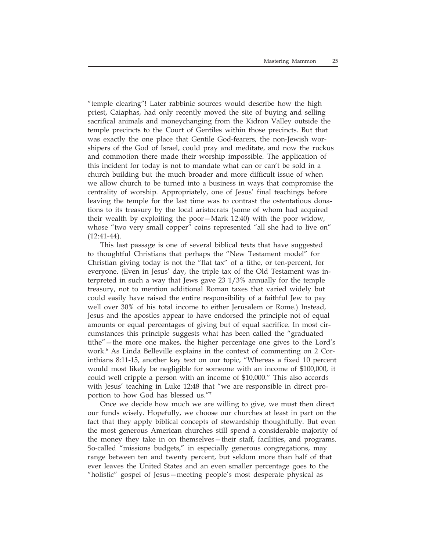"temple clearing"! Later rabbinic sources would describe how the high priest, Caiaphas, had only recently moved the site of buying and selling sacrifical animals and moneychanging from the Kidron Valley outside the temple precincts to the Court of Gentiles within those precincts. But that was exactly the one place that Gentile God-fearers, the non-Jewish worshipers of the God of Israel, could pray and meditate, and now the ruckus and commotion there made their worship impossible. The application of this incident for today is not to mandate what can or can't be sold in a church building but the much broader and more difficult issue of when we allow church to be turned into a business in ways that compromise the centrality of worship. Appropriately, one of Jesus' final teachings before leaving the temple for the last time was to contrast the ostentatious donations to its treasury by the local aristocrats (some of whom had acquired their wealth by exploiting the poor—Mark 12:40) with the poor widow, whose "two very small copper" coins represented "all she had to live on"  $(12:41-44)$ .

This last passage is one of several biblical texts that have suggested to thoughtful Christians that perhaps the "New Testament model" for Christian giving today is not the "flat tax" of a tithe, or ten-percent, for everyone. (Even in Jesus' day, the triple tax of the Old Testament was interpreted in such a way that Jews gave 23 1/3% annually for the temple treasury, not to mention additional Roman taxes that varied widely but could easily have raised the entire responsibility of a faithful Jew to pay well over 30% of his total income to either Jerusalem or Rome.) Instead, Jesus and the apostles appear to have endorsed the principle not of equal amounts or equal percentages of giving but of equal sacrifice. In most circumstances this principle suggests what has been called the "graduated tithe"—the more one makes, the higher percentage one gives to the Lord's work.6 As Linda Belleville explains in the context of commenting on 2 Corinthians 8:11-15, another key text on our topic, "Whereas a fixed 10 percent would most likely be negligible for someone with an income of \$100,000, it could well cripple a person with an income of \$10,000." This also accords with Jesus' teaching in Luke 12:48 that "we are responsible in direct proportion to how God has blessed us."7

Once we decide how much we are willing to give, we must then direct our funds wisely. Hopefully, we choose our churches at least in part on the fact that they apply biblical concepts of stewardship thoughtfully. But even the most generous American churches still spend a considerable majority of the money they take in on themselves—their staff, facilities, and programs. So-called "missions budgets," in especially generous congregations, may range between ten and twenty percent, but seldom more than half of that ever leaves the United States and an even smaller percentage goes to the "holistic" gospel of Jesus—meeting people's most desperate physical as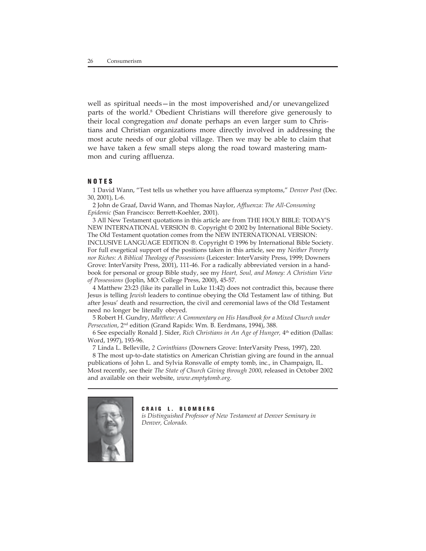well as spiritual needs—in the most impoverished and/or unevangelized parts of the world.<sup>8</sup> Obedient Christians will therefore give generously to their local congregation *and* donate perhaps an even larger sum to Christians and Christian organizations more directly involved in addressing the most acute needs of our global village. Then we may be able to claim that we have taken a few small steps along the road toward mastering mammon and curing affluenza.

### **NOTES**

1 David Wann, "Test tells us whether you have affluenza symptoms," *Denver Post* (Dec. 30, 2001), L-6.

2 John de Graaf, David Wann, and Thomas Naylor, *Affluenza: The All-Consuming Epidemic* (San Francisco: Berrett-Koehler, 2001).

3 All New Testament quotations in this article are from THE HOLY BIBLE: TODAY'S NEW INTERNATIONAL VERSION ®. Copyright © 2002 by International Bible Society. The Old Testament quotation comes from the NEW INTERNATIONAL VERSION: INCLUSIVE LANGUAGE EDITION ®. Copyright © 1996 by International Bible Society. For full exegetical support of the positions taken in this article, see my *Neither Poverty nor Riches: A Biblical Theology of Possessions* (Leicester: InterVarsity Press, 1999; Downers Grove: InterVarsity Press, 2001), 111-46. For a radically abbreviated version in a handbook for personal or group Bible study, see my *Heart, Soul, and Money: A Christian View of Possessions* (Joplin, MO: College Press, 2000), 45-57.

4 Matthew 23:23 (like its parallel in Luke 11:42) does not contradict this, because there Jesus is telling *Jewish* leaders to continue obeying the Old Testament law of tithing. But after Jesus' death and resurrection, the civil and ceremonial laws of the Old Testament need no longer be literally obeyed.

5 Robert H. Gundry, *Matthew: A Commentary on His Handbook for a Mixed Church under Persecution*, 2nd edition (Grand Rapids: Wm. B. Eerdmans, 1994), 388.

6 See especially Ronald J. Sider, *Rich Christians in An Age of Hunger,* 4th edition (Dallas: Word, 1997), 193-96.

7 Linda L. Belleville, *2 Corinthians* (Downers Grove: InterVarsity Press, 1997), 220.

8 The most up-to-date statistics on American Christian giving are found in the annual publications of John L. and Sylvia Ronsvalle of empty tomb, inc., in Champaign, IL. Most recently, see their *The State of Church Giving through 2000*, released in October 2002 and available on their website, *www.emptytomb.org*.



**CRAIG L. BLOMBERG** *is Distinguished Professor of New Testament at Denver Seminary in Denver, Colorado.*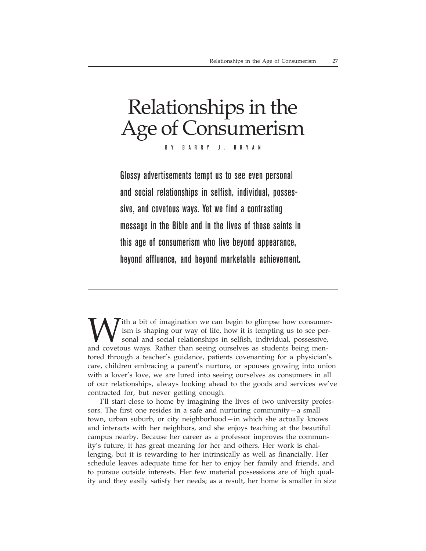# Relationships in the Age of Consumerism BY BARRY J. BRYAN

Glossy advertisements tempt us to see even personal and social relationships in selfish, individual, possessive, and covetous ways. Yet we find a contrasting message in the Bible and in the lives of those saints in this age of consumerism who live beyond appearance, beyond affluence, and beyond marketable achievement.

ith a bit of imagination we can begin to glimpse how consumerism is shaping our way of life, how it is tempting us to see personal and social relationships in selfish, individual, possessive, and covetous ways. Rather than seeing ourselves as students being mentored through a teacher's guidance, patients covenanting for a physician's care, children embracing a parent's nurture, or spouses growing into union with a lover's love, we are lured into seeing ourselves as consumers in all of our relationships, always looking ahead to the goods and services we've contracted for, but never getting enough.

I'll start close to home by imagining the lives of two university professors. The first one resides in a safe and nurturing community—a small town, urban suburb, or city neighborhood—in which she actually knows and interacts with her neighbors, and she enjoys teaching at the beautiful campus nearby. Because her career as a professor improves the community's future, it has great meaning for her and others. Her work is challenging, but it is rewarding to her intrinsically as well as financially. Her schedule leaves adequate time for her to enjoy her family and friends, and to pursue outside interests. Her few material possessions are of high quality and they easily satisfy her needs; as a result, her home is smaller in size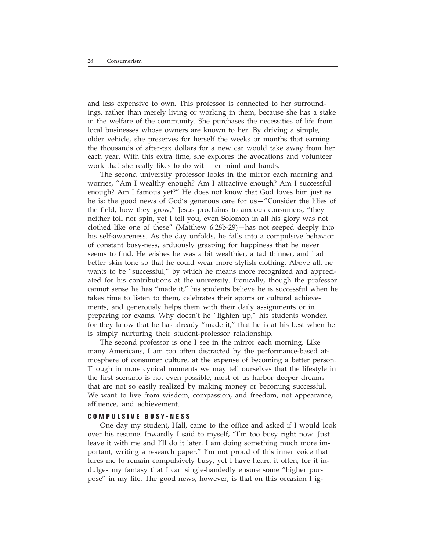and less expensive to own. This professor is connected to her surroundings, rather than merely living or working in them, because she has a stake in the welfare of the community. She purchases the necessities of life from local businesses whose owners are known to her. By driving a simple, older vehicle, she preserves for herself the weeks or months that earning the thousands of after-tax dollars for a new car would take away from her each year. With this extra time, she explores the avocations and volunteer work that she really likes to do with her mind and hands.

The second university professor looks in the mirror each morning and worries, "Am I wealthy enough? Am I attractive enough? Am I successful enough? Am I famous yet?" He does not know that God loves him just as he is; the good news of God's generous care for us—"Consider the lilies of the field, how they grow," Jesus proclaims to anxious consumers, "they neither toil nor spin, yet I tell you, even Solomon in all his glory was not clothed like one of these" (Matthew 6:28b-29)—has not seeped deeply into his self-awareness. As the day unfolds, he falls into a compulsive behavior of constant busy-ness, arduously grasping for happiness that he never seems to find. He wishes he was a bit wealthier, a tad thinner, and had better skin tone so that he could wear more stylish clothing. Above all, he wants to be "successful," by which he means more recognized and appreciated for his contributions at the university. Ironically, though the professor cannot sense he has "made it," his students believe he is successful when he takes time to listen to them, celebrates their sports or cultural achievements, and generously helps them with their daily assignments or in preparing for exams. Why doesn't he "lighten up," his students wonder, for they know that he has already "made it," that he is at his best when he is simply nurturing their student-professor relationship.

The second professor is one I see in the mirror each morning. Like many Americans, I am too often distracted by the performance-based atmosphere of consumer culture, at the expense of becoming a better person. Though in more cynical moments we may tell ourselves that the lifestyle in the first scenario is not even possible, most of us harbor deeper dreams that are not so easily realized by making money or becoming successful. We want to live from wisdom, compassion, and freedom, not appearance, affluence, and achievement.

### **COMPULSIVE BUSY-NESS**

One day my student, Hall, came to the office and asked if I would look over his resumé. Inwardly I said to myself, "I'm too busy right now. Just leave it with me and I'll do it later. I am doing something much more important, writing a research paper." I'm not proud of this inner voice that lures me to remain compulsively busy, yet I have heard it often, for it indulges my fantasy that I can single-handedly ensure some "higher purpose" in my life. The good news, however, is that on this occasion I ig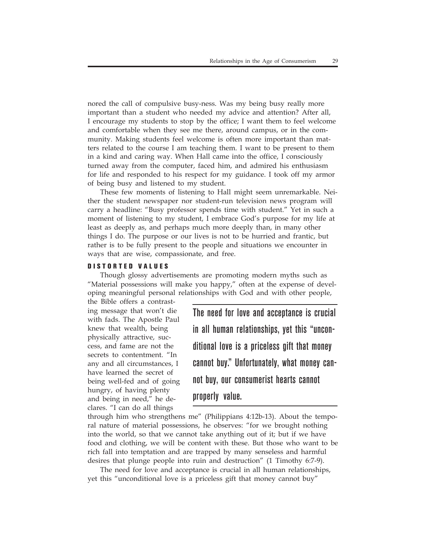nored the call of compulsive busy-ness. Was my being busy really more important than a student who needed my advice and attention? After all, I encourage my students to stop by the office; I want them to feel welcome and comfortable when they see me there, around campus, or in the community. Making students feel welcome is often more important than matters related to the course I am teaching them. I want to be present to them in a kind and caring way. When Hall came into the office, I consciously turned away from the computer, faced him, and admired his enthusiasm for life and responded to his respect for my guidance. I took off my armor of being busy and listened to my student.

These few moments of listening to Hall might seem unremarkable. Neither the student newspaper nor student-run television news program will carry a headline: "Busy professor spends time with student." Yet in such a moment of listening to my student, I embrace God's purpose for my life at least as deeply as, and perhaps much more deeply than, in many other things I do. The purpose or our lives is not to be hurried and frantic, but rather is to be fully present to the people and situations we encounter in ways that are wise, compassionate, and free.

### **DISTORTED VALUES**

Though glossy advertisements are promoting modern myths such as "Material possessions will make you happy," often at the expense of developing meaningful personal relationships with God and with other people,

the Bible offers a contrasting message that won't die with fads. The Apostle Paul knew that wealth, being physically attractive, success, and fame are not the secrets to contentment. "In any and all circumstances, I have learned the secret of being well-fed and of going hungry, of having plenty and being in need," he declares. "I can do all things

The need for love and acceptance is crucial in all human relationships, yet this "unconditional love is a priceless gift that money cannot buy." Unfortunately, what money cannot buy, our consumerist hearts cannot properly value.

through him who strengthens me" (Philippians 4:12b-13). About the temporal nature of material possessions, he observes: "for we brought nothing into the world, so that we cannot take anything out of it; but if we have food and clothing, we will be content with these. But those who want to be rich fall into temptation and are trapped by many senseless and harmful desires that plunge people into ruin and destruction" (1 Timothy 6:7-9).

The need for love and acceptance is crucial in all human relationships, yet this "unconditional love is a priceless gift that money cannot buy"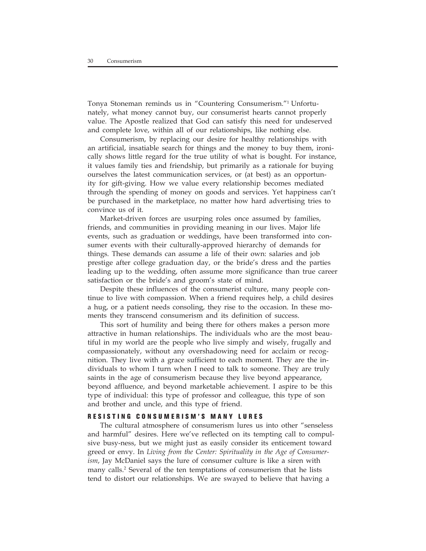Tonya Stoneman reminds us in "Countering Consumerism."1 Unfortunately, what money cannot buy, our consumerist hearts cannot properly value. The Apostle realized that God can satisfy this need for undeserved and complete love, within all of our relationships, like nothing else.

Consumerism, by replacing our desire for healthy relationships with an artificial, insatiable search for things and the money to buy them, ironically shows little regard for the true utility of what is bought. For instance, it values family ties and friendship, but primarily as a rationale for buying ourselves the latest communication services, or (at best) as an opportunity for gift-giving. How we value every relationship becomes mediated through the spending of money on goods and services. Yet happiness can't be purchased in the marketplace, no matter how hard advertising tries to convince us of it.

Market-driven forces are usurping roles once assumed by families, friends, and communities in providing meaning in our lives. Major life events, such as graduation or weddings, have been transformed into consumer events with their culturally-approved hierarchy of demands for things. These demands can assume a life of their own: salaries and job prestige after college graduation day, or the bride's dress and the parties leading up to the wedding, often assume more significance than true career satisfaction or the bride's and groom's state of mind.

Despite these influences of the consumerist culture, many people continue to live with compassion. When a friend requires help, a child desires a hug, or a patient needs consoling, they rise to the occasion. In these moments they transcend consumerism and its definition of success.

This sort of humility and being there for others makes a person more attractive in human relationships. The individuals who are the most beautiful in my world are the people who live simply and wisely, frugally and compassionately, without any overshadowing need for acclaim or recognition. They live with a grace sufficient to each moment. They are the individuals to whom I turn when I need to talk to someone. They are truly saints in the age of consumerism because they live beyond appearance, beyond affluence, and beyond marketable achievement. I aspire to be this type of individual: this type of professor and colleague, this type of son and brother and uncle, and this type of friend.

### **RESISTING CONSUMERISM'S MANY LURES**

The cultural atmosphere of consumerism lures us into other "senseless and harmful" desires. Here we've reflected on its tempting call to compulsive busy-ness, but we might just as easily consider its enticement toward greed or envy. In *Living from the Center: Spirituality in the Age of Consumerism*, Jay McDaniel says the lure of consumer culture is like a siren with many calls.<sup>2</sup> Several of the ten temptations of consumerism that he lists tend to distort our relationships. We are swayed to believe that having a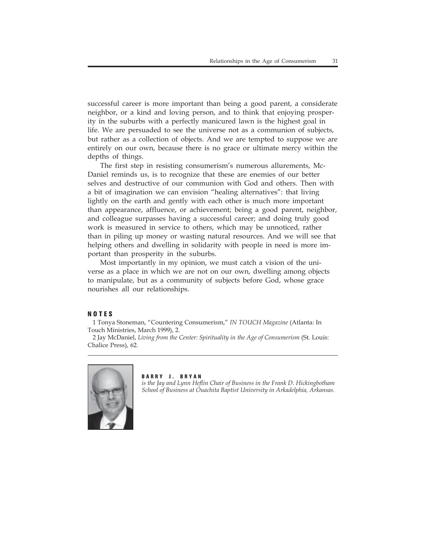successful career is more important than being a good parent, a considerate neighbor, or a kind and loving person, and to think that enjoying prosperity in the suburbs with a perfectly manicured lawn is the highest goal in life. We are persuaded to see the universe not as a communion of subjects, but rather as a collection of objects. And we are tempted to suppose we are entirely on our own, because there is no grace or ultimate mercy within the depths of things.

The first step in resisting consumerism's numerous allurements, Mc-Daniel reminds us, is to recognize that these are enemies of our better selves and destructive of our communion with God and others. Then with a bit of imagination we can envision "healing alternatives": that living lightly on the earth and gently with each other is much more important than appearance, affluence, or achievement; being a good parent, neighbor, and colleague surpasses having a successful career; and doing truly good work is measured in service to others, which may be unnoticed, rather than in piling up money or wasting natural resources. And we will see that helping others and dwelling in solidarity with people in need is more important than prosperity in the suburbs.

Most importantly in my opinion, we must catch a vision of the universe as a place in which we are not on our own, dwelling among objects to manipulate, but as a community of subjects before God, whose grace nourishes all our relationships.

### **NOTES**

1 Tonya Stoneman, "Countering Consumerism," *IN TOUCH Magazine* (Atlanta: In Touch Ministries, March 1999), 2.

2 Jay McDaniel, *Living from the Center: Spirituality in the Age of Consumerism* (St. Louis: Chalice Press), 62.



### **BARRY J. BRYAN**

*is the Jay and Lynn Heflin Chair of Business in the Frank D. Hickingbotham School of Business at Ouachita Baptist University in Arkadelphia, Arkansas.*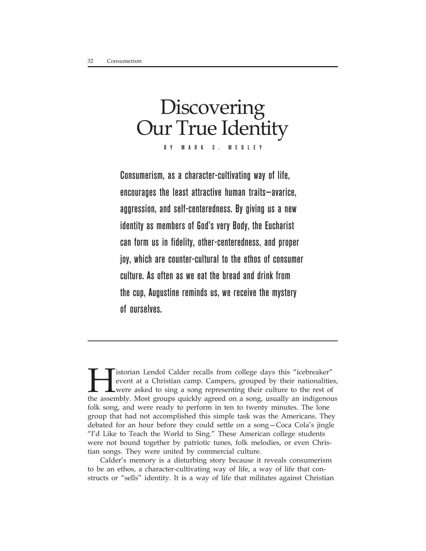# **Discovering** Our True Identity BY MARK S. MEDLEY

Consumerism, as a character-cultivating way of life, encourages the least attractive human traits—avarice, aggression, and self-centeredness. By giving us a new identity as members of God's very Body, the Eucharist can form us in fidelity, other-centeredness, and proper joy, which are counter-cultural to the ethos of consumer culture. As often as we eat the bread and drink from the cup, Augustine reminds us, we receive the mystery of ourselves.

**Here** is torian Lendol Calder recalls from college days this "icebreaker" event at a Christian camp. Campers, grouped by their nationalities were asked to sing a song representing their culture to the rest of the assembly event at a Christian camp. Campers, grouped by their nationalities, were asked to sing a song representing their culture to the rest of the assembly. Most groups quickly agreed on a song, usually an indigenous folk song, and were ready to perform in ten to twenty minutes. The lone group that had not accomplished this simple task was the Americans. They debated for an hour before they could settle on a song—Coca Cola's jingle "I'd Like to Teach the World to Sing." These American college students were not bound together by patriotic tunes, folk melodies, or even Christian songs. They were united by commercial culture.

Calder's memory is a disturbing story because it reveals consumerism to be an ethos, a character-cultivating way of life, a way of life that constructs or "sells" identity. It is a way of life that militates against Christian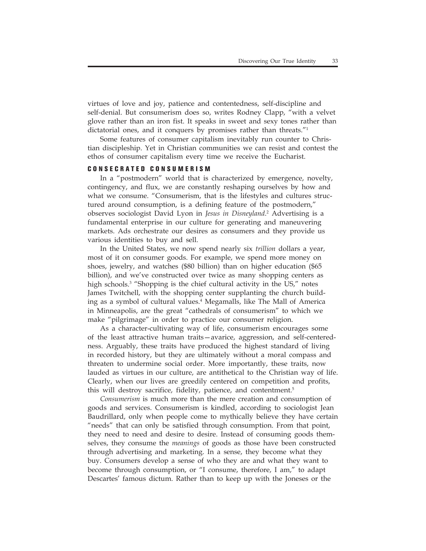virtues of love and joy, patience and contentedness, self-discipline and self-denial. But consumerism does so, writes Rodney Clapp, "with a velvet glove rather than an iron fist. It speaks in sweet and sexy tones rather than dictatorial ones, and it conquers by promises rather than threats."<sup>1</sup>

Some features of consumer capitalism inevitably run counter to Christian discipleship. Yet in Christian communities we can resist and contest the ethos of consumer capitalism every time we receive the Eucharist.

### **CONSECRATED CONSUMERISM**

In a "postmodern" world that is characterized by emergence, novelty, contingency, and flux, we are constantly reshaping ourselves by how and what we consume. "Consumerism, that is the lifestyles and cultures structured around consumption, is a defining feature of the postmodern," observes sociologist David Lyon in *Jesus in Disneyland*. 2 Advertising is a fundamental enterprise in our culture for generating and maneuvering markets. Ads orchestrate our desires as consumers and they provide us various identities to buy and sell.

In the United States, we now spend nearly six *trillion* dollars a year, most of it on consumer goods. For example, we spend more money on shoes, jewelry, and watches (\$80 billion) than on higher education (\$65 billion), and we've constructed over twice as many shopping centers as high schools.<sup>3</sup> "Shopping is the chief cultural activity in the US," notes James Twitchell, with the shopping center supplanting the church building as a symbol of cultural values.4 Megamalls, like The Mall of America in Minneapolis, are the great "cathedrals of consumerism" to which we make "pilgrimage" in order to practice our consumer religion.

As a character-cultivating way of life, consumerism encourages some of the least attractive human traits—avarice, aggression, and self-centeredness. Arguably, these traits have produced the highest standard of living in recorded history, but they are ultimately without a moral compass and threaten to undermine social order. More importantly, these traits, now lauded as virtues in our culture, are antithetical to the Christian way of life. Clearly, when our lives are greedily centered on competition and profits, this will destroy sacrifice, fidelity, patience, and contentment.<sup>5</sup>

*Consumerism* is much more than the mere creation and consumption of goods and services. Consumerism is kindled, according to sociologist Jean Baudrillard, only when people come to mythically believe they have certain "needs" that can only be satisfied through consumption. From that point, they need to need and desire to desire. Instead of consuming goods themselves, they consume the *meanings* of goods as those have been constructed through advertising and marketing. In a sense, they become what they buy. Consumers develop a sense of who they are and what they want to become through consumption, or "I consume, therefore, I am," to adapt Descartes' famous dictum. Rather than to keep up with the Joneses or the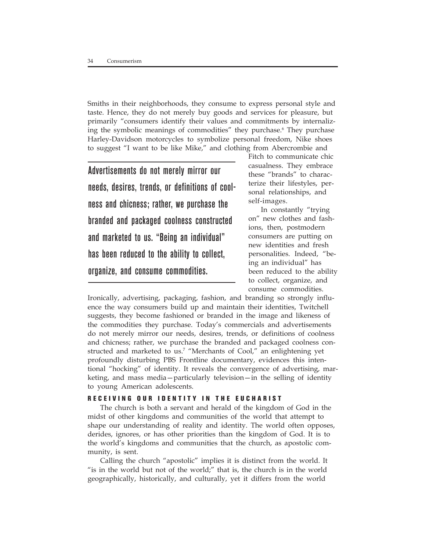Smiths in their neighborhoods, they consume to express personal style and taste. Hence, they do not merely buy goods and services for pleasure, but primarily "consumers identify their values and commitments by internalizing the symbolic meanings of commodities" they purchase.<sup>6</sup> They purchase Harley-Davidson motorcycles to symbolize personal freedom, Nike shoes to suggest "I want to be like Mike," and clothing from Abercrombie and

Advertisements do not merely mirror our needs, desires, trends, or definitions of coolness and chicness; rather, we purchase the branded and packaged coolness constructed and marketed to us. "Being an individual" has been reduced to the ability to collect, organize, and consume commodities.

Fitch to communicate chic casualness. They embrace these "brands" to characterize their lifestyles, personal relationships, and self-images.

In constantly "trying on" new clothes and fashions, then, postmodern consumers are putting on new identities and fresh personalities. Indeed, "being an individual" has been reduced to the ability to collect, organize, and consume commodities.

Ironically, advertising, packaging, fashion, and branding so strongly influence the way consumers build up and maintain their identities, Twitchell suggests, they become fashioned or branded in the image and likeness of the commodities they purchase. Today's commercials and advertisements do not merely mirror our needs, desires, trends, or definitions of coolness and chicness; rather, we purchase the branded and packaged coolness constructed and marketed to us.<sup>7</sup> "Merchants of Cool," an enlightening yet profoundly disturbing PBS Frontline documentary, evidences this intentional "hocking" of identity. It reveals the convergence of advertising, marketing, and mass media—particularly television—in the selling of identity to young American adolescents.

### **RECEIVING OUR IDENTITY IN THE EUCHARIST**

The church is both a servant and herald of the kingdom of God in the midst of other kingdoms and communities of the world that attempt to shape our understanding of reality and identity. The world often opposes, derides, ignores, or has other priorities than the kingdom of God. It is to the world's kingdoms and communities that the church, as apostolic community, is sent.

Calling the church "apostolic" implies it is distinct from the world. It "is in the world but not of the world;" that is, the church is in the world geographically, historically, and culturally, yet it differs from the world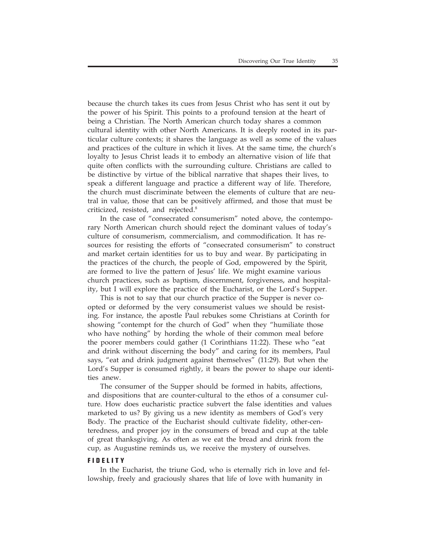because the church takes its cues from Jesus Christ who has sent it out by the power of his Spirit. This points to a profound tension at the heart of being a Christian. The North American church today shares a common cultural identity with other North Americans. It is deeply rooted in its particular culture contexts; it shares the language as well as some of the values and practices of the culture in which it lives. At the same time, the church's loyalty to Jesus Christ leads it to embody an alternative vision of life that quite often conflicts with the surrounding culture. Christians are called to be distinctive by virtue of the biblical narrative that shapes their lives, to speak a different language and practice a different way of life. Therefore, the church must discriminate between the elements of culture that are neutral in value, those that can be positively affirmed, and those that must be criticized, resisted, and rejected.8

In the case of "consecrated consumerism" noted above, the contemporary North American church should reject the dominant values of today's culture of consumerism, commercialism, and commodification. It has resources for resisting the efforts of "consecrated consumerism" to construct and market certain identities for us to buy and wear. By participating in the practices of the church, the people of God, empowered by the Spirit, are formed to live the pattern of Jesus' life. We might examine various church practices, such as baptism, discernment, forgiveness, and hospitality, but I will explore the practice of the Eucharist, or the Lord's Supper.

This is not to say that our church practice of the Supper is never coopted or deformed by the very consumerist values we should be resisting. For instance, the apostle Paul rebukes some Christians at Corinth for showing "contempt for the church of God" when they "humiliate those who have nothing" by hording the whole of their common meal before the poorer members could gather (1 Corinthians 11:22). These who "eat and drink without discerning the body" and caring for its members, Paul says, "eat and drink judgment against themselves" (11:29). But when the Lord's Supper is consumed rightly, it bears the power to shape our identities anew.

The consumer of the Supper should be formed in habits, affections, and dispositions that are counter-cultural to the ethos of a consumer culture. How does eucharistic practice subvert the false identities and values marketed to us? By giving us a new identity as members of God's very Body. The practice of the Eucharist should cultivate fidelity, other-centeredness, and proper joy in the consumers of bread and cup at the table of great thanksgiving. As often as we eat the bread and drink from the cup, as Augustine reminds us, we receive the mystery of ourselves.

### **FIDELITY**

In the Eucharist, the triune God, who is eternally rich in love and fellowship, freely and graciously shares that life of love with humanity in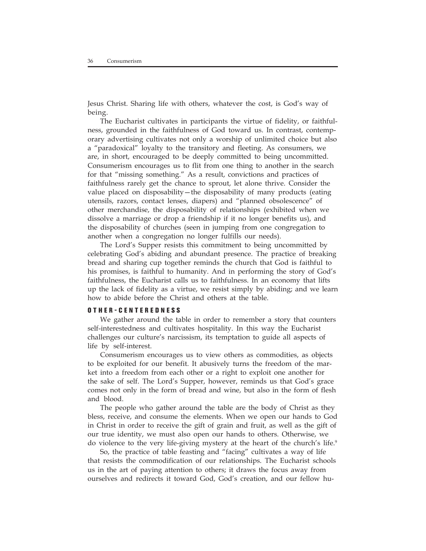Jesus Christ. Sharing life with others, whatever the cost, is God's way of being.

The Eucharist cultivates in participants the virtue of fidelity, or faithfulness, grounded in the faithfulness of God toward us. In contrast, contemporary advertising cultivates not only a worship of unlimited choice but also a "paradoxical" loyalty to the transitory and fleeting. As consumers, we are, in short, encouraged to be deeply committed to being uncommitted. Consumerism encourages us to flit from one thing to another in the search for that "missing something." As a result, convictions and practices of faithfulness rarely get the chance to sprout, let alone thrive. Consider the value placed on disposability—the disposability of many products (eating utensils, razors, contact lenses, diapers) and "planned obsolescence" of other merchandise, the disposability of relationships (exhibited when we dissolve a marriage or drop a friendship if it no longer benefits us), and the disposability of churches (seen in jumping from one congregation to another when a congregation no longer fulfills our needs).

The Lord's Supper resists this commitment to being uncommitted by celebrating God's abiding and abundant presence. The practice of breaking bread and sharing cup together reminds the church that God is faithful to his promises, is faithful to humanity. And in performing the story of God's faithfulness, the Eucharist calls us to faithfulness. In an economy that lifts up the lack of fidelity as a virtue, we resist simply by abiding; and we learn how to abide before the Christ and others at the table.

### **OTHER-CENTEREDNESS**

We gather around the table in order to remember a story that counters self-interestedness and cultivates hospitality. In this way the Eucharist challenges our culture's narcissism, its temptation to guide all aspects of life by self-interest.

Consumerism encourages us to view others as commodities, as objects to be exploited for our benefit. It abusively turns the freedom of the market into a freedom from each other or a right to exploit one another for the sake of self. The Lord's Supper, however, reminds us that God's grace comes not only in the form of bread and wine, but also in the form of flesh and blood.

The people who gather around the table are the body of Christ as they bless, receive, and consume the elements. When we open our hands to God in Christ in order to receive the gift of grain and fruit, as well as the gift of our true identity, we must also open our hands to others. Otherwise, we do violence to the very life-giving mystery at the heart of the church's life.<sup>9</sup>

So, the practice of table feasting and "facing" cultivates a way of life that resists the commodification of our relationships. The Eucharist schools us in the art of paying attention to others; it draws the focus away from ourselves and redirects it toward God, God's creation, and our fellow hu-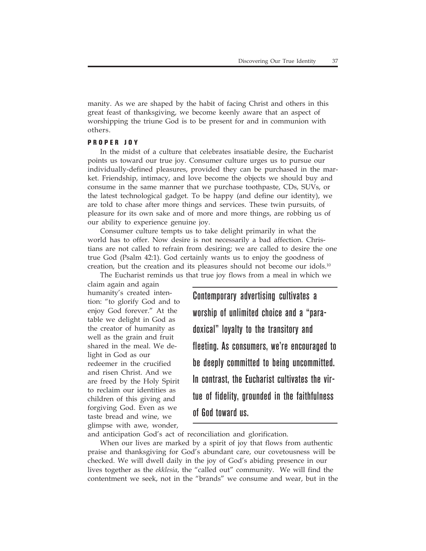manity. As we are shaped by the habit of facing Christ and others in this great feast of thanksgiving, we become keenly aware that an aspect of worshipping the triune God is to be present for and in communion with others.

#### **PROPER JOY**

In the midst of a culture that celebrates insatiable desire, the Eucharist points us toward our true joy. Consumer culture urges us to pursue our individually-defined pleasures, provided they can be purchased in the market. Friendship, intimacy, and love become the objects we should buy and consume in the same manner that we purchase toothpaste, CDs, SUVs, or the latest technological gadget. To be happy (and define our identity), we are told to chase after more things and services. These twin pursuits, of pleasure for its own sake and of more and more things, are robbing us of our ability to experience genuine joy.

Consumer culture tempts us to take delight primarily in what the world has to offer. Now desire is not necessarily a bad affection. Christians are not called to refrain from desiring; we are called to desire the one true God (Psalm 42:1). God certainly wants us to enjoy the goodness of creation, but the creation and its pleasures should not become our idols.<sup>10</sup>

The Eucharist reminds us that true joy flows from a meal in which we claim again and again humanity's created intention: "to glorify God and to enjoy God forever." At the table we delight in God as the creator of humanity as well as the grain and fruit shared in the meal. We delight in God as our redeemer in the crucified and risen Christ. And we are freed by the Holy Spirit to reclaim our identities as children of this giving and forgiving God. Even as we taste bread and wine, we glimpse with awe, wonder,

Contemporary advertising cultivates a worship of unlimited choice and a "paradoxical" loyalty to the transitory and fleeting. As consumers, we're encouraged to be deeply committed to being uncommitted. In contrast, the Eucharist cultivates the virtue of fidelity, grounded in the faithfulness of God toward us.

and anticipation God's act of reconciliation and glorification.

When our lives are marked by a spirit of joy that flows from authentic praise and thanksgiving for God's abundant care, our covetousness will be checked. We will dwell daily in the joy of God's abiding presence in our lives together as the *ekklesia*, the "called out" community. We will find the contentment we seek, not in the "brands" we consume and wear, but in the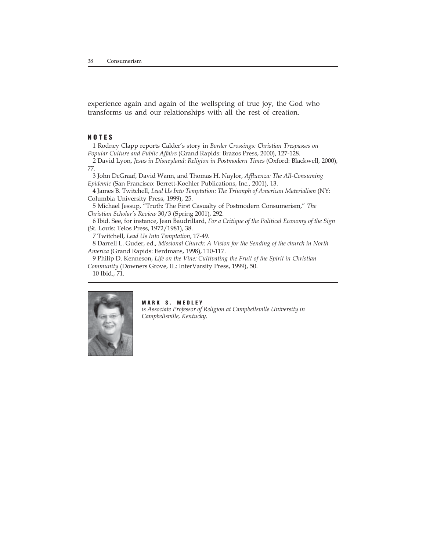experience again and again of the wellspring of true joy, the God who transforms us and our relationships with all the rest of creation.

#### **NOTES**

1 Rodney Clapp reports Calder's story in *Border Crossings: Christian Trespasses on Popular Culture and Public Affairs* (Grand Rapids: Brazos Press, 2000), 127-128.

2 David Lyon, *Jesus in Disneyland: Religion in Postmodern Times* (Oxford: Blackwell, 2000), 77.

3 John DeGraaf, David Wann, and Thomas H. Naylor, *Affluenza: The All-Consuming Epidemic* (San Francisco: Berrett-Koehler Publications, Inc., 2001), 13.

4 James B. Twitchell, *Lead Us Into Temptation: The Triumph of American Materialism* (NY: Columbia University Press, 1999), 25.

5 Michael Jessup, "Truth: The First Casualty of Postmodern Consumerism," *The Christian Scholar's Review* 30/3 (Spring 2001), 292.

6 Ibid. See, for instance, Jean Baudrillard, *For a Critique of the Political Economy of the Sign* (St. Louis: Telos Press, 1972/1981), 38.

7 Twitchell, *Lead Us Into Temptation*, 17-49.

8 Darrell L. Guder, ed., *Missional Church: A Vision for the Sending of the church in North America* (Grand Rapids: Eerdmans, 1998), 110-117.

9 Philip D. Kenneson, *Life on the Vine: Cultivating the Fruit of the Spirit in Christian Community* (Downers Grove, IL: InterVarsity Press, 1999), 50.

10 Ibid., 71.



#### **MARK S. MEDLEY**

*is Associate Professor of Religion at Campbellsville University in Campbellsville, Kentucky.*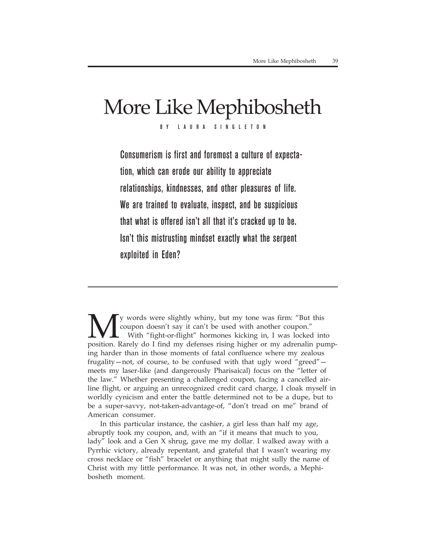### More Like Mephibosheth BY LAURA SINGLETON

Consumerism is first and foremost a culture of expectation, which can erode our ability to appreciate relationships, kindnesses, and other pleasures of life. We are trained to evaluate, inspect, and be suspicious that what is offered isn't all that it's cracked up to be. Isn't this mistrusting mindset exactly what the serpent exploited in Eden?

y words were slightly whiny, but my tone was firm: "But this coupon doesn't say it can't be used with another coupon." With "fight-or-flight" hormones kicking in, I was locked into position. Rarely do I find my defenses rising higher or my adrenalin pumping harder than in those moments of fatal confluence where my zealous frugality—not, of course, to be confused with that ugly word "greed" meets my laser-like (and dangerously Pharisaical) focus on the "letter of the law." Whether presenting a challenged coupon, facing a cancelled airline flight, or arguing an unrecognized credit card charge, I cloak myself in worldly cynicism and enter the battle determined not to be a dupe, but to be a super-savvy, not-taken-advantage-of, "don't tread on me" brand of American consumer.

In this particular instance, the cashier, a girl less than half my age, abruptly took my coupon, and, with an "if it means that much to you, lady" look and a Gen X shrug, gave me my dollar. I walked away with a Pyrrhic victory, already repentant, and grateful that I wasn't wearing my cross necklace or "fish" bracelet or anything that might sully the name of Christ with my little performance. It was not, in other words, a Mephibosheth moment.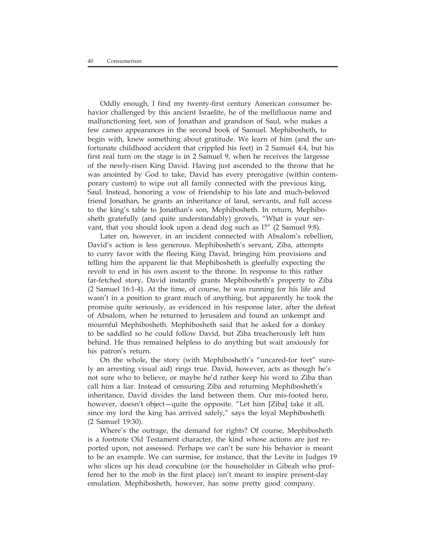Oddly enough, I find my twenty-first century American consumer behavior challenged by this ancient Israelite, he of the mellifluous name and malfunctioning feet, son of Jonathan and grandson of Saul, who makes a few cameo appearances in the second book of Samuel. Mephibosheth, to begin with, knew something about gratitude. We learn of him (and the unfortunate childhood accident that crippled his feet) in 2 Samuel 4:4, but his first real turn on the stage is in 2 Samuel 9, when he receives the largesse of the newly-risen King David. Having just ascended to the throne that he was anointed by God to take, David has every prerogative (within contemporary custom) to wipe out all family connected with the previous king, Saul. Instead, honoring a vow of friendship to his late and much-beloved friend Jonathan, he grants an inheritance of land, servants, and full access to the king's table to Jonathan's son, Mephibosheth. In return, Mephibosheth gratefully (and quite understandably) grovels, "What is your servant, that you should look upon a dead dog such as I?" (2 Samuel 9:8).

Later on, however, in an incident connected with Absalom's rebellion, David's action is less generous. Mephibosheth's servant, Ziba, attempts to curry favor with the fleeing King David, bringing him provisions and telling him the apparent lie that Mephibosheth is gleefully expecting the revolt to end in his own ascent to the throne. In response to this rather far-fetched story, David instantly grants Mephibosheth's property to Ziba (2 Samuel 16:1-4). At the time, of course, he was running for his life and wasn't in a position to grant much of anything, but apparently he took the promise quite seriously, as evidenced in his response later, after the defeat of Absalom, when he returned to Jerusalem and found an unkempt and mournful Mephibosheth. Mephibosheth said that he asked for a donkey to be saddled so he could follow David, but Ziba treacherously left him behind. He thus remained helpless to do anything but wait anxiously for his patron's return.

On the whole, the story (with Mephibosheth's "uncared-for feet" surely an arresting visual aid) rings true. David, however, acts as though he's not sure who to believe, or maybe he'd rather keep his word to Ziba than call him a liar. Instead of censuring Ziba and returning Mephibosheth's inheritance, David divides the land between them. Our mis-footed hero, however, doesn't object—quite the opposite. "Let him [Ziba] take it all, since my lord the king has arrived safely," says the loyal Mephibosheth (2 Samuel 19:30).

Where's the outrage, the demand for rights? Of course, Mephibosheth is a footnote Old Testament character, the kind whose actions are just reported upon, not assessed. Perhaps we can't be sure his behavior is meant to be an example. We can surmise, for instance, that the Levite in Judges 19 who slices up his dead concubine (or the householder in Gibeah who proffered her to the mob in the first place) isn't meant to inspire present-day emulation. Mephibosheth, however, has some pretty good company.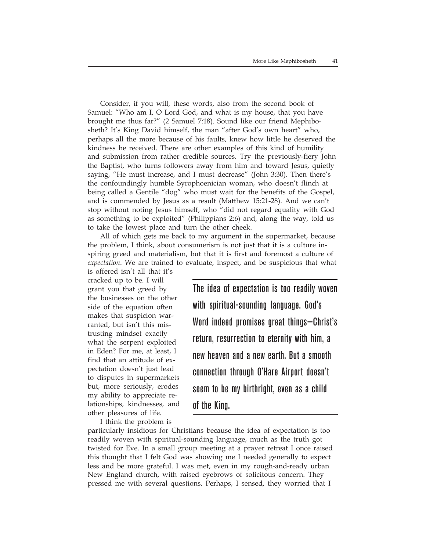Consider, if you will, these words, also from the second book of Samuel: "Who am I, O Lord God, and what is my house, that you have brought me thus far?" (2 Samuel 7:18). Sound like our friend Mephibosheth? It's King David himself, the man "after God's own heart" who, perhaps all the more because of his faults, knew how little he deserved the kindness he received. There are other examples of this kind of humility and submission from rather credible sources. Try the previously-fiery John the Baptist, who turns followers away from him and toward Jesus, quietly saying, "He must increase, and I must decrease" (John 3:30). Then there's the confoundingly humble Syrophoenician woman, who doesn't flinch at being called a Gentile "dog" who must wait for the benefits of the Gospel, and is commended by Jesus as a result (Matthew 15:21-28). And we can't stop without noting Jesus himself, who "did not regard equality with God as something to be exploited" (Philippians 2:6) and, along the way, told us to take the lowest place and turn the other cheek.

All of which gets me back to my argument in the supermarket, because the problem, I think, about consumerism is not just that it is a culture inspiring greed and materialism, but that it is first and foremost a culture of *expectation*. We are trained to evaluate, inspect, and be suspicious that what

is offered isn't all that it's cracked up to be. I will grant you that greed by the businesses on the other side of the equation often makes that suspicion warranted, but isn't this mistrusting mindset exactly what the serpent exploited in Eden? For me, at least, I find that an attitude of expectation doesn't just lead to disputes in supermarkets but, more seriously, erodes my ability to appreciate relationships, kindnesses, and other pleasures of life.

I think the problem is

The idea of expectation is too readily woven with spiritual-sounding language. God's Word indeed promises great things—Christ's return, resurrection to eternity with him, a new heaven and a new earth. But a smooth connection through O'Hare Airport doesn't seem to be my birthright, even as a child of the King.

particularly insidious for Christians because the idea of expectation is too readily woven with spiritual-sounding language, much as the truth got twisted for Eve. In a small group meeting at a prayer retreat I once raised this thought that I felt God was showing me I needed generally to expect less and be more grateful. I was met, even in my rough-and-ready urban New England church, with raised eyebrows of solicitous concern. They pressed me with several questions. Perhaps, I sensed, they worried that I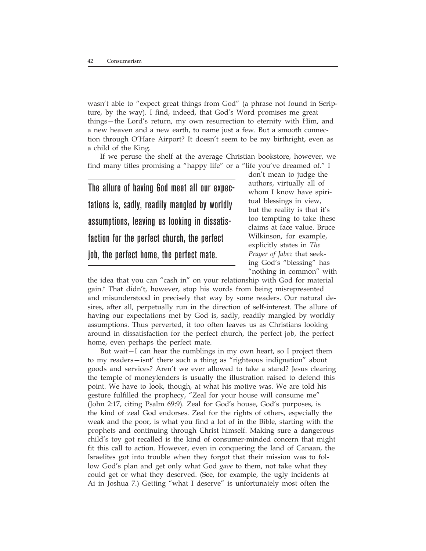wasn't able to "expect great things from God" (a phrase not found in Scripture, by the way). I find, indeed, that God's Word promises me great things—the Lord's return, my own resurrection to eternity with Him, and a new heaven and a new earth, to name just a few. But a smooth connection through O'Hare Airport? It doesn't seem to be my birthright, even as a child of the King.

If we peruse the shelf at the average Christian bookstore, however, we find many titles promising a "happy life" or a "life you've dreamed of." I

The allure of having God meet all our expectations is, sadly, readily mangled by worldly assumptions, leaving us looking in dissatisfaction for the perfect church, the perfect job, the perfect home, the perfect mate.

don't mean to judge the authors, virtually all of whom I know have spiritual blessings in view, but the reality is that it's too tempting to take these claims at face value. Bruce Wilkinson, for example, explicitly states in *The Prayer of Jabez* that seeking God's "blessing" has "nothing in common" with

the idea that you can "cash in" on your relationship with God for material gain.† That didn't, however, stop his words from being misrepresented and misunderstood in precisely that way by some readers. Our natural desires, after all, perpetually run in the direction of self-interest. The allure of having our expectations met by God is, sadly, readily mangled by worldly assumptions. Thus perverted, it too often leaves us as Christians looking around in dissatisfaction for the perfect church, the perfect job, the perfect home, even perhaps the perfect mate.

But wait—I can hear the rumblings in my own heart, so I project them to my readers—isnt' there such a thing as "righteous indignation" about goods and services? Aren't we ever allowed to take a stand? Jesus clearing the temple of moneylenders is usually the illustration raised to defend this point. We have to look, though, at what his motive was. We are told his gesture fulfilled the prophecy, "Zeal for your house will consume me" (John 2:17, citing Psalm 69:9). Zeal for God's house, God's purposes, is the kind of zeal God endorses. Zeal for the rights of others, especially the weak and the poor, is what you find a lot of in the Bible, starting with the prophets and continuing through Christ himself. Making sure a dangerous child's toy got recalled is the kind of consumer-minded concern that might fit this call to action. However, even in conquering the land of Canaan, the Israelites got into trouble when they forgot that their mission was to follow God's plan and get only what God *gave* to them, not take what they could get or what they deserved. (See, for example, the ugly incidents at Ai in Joshua 7.) Getting "what I deserve" is unfortunately most often the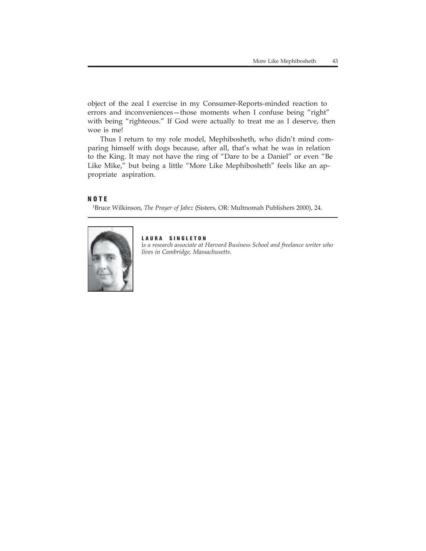object of the zeal I exercise in my Consumer-Reports-minded reaction to errors and inconveniences—those moments when I confuse being "right" with being "righteous." If God were actually to treat me as I deserve, then woe is me!

Thus I return to my role model, Mephibosheth, who didn't mind comparing himself with dogs because, after all, that's what he was in relation to the King. It may not have the ring of "Dare to be a Daniel" or even "Be Like Mike," but being a little "More Like Mephibosheth" feels like an appropriate aspiration.

#### **NOTE**

† Bruce Wilkinson, *The Prayer of Jabez* (Sisters, OR: Multnomah Publishers 2000), 24.



#### **LAURA SINGLETON**

i*s a research associate at Harvard Business School and freelance writer who lives in Cambridge, Massachusetts.*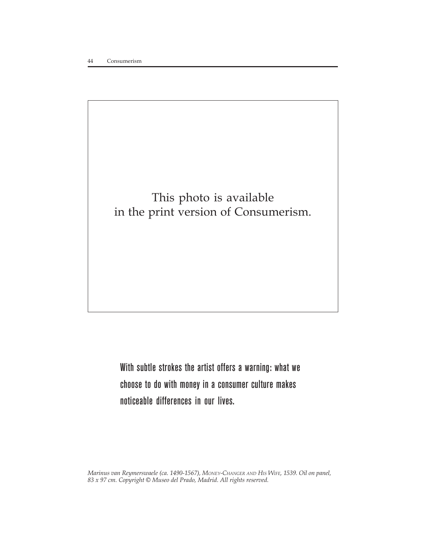

With subtle strokes the artist offers a warning: what we choose to do with money in a consumer culture makes noticeable differences in our lives.

*Marinus van Reymerswaele (ca. 1490-1567), MONEY-CHANGER AND HIS WIFE, 1539. Oil on panel, 83 x 97 cm. Copyright © Museo del Prado, Madrid. All rights reserved.*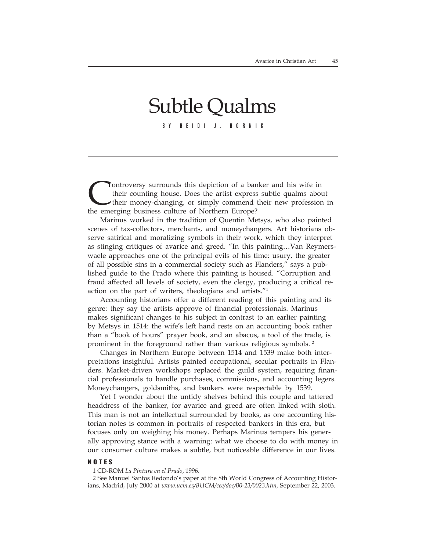# Subtle Qualms

BY HEIDI J. HORNIK

Ontroversy surrounds this depiction of a banker and his wife in their counting house. Does the artist express subtle qualms about their money-changing, or simply commend their new profession the emerging business culture o their counting house. Does the artist express subtle qualms about their money-changing, or simply commend their new profession in the emerging business culture of Northern Europe?

Marinus worked in the tradition of Quentin Metsys, who also painted scenes of tax-collectors, merchants, and moneychangers. Art historians observe satirical and moralizing symbols in their work, which they interpret as stinging critiques of avarice and greed. "In this painting…Van Reymerswaele approaches one of the principal evils of his time: usury, the greater of all possible sins in a commercial society such as Flanders," says a published guide to the Prado where this painting is housed. "Corruption and fraud affected all levels of society, even the clergy, producing a critical reaction on the part of writers, theologians and artists."1

Accounting historians offer a different reading of this painting and its genre: they say the artists approve of financial professionals. Marinus makes significant changes to his subject in contrast to an earlier painting by Metsys in 1514: the wife's left hand rests on an accounting book rather than a "book of hours" prayer book, and an abacus, a tool of the trade, is prominent in the foreground rather than various religious symbols. 2

Changes in Northern Europe between 1514 and 1539 make both interpretations insightful. Artists painted occupational, secular portraits in Flanders. Market-driven workshops replaced the guild system, requiring financial professionals to handle purchases, commissions, and accounting legers. Moneychangers, goldsmiths, and bankers were respectable by 1539.

Yet I wonder about the untidy shelves behind this couple and tattered headdress of the banker, for avarice and greed are often linked with sloth. This man is not an intellectual surrounded by books, as one accounting historian notes is common in portraits of respected bankers in this era, but focuses only on weighing his money. Perhaps Marinus tempers his generally approving stance with a warning: what we choose to do with money in our consumer culture makes a subtle, but noticeable difference in our lives.

#### **NOTES**

1 CD-ROM *La Pintura en el Prado*, 1996.

2 See Manuel Santos Redondo's paper at the 8th World Congress of Accounting Historians, Madrid, July 2000 at *www.ucm.es/BUCM/cee/doc/00-23/0023.htm*, September 22, 2003.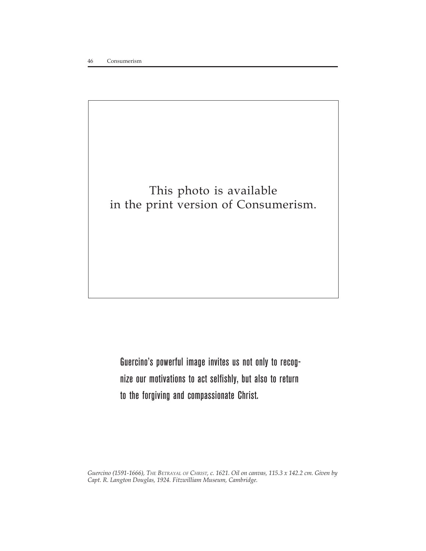### This photo is available in the print version of Consumerism.

Guercino's powerful image invites us not only to recognize our motivations to act selfishly, but also to return to the forgiving and compassionate Christ.

*Guercino (1591-1666), THE BETRAYAL OF CHRIST, c. 1621. Oil on canvas, 115.3 x 142.2 cm. Given by Capt. R. Langton Douglas, 1924. Fitzwilliam Museum, Cambridge.*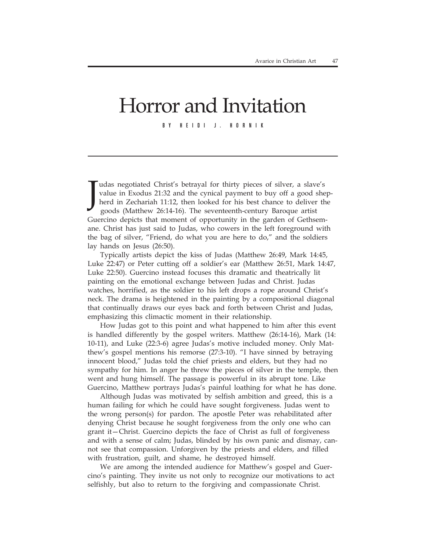# Horror and Invitation

BY HEIDI J. HORNIK

J udas negotiated Christ's betrayal for thirty pieces of silver, a slave's value in Exodus 21:32 and the cynical payment to buy off a good shepherd in Zechariah 11:12, then looked for his best chance to deliver the goods (Matthew 26:14-16). The seventeenth-century Baroque artist Guercino depicts that moment of opportunity in the garden of Gethsemane. Christ has just said to Judas, who cowers in the left foreground with the bag of silver, "Friend, do what you are here to do," and the soldiers lay hands on Jesus (26:50).

Typically artists depict the kiss of Judas (Matthew 26:49, Mark 14:45, Luke 22:47) or Peter cutting off a soldier's ear (Matthew 26:51, Mark 14:47, Luke 22:50). Guercino instead focuses this dramatic and theatrically lit painting on the emotional exchange between Judas and Christ. Judas watches, horrified, as the soldier to his left drops a rope around Christ's neck. The drama is heightened in the painting by a compositional diagonal that continually draws our eyes back and forth between Christ and Judas, emphasizing this climactic moment in their relationship.

How Judas got to this point and what happened to him after this event is handled differently by the gospel writers. Matthew (26:14-16), Mark (14: 10-11), and Luke (22:3-6) agree Judas's motive included money. Only Matthew's gospel mentions his remorse (27:3-10). "I have sinned by betraying innocent blood," Judas told the chief priests and elders, but they had no sympathy for him. In anger he threw the pieces of silver in the temple, then went and hung himself. The passage is powerful in its abrupt tone. Like Guercino, Matthew portrays Judas's painful loathing for what he has done.

Although Judas was motivated by selfish ambition and greed, this is a human failing for which he could have sought forgiveness. Judas went to the wrong person(s) for pardon. The apostle Peter was rehabilitated after denying Christ because he sought forgiveness from the only one who can grant it—Christ. Guercino depicts the face of Christ as full of forgiveness and with a sense of calm; Judas, blinded by his own panic and dismay, cannot see that compassion. Unforgiven by the priests and elders, and filled with frustration, guilt, and shame, he destroyed himself.

We are among the intended audience for Matthew's gospel and Guercino's painting. They invite us not only to recognize our motivations to act selfishly, but also to return to the forgiving and compassionate Christ.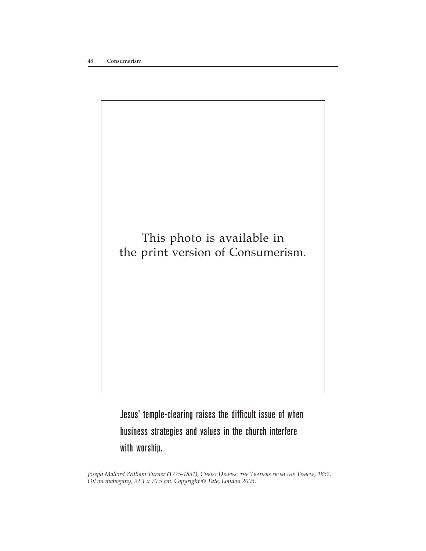

Jesus' temple-clearing raises the difficult issue of when business strategies and values in the church interfere with worship.

*Joseph Mallord William Turner (1775-1851), CHRIST DRIVING THE TRADERS FROM THE TEMPLE, 1832. Oil on mahogany, 92.1 x 70.5 cm. Copyright © Tate, London 2003.*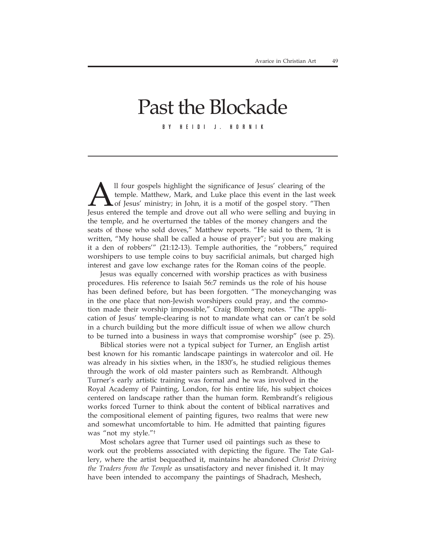# Past the Blockade

BY HEIDI J. HORNIK

Il four gospels highlight the significance of Jesus' clearing of the temple. Matthew, Mark, and Luke place this event in the last w<br>of Jesus' ministry; in John, it is a motif of the gospel story. "The<br>Jesus entered the tem temple. Matthew, Mark, and Luke place this event in the last week  $\blacktriangle$  of Jesus' ministry; in John, it is a motif of the gospel story. "Then Jesus entered the temple and drove out all who were selling and buying in the temple, and he overturned the tables of the money changers and the seats of those who sold doves," Matthew reports. "He said to them, 'It is written, "My house shall be called a house of prayer"; but you are making it a den of robbers'" (21:12-13). Temple authorities, the "robbers," required worshipers to use temple coins to buy sacrificial animals, but charged high interest and gave low exchange rates for the Roman coins of the people.

Jesus was equally concerned with worship practices as with business procedures. His reference to Isaiah 56:7 reminds us the role of his house has been defined before, but has been forgotten. "The moneychanging was in the one place that non-Jewish worshipers could pray, and the commotion made their worship impossible," Craig Blomberg notes. "The application of Jesus' temple-clearing is not to mandate what can or can't be sold in a church building but the more difficult issue of when we allow church to be turned into a business in ways that compromise worship" (see p. 25).

Biblical stories were not a typical subject for Turner, an English artist best known for his romantic landscape paintings in watercolor and oil. He was already in his sixties when, in the 1830's, he studied religious themes through the work of old master painters such as Rembrandt. Although Turner's early artistic training was formal and he was involved in the Royal Academy of Painting, London, for his entire life, his subject choices centered on landscape rather than the human form. Rembrandt's religious works forced Turner to think about the content of biblical narratives and the compositional element of painting figures, two realms that were new and somewhat uncomfortable to him. He admitted that painting figures was "not my style."†

Most scholars agree that Turner used oil paintings such as these to work out the problems associated with depicting the figure. The Tate Gallery, where the artist bequeathed it, maintains he abandoned *Christ Driving the Traders from the Temple* as unsatisfactory and never finished it. It may have been intended to accompany the paintings of Shadrach, Meshech,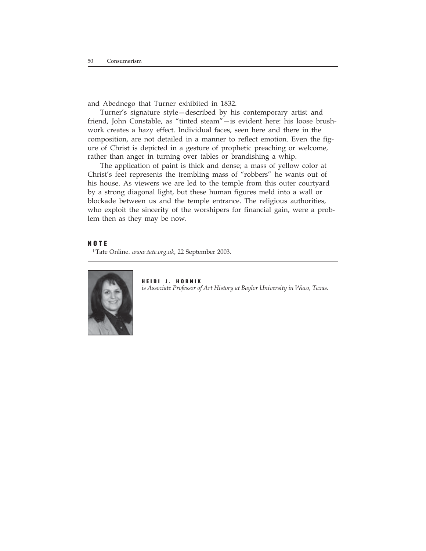and Abednego that Turner exhibited in 1832.

Turner's signature style—described by his contemporary artist and friend, John Constable, as "tinted steam"—is evident here: his loose brushwork creates a hazy effect. Individual faces, seen here and there in the composition, are not detailed in a manner to reflect emotion. Even the figure of Christ is depicted in a gesture of prophetic preaching or welcome, rather than anger in turning over tables or brandishing a whip.

The application of paint is thick and dense; a mass of yellow color at Christ's feet represents the trembling mass of "robbers" he wants out of his house. As viewers we are led to the temple from this outer courtyard by a strong diagonal light, but these human figures meld into a wall or blockade between us and the temple entrance. The religious authorities, who exploit the sincerity of the worshipers for financial gain, were a problem then as they may be now.

#### **NOTE**

† Tate Online. *www.tate.org.uk*, 22 September 2003.



**HEIDI J. HORNIK** *is Associate Professor of Art History at Baylor University in Waco, Texas.*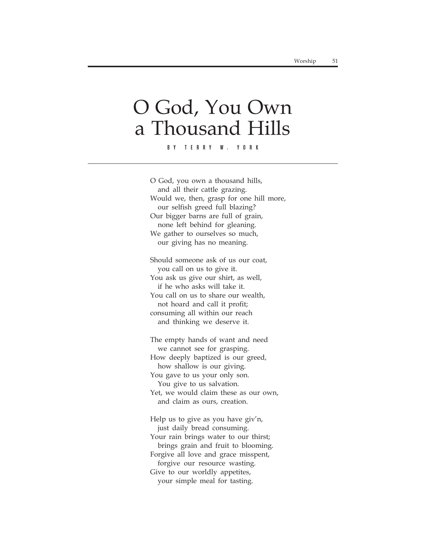## O God, You Own a Thousand Hills

BY TERRY W. YORK

O God, you own a thousand hills, and all their cattle grazing. Would we, then, grasp for one hill more, our selfish greed full blazing? Our bigger barns are full of grain, none left behind for gleaning. We gather to ourselves so much, our giving has no meaning.

Should someone ask of us our coat, you call on us to give it. You ask us give our shirt, as well, if he who asks will take it. You call on us to share our wealth, not hoard and call it profit; consuming all within our reach and thinking we deserve it.

The empty hands of want and need we cannot see for grasping. How deeply baptized is our greed, how shallow is our giving. You gave to us your only son. You give to us salvation. Yet, we would claim these as our own, and claim as ours, creation.

Help us to give as you have giv'n, just daily bread consuming. Your rain brings water to our thirst; brings grain and fruit to blooming. Forgive all love and grace misspent, forgive our resource wasting. Give to our worldly appetites, your simple meal for tasting.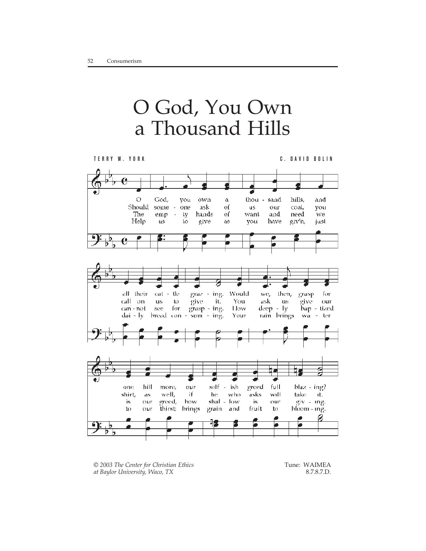# O God, You Own a Thousand Hills



*© 2003 The Center for Christian Ethics at Baylor University, Waco, TX*

 Tune: WAIMEA 8.7.8.7.D.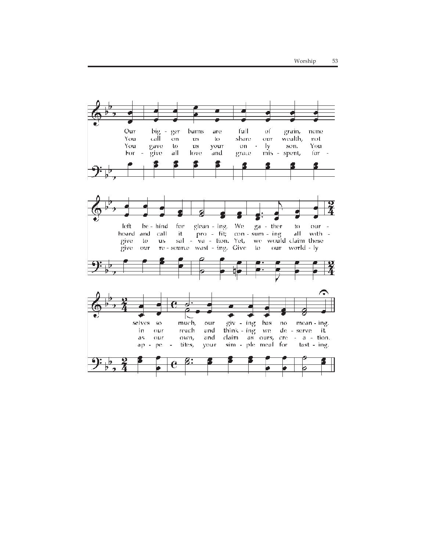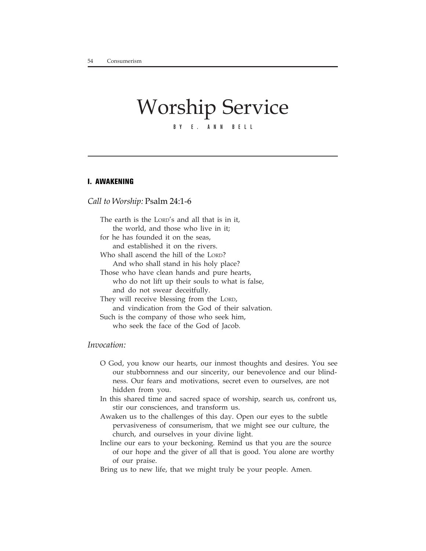### Worship Service BY E. ANN BELL

#### **I. AWAKENING**

#### *Call to Worship:* Psalm 24:1-6

The earth is the LORD's and all that is in it, the world, and those who live in it; for he has founded it on the seas, and established it on the rivers. Who shall ascend the hill of the LORD? And who shall stand in his holy place? Those who have clean hands and pure hearts, who do not lift up their souls to what is false, and do not swear deceitfully. They will receive blessing from the LORD, and vindication from the God of their salvation. Such is the company of those who seek him, who seek the face of the God of Jacob.

#### *Invocation:*

- O God, you know our hearts, our inmost thoughts and desires. You see our stubbornness and our sincerity, our benevolence and our blindness. Our fears and motivations, secret even to ourselves, are not hidden from you.
- In this shared time and sacred space of worship, search us, confront us, stir our consciences, and transform us.
- Awaken us to the challenges of this day. Open our eyes to the subtle pervasiveness of consumerism, that we might see our culture, the church, and ourselves in your divine light.
- Incline our ears to your beckoning. Remind us that you are the source of our hope and the giver of all that is good. You alone are worthy of our praise.
- Bring us to new life, that we might truly be your people. Amen.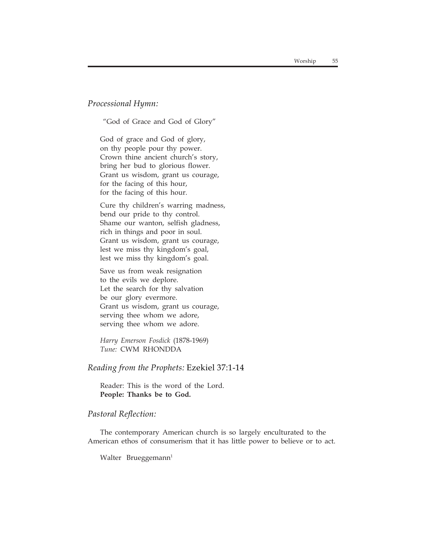*Processional Hymn:*

"God of Grace and God of Glory"

God of grace and God of glory, on thy people pour thy power. Crown thine ancient church's story, bring her bud to glorious flower. Grant us wisdom, grant us courage, for the facing of this hour, for the facing of this hour.

Cure thy children's warring madness, bend our pride to thy control. Shame our wanton, selfish gladness, rich in things and poor in soul. Grant us wisdom, grant us courage, lest we miss thy kingdom's goal, lest we miss thy kingdom's goal.

Save us from weak resignation to the evils we deplore. Let the search for thy salvation be our glory evermore. Grant us wisdom, grant us courage, serving thee whom we adore, serving thee whom we adore.

*Harry Emerson Fosdick* (1878-1969) *Tune:* CWM RHONDDA

#### *Reading from the Prophets:* Ezekiel 37:1-14

Reader: This is the word of the Lord. **People: Thanks be to God.**

#### *Pastoral Reflection:*

The contemporary American church is so largely enculturated to the American ethos of consumerism that it has little power to believe or to act.

Walter Brueggemann<sup>1</sup>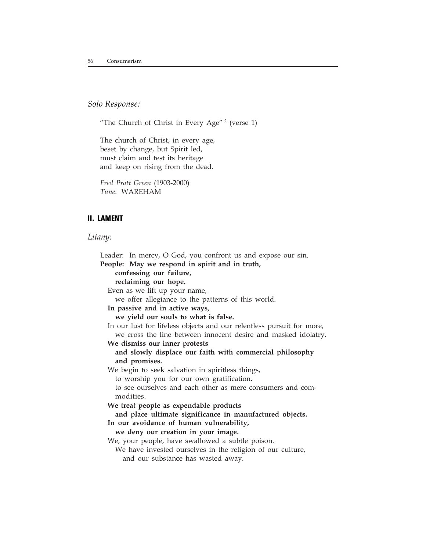#### *Solo Response:*

"The Church of Christ in Every Age"<sup>2</sup> (verse 1)

The church of Christ, in every age, beset by change, but Spirit led, must claim and test its heritage and keep on rising from the dead.

*Fred Pratt Green* (1903-2000) *Tune*: WAREHAM

#### **II. LAMENT**

#### *Litany:*

Leader: In mercy, O God, you confront us and expose our sin. **People: May we respond in spirit and in truth, confessing our failure, reclaiming our hope.** Even as we lift up your name, we offer allegiance to the patterns of this world. **In passive and in active ways, we yield our souls to what is false.** In our lust for lifeless objects and our relentless pursuit for more, we cross the line between innocent desire and masked idolatry. **We dismiss our inner protests and slowly displace our faith with commercial philosophy and promises.** We begin to seek salvation in spiritless things, to worship you for our own gratification, to see ourselves and each other as mere consumers and commodities. **We treat people as expendable products and place ultimate significance in manufactured objects. In our avoidance of human vulnerability, we deny our creation in your image.** We, your people, have swallowed a subtle poison. We have invested ourselves in the religion of our culture, and our substance has wasted away.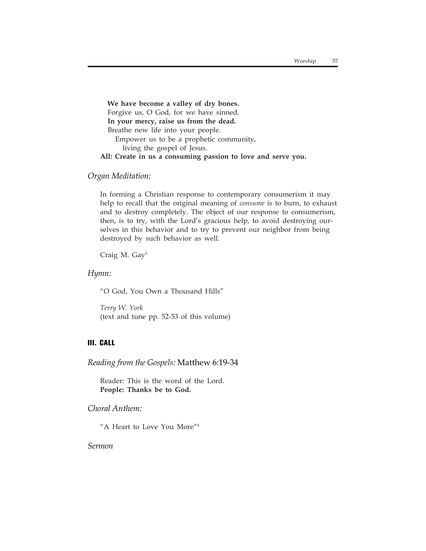**We have become a valley of dry bones.** Forgive us, O God, for we have sinned. **In your mercy, raise us from the dead.** Breathe new life into your people. Empower us to be a prophetic community, living the gospel of Jesus. **All: Create in us a consuming passion to love and serve you.**

#### *Organ Meditation:*

In forming a Christian response to contemporary consumerism it may help to recall that the original meaning of *consume* is to burn, to exhaust and to destroy completely. The object of our response to consumerism, then, is to try, with the Lord's gracious help, to avoid destroying ourselves in this behavior and to try to prevent our neighbor from being destroyed by such behavior as well.

Craig M. Gay3

#### *Hymn:*

"O God, You Own a Thousand Hills"

*Terry W. York* (text and tune pp. 52-53 of this volume)

#### **III. CALL**

*Reading from the Gospels:* Matthew 6:19-34

Reader: This is the word of the Lord. **People: Thanks be to God.**

*Choral Anthem:*

"A Heart to Love You More"4

*Sermon*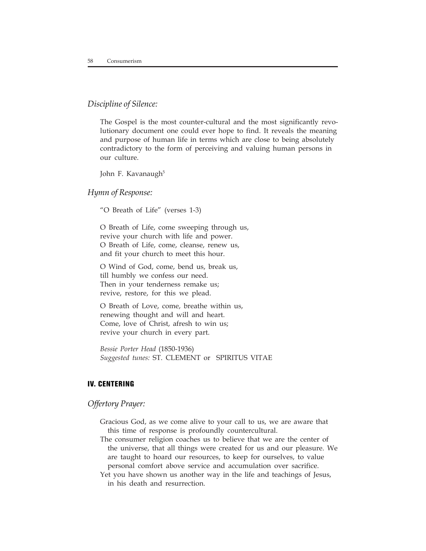#### *Discipline of Silence:*

The Gospel is the most counter-cultural and the most significantly revolutionary document one could ever hope to find. It reveals the meaning and purpose of human life in terms which are close to being absolutely contradictory to the form of perceiving and valuing human persons in our culture.

John F. Kavanaugh<sup>5</sup>

#### *Hymn of Response:*

"O Breath of Life" (verses 1-3)

O Breath of Life, come sweeping through us, revive your church with life and power. O Breath of Life, come, cleanse, renew us, and fit your church to meet this hour.

O Wind of God, come, bend us, break us, till humbly we confess our need. Then in your tenderness remake us; revive, restore, for this we plead.

O Breath of Love, come, breathe within us, renewing thought and will and heart. Come, love of Christ, afresh to win us; revive your church in every part.

*Bessie Porter Head* (1850-1936) *Suggested tunes:* ST. CLEMENT or SPIRITUS VITAE

#### **IV. CENTERING**

#### *Offertory Prayer:*

Gracious God, as we come alive to your call to us, we are aware that this time of response is profoundly countercultural.

The consumer religion coaches us to believe that we are the center of the universe, that all things were created for us and our pleasure. We are taught to hoard our resources, to keep for ourselves, to value personal comfort above service and accumulation over sacrifice.

Yet you have shown us another way in the life and teachings of Jesus, in his death and resurrection.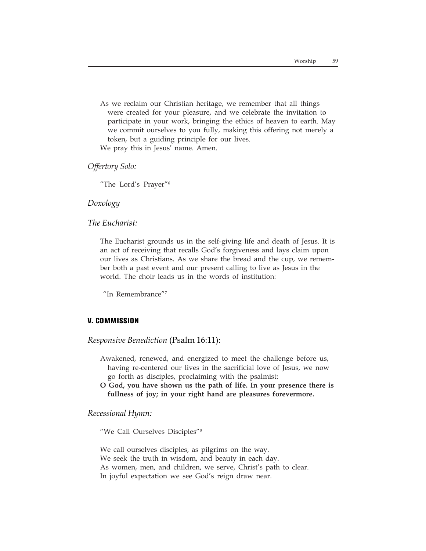As we reclaim our Christian heritage, we remember that all things were created for your pleasure, and we celebrate the invitation to participate in your work, bringing the ethics of heaven to earth. May we commit ourselves to you fully, making this offering not merely a token, but a guiding principle for our lives.

We pray this in Jesus' name. Amen.

*Offertory Solo:*

"The Lord's Prayer"6

#### *Doxology*

*The Eucharist:*

The Eucharist grounds us in the self-giving life and death of Jesus. It is an act of receiving that recalls God's forgiveness and lays claim upon our lives as Christians. As we share the bread and the cup, we remember both a past event and our present calling to live as Jesus in the world. The choir leads us in the words of institution:

"In Remembrance"7

#### **V. COMMISSION**

*Responsive Benediction* (Psalm 16:11):

- Awakened, renewed, and energized to meet the challenge before us, having re-centered our lives in the sacrificial love of Jesus, we now go forth as disciples, proclaiming with the psalmist:
- **O God, you have shown us the path of life. In your presence there is fullness of joy; in your right hand are pleasures forevermore.**

*Recessional Hymn:*

"We Call Ourselves Disciples"8

We call ourselves disciples, as pilgrims on the way. We seek the truth in wisdom, and beauty in each day. As women, men, and children, we serve, Christ's path to clear. In joyful expectation we see God's reign draw near.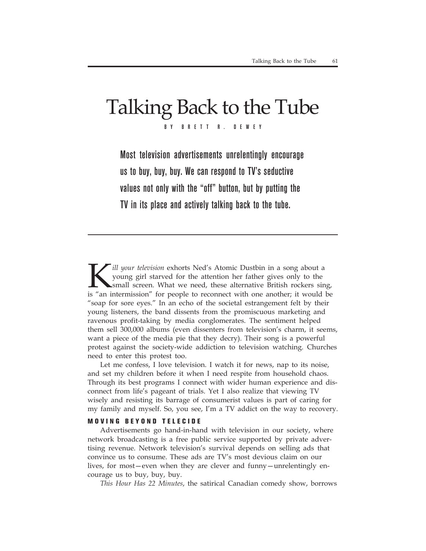# Talking Back to the Tube

BY BRETT R. DEWEY

Most television advertisements unrelentingly encourage us to buy, buy, buy. We can respond to TV's seductive values not only with the "off" button, but by putting the TV in its place and actively talking back to the tube.

*ill your television exhorts Ned's Atomic Dustbin in a song about a* young girl starved for the attention her father gives only to the small screen. What we need, these alternative British rockers sing, is "an intermission" for people to reconnect with one another; it would be "soap for sore eyes." In an echo of the societal estrangement felt by their young listeners, the band dissents from the promiscuous marketing and ravenous profit-taking by media conglomerates. The sentiment helped them sell 300,000 albums (even dissenters from television's charm, it seems, want a piece of the media pie that they decry). Their song is a powerful protest against the society-wide addiction to television watching. Churches need to enter this protest too.

Let me confess, I love television. I watch it for news, nap to its noise, and set my children before it when I need respite from household chaos. Through its best programs I connect with wider human experience and disconnect from life's pageant of trials. Yet I also realize that viewing TV wisely and resisting its barrage of consumerist values is part of caring for my family and myself. So, you see, I'm a TV addict on the way to recovery.

#### **MOVING BEYOND TELECIDE**

Advertisements go hand-in-hand with television in our society, where network broadcasting is a free public service supported by private advertising revenue. Network television's survival depends on selling ads that convince us to consume. These ads are TV's most devious claim on our lives, for most—even when they are clever and funny—unrelentingly encourage us to buy, buy, buy.

*This Hour Has 22 Minutes*, the satirical Canadian comedy show, borrows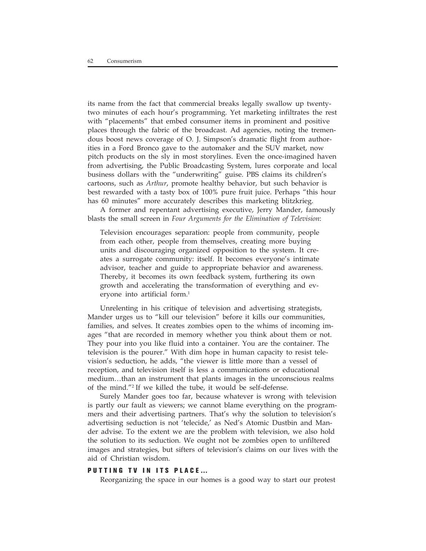its name from the fact that commercial breaks legally swallow up twentytwo minutes of each hour's programming. Yet marketing infiltrates the rest with "placements" that embed consumer items in prominent and positive places through the fabric of the broadcast. Ad agencies, noting the tremendous boost news coverage of O. J. Simpson's dramatic flight from authorities in a Ford Bronco gave to the automaker and the SUV market, now pitch products on the sly in most storylines. Even the once-imagined haven from advertising, the Public Broadcasting System, lures corporate and local business dollars with the "underwriting" guise. PBS claims its children's cartoons, such as *Arthur*, promote healthy behavior, but such behavior is best rewarded with a tasty box of 100% pure fruit juice. Perhaps "this hour has 60 minutes" more accurately describes this marketing blitzkrieg.

A former and repentant advertising executive, Jerry Mander, famously blasts the small screen in *Four Arguments for the Elimination of Television*:

Television encourages separation: people from community, people from each other, people from themselves, creating more buying units and discouraging organized opposition to the system. It creates a surrogate community: itself. It becomes everyone's intimate advisor, teacher and guide to appropriate behavior and awareness. Thereby, it becomes its own feedback system, furthering its own growth and accelerating the transformation of everything and everyone into artificial form.<sup>1</sup>

Unrelenting in his critique of television and advertising strategists, Mander urges us to "kill our television" before it kills our communities, families, and selves. It creates zombies open to the whims of incoming images "that are recorded in memory whether you think about them or not. They pour into you like fluid into a container. You are the container. The television is the pourer." With dim hope in human capacity to resist television's seduction, he adds, "the viewer is little more than a vessel of reception, and television itself is less a communications or educational medium…than an instrument that plants images in the unconscious realms of the mind."2 If we killed the tube, it would be self-defense.

Surely Mander goes too far, because whatever is wrong with television is partly our fault as viewers; we cannot blame everything on the programmers and their advertising partners. That's why the solution to television's advertising seduction is not 'telecide,' as Ned's Atomic Dustbin and Mander advise. To the extent we are the problem with television, we also hold the solution to its seduction. We ought not be zombies open to unfiltered images and strategies, but sifters of television's claims on our lives with the aid of Christian wisdom.

#### **PUTTING TV IN ITS PLACE…**

Reorganizing the space in our homes is a good way to start our protest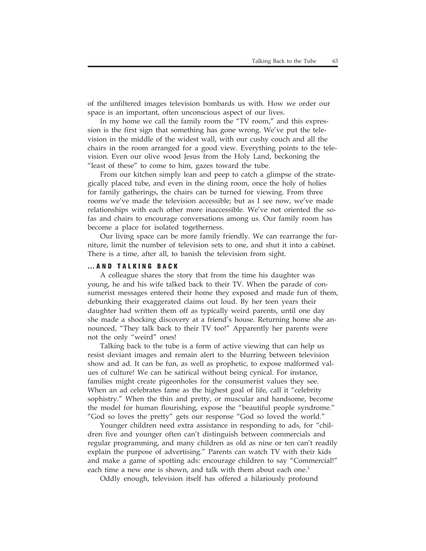of the unfiltered images television bombards us with. How we order our space is an important, often unconscious aspect of our lives.

In my home we call the family room the "TV room," and this expression is the first sign that something has gone wrong. We've put the television in the middle of the widest wall, with our cushy couch and all the chairs in the room arranged for a good view. Everything points to the television. Even our olive wood Jesus from the Holy Land, beckoning the "least of these" to come to him, gazes toward the tube.

From our kitchen simply lean and peep to catch a glimpse of the strategically placed tube, and even in the dining room, once the holy of holies for family gatherings, the chairs can be turned for viewing. From three rooms we've made the television accessible; but as I see now, we've made relationships with each other more inaccessible. We've not oriented the sofas and chairs to encourage conversations among us. Our family room has become a place for isolated togetherness.

Our living space can be more family friendly. We can rearrange the furniture, limit the number of television sets to one, and shut it into a cabinet. There is a time, after all, to banish the television from sight.

#### **…AND TALKING BACK**

A colleague shares the story that from the time his daughter was young, he and his wife talked back to their TV. When the parade of consumerist messages entered their home they exposed and made fun of them, debunking their exaggerated claims out loud. By her teen years their daughter had written them off as typically weird parents, until one day she made a shocking discovery at a friend's house. Returning home she announced, "They talk back to their TV too!" Apparently her parents were not the only "weird" ones!

Talking back to the tube is a form of active viewing that can help us resist deviant images and remain alert to the blurring between television show and ad. It can be fun, as well as prophetic, to expose malformed values of culture! We can be satirical without being cynical. For instance, families might create pigeonholes for the consumerist values they see. When an ad celebrates fame as the highest goal of life, call it "celebrity sophistry." When the thin and pretty, or muscular and handsome, become the model for human flourishing, expose the "beautiful people syndrome." "God so loves the pretty" gets our response "God so loved the world."

Younger children need extra assistance in responding to ads, for "children five and younger often can't distinguish between commercials and regular programming, and many children as old as nine or ten can't readily explain the purpose of advertising." Parents can watch TV with their kids and make a game of spotting ads: encourage children to say "Commercial!" each time a new one is shown, and talk with them about each one.<sup>3</sup>

Oddly enough, television itself has offered a hilariously profound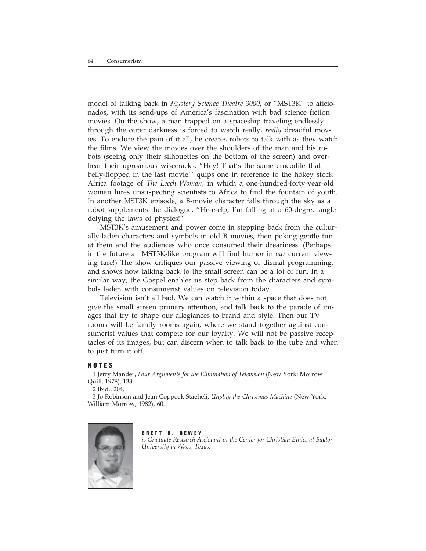model of talking back in *Mystery Science Theatre 3000*, or "MST3K" to aficionados, with its send-ups of America's fascination with bad science fiction movies. On the show, a man trapped on a spaceship traveling endlessly through the outer darkness is forced to watch really, *really* dreadful movies. To endure the pain of it all, he creates robots to talk with as they watch the films. We view the movies over the shoulders of the man and his robots (seeing only their silhouettes on the bottom of the screen) and overhear their uproarious wisecracks. "Hey! That's the same crocodile that belly-flopped in the last movie!" quips one in reference to the hokey stock Africa footage of *The Leech Woman*, in which a one-hundred-forty-year-old woman lures unsuspecting scientists to Africa to find the fountain of youth. In another MST3K episode, a B-movie character falls through the sky as a robot supplements the dialogue, "He-e-elp, I'm falling at a 60-degree angle defying the laws of physics!"

MST3K's amusement and power come in stepping back from the culturally-laden characters and symbols in old B movies, then poking gentle fun at them and the audiences who once consumed their dreariness. (Perhaps in the future an MST3K-like program will find humor in *our* current viewing fare!) The show critiques our passive viewing of dismal programming, and shows how talking back to the small screen can be a lot of fun. In a similar way, the Gospel enables us step back from the characters and symbols laden with consumerist values on television today.

Television isn't all bad. We can watch it within a space that does not give the small screen primary attention, and talk back to the parade of images that try to shape our allegiances to brand and style. Then our TV rooms will be family rooms again, where we stand together against consumerist values that compete for our loyalty. We will not be passive receptacles of its images, but can discern when to talk back to the tube and when to just turn it off.

#### **NOTES**

1 Jerry Mander, *Four Arguments for the Elimination of Television* (New York: Morrow Quill, 1978), 133.

2 Ibid., 204.

3 Jo Robinson and Jean Coppock Staeheli, *Unplug the Christmas Machine* (New York: William Morrow, 1982), 60.



#### **BRETT R. DEWEY** *is Graduate Research Assistant in the Center for Christian Ethics at Baylor University in Waco, Texas.*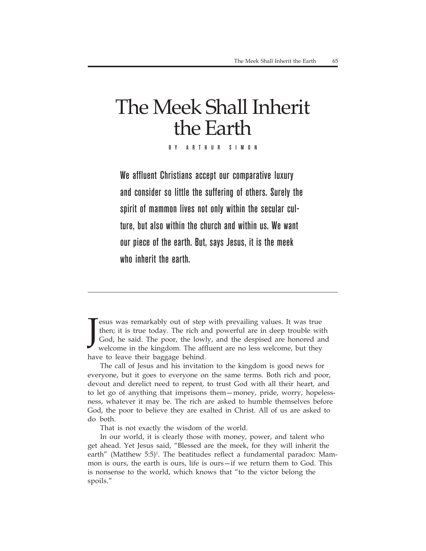# The Meek Shall Inherit the Earth

BY ARTHUR SIMON

We affluent Christians accept our comparative luxury and consider so little the suffering of others. Surely the spirit of mammon lives not only within the secular culture, but also within the church and within us. We want our piece of the earth. But, says Jesus, it is the meek who inherit the earth.

J esus was remarkably out of step with prevailing values. It was true then; it is true today. The rich and powerful are in deep trouble with God, he said. The poor, the lowly, and the despised are honored and welcome in the kingdom. The affluent are no less welcome, but they have to leave their baggage behind.

The call of Jesus and his invitation to the kingdom is good news for everyone, but it goes to everyone on the same terms. Both rich and poor, devout and derelict need to repent, to trust God with all their heart, and to let go of anything that imprisons them—money, pride, worry, hopelessness, whatever it may be. The rich are asked to humble themselves before God, the poor to believe they are exalted in Christ. All of us are asked to do both.

That is not exactly the wisdom of the world.

In our world, it is clearly those with money, power, and talent who get ahead. Yet Jesus said, "Blessed are the meek, for they will inherit the earth" (Matthew 5:5)<sup>1</sup>. The beatitudes reflect a fundamental paradox: Mammon is ours, the earth is ours, life is ours—if we return them to God. This is nonsense to the world, which knows that "to the victor belong the spoils."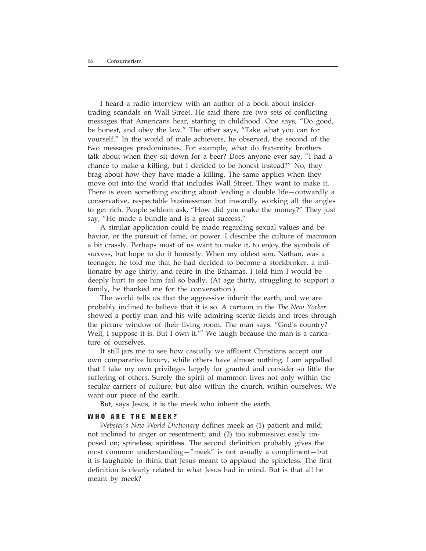I heard a radio interview with an author of a book about insidertrading scandals on Wall Street. He said there are two sets of conflicting messages that Americans hear, starting in childhood. One says, "Do good, be honest, and obey the law." The other says, "Take what you can for yourself." In the world of male achievers, he observed, the second of the two messages predominates. For example, what do fraternity brothers talk about when they sit down for a beer? Does anyone ever say, "I had a chance to make a killing, but I decided to be honest instead?" No, they brag about how they have made a killing. The same applies when they move out into the world that includes Wall Street. They want to make it. There is even something exciting about leading a double life—outwardly a conservative, respectable businessman but inwardly working all the angles to get rich. People seldom ask, "How did you make the money?" They just say, "He made a bundle and is a great success."

A similar application could be made regarding sexual values and behavior, or the pursuit of fame, or power. I describe the culture of mammon a bit crassly. Perhaps most of us want to make it, to enjoy the symbols of success, but hope to do it honestly. When my oldest son, Nathan, was a teenager, he told me that he had decided to become a stockbroker, a millionaire by age thirty, and retire in the Bahamas. I told him I would be deeply hurt to see him fail so badly. (At age thirty, struggling to support a family, he thanked me for the conversation.)

The world tells us that the aggressive inherit the earth, and we are probably inclined to believe that it is so. A cartoon in the *The New Yorker* showed a portly man and his wife admiring scenic fields and trees through the picture window of their living room. The man says: "God's country? Well, I suppose it is. But I own it."<sup>2</sup> We laugh because the man is a caricature of ourselves.

It still jars me to see how casually we affluent Christians accept our own comparative luxury, while others have almost nothing. I am appalled that I take my own privileges largely for granted and consider so little the suffering of others. Surely the spirit of mammon lives not only within the secular carriers of culture, but also within the church, within ourselves. We want our piece of the earth.

But, says Jesus, it is the meek who inherit the earth.

#### **WHO ARE THE MEEK?**

*Webster's New World Dictionary* defines meek as (1) patient and mild; not inclined to anger or resentment; and (2) too submissive; easily imposed on; spineless; spiritless. The second definition probably gives the most common understanding—"meek" is not usually a compliment—but it is laughable to think that Jesus meant to applaud the spineless. The first definition is clearly related to what Jesus had in mind. But is that all he meant by meek?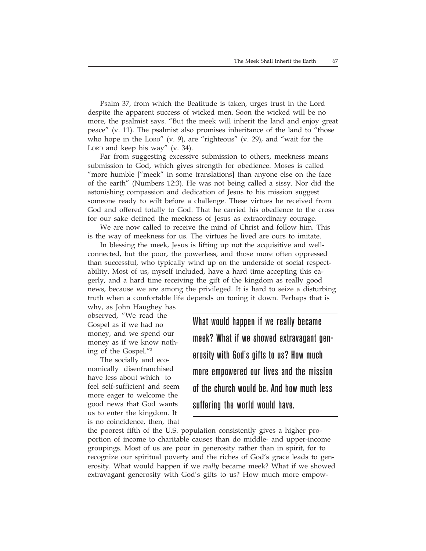Psalm 37, from which the Beatitude is taken, urges trust in the Lord despite the apparent success of wicked men. Soon the wicked will be no more, the psalmist says. "But the meek will inherit the land and enjoy great peace" (v. 11). The psalmist also promises inheritance of the land to "those who hope in the LORD" (v. 9), are "righteous" (v. 29), and "wait for the LORD and keep his way" (v. 34).

Far from suggesting excessive submission to others, meekness means submission to God, which gives strength for obedience. Moses is called "more humble ["meek" in some translations] than anyone else on the face of the earth" (Numbers 12:3). He was not being called a sissy. Nor did the astonishing compassion and dedication of Jesus to his mission suggest someone ready to wilt before a challenge. These virtues he received from God and offered totally to God. That he carried his obedience to the cross for our sake defined the meekness of Jesus as extraordinary courage.

We are now called to receive the mind of Christ and follow him. This is the way of meekness for us. The virtues he lived are ours to imitate.

In blessing the meek, Jesus is lifting up not the acquisitive and wellconnected, but the poor, the powerless, and those more often oppressed than successful, who typically wind up on the underside of social respectability. Most of us, myself included, have a hard time accepting this eagerly, and a hard time receiving the gift of the kingdom as really good news, because we are among the privileged. It is hard to seize a disturbing truth when a comfortable life depends on toning it down. Perhaps that is

why, as John Haughey has observed, "We read the Gospel as if we had no money, and we spend our money as if we know nothing of the Gospel."3

The socially and economically disenfranchised have less about which to feel self-sufficient and seem more eager to welcome the good news that God wants us to enter the kingdom. It is no coincidence, then, that What would happen if we really became meek? What if we showed extravagant generosity with God's gifts to us? How much more empowered our lives and the mission of the church would be. And how much less suffering the world would have.

the poorest fifth of the U.S. population consistently gives a higher proportion of income to charitable causes than do middle- and upper-income groupings. Most of us are poor in generosity rather than in spirit, for to recognize our spiritual poverty and the riches of God's grace leads to generosity. What would happen if we *really* became meek? What if we showed extravagant generosity with God's gifts to us? How much more empow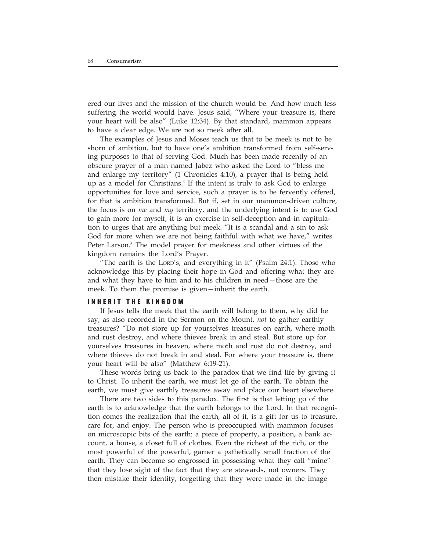ered our lives and the mission of the church would be. And how much less suffering the world would have. Jesus said, "Where your treasure is, there your heart will be also" (Luke 12:34). By that standard, mammon appears to have a clear edge. We are not so meek after all.

The examples of Jesus and Moses teach us that to be meek is not to be shorn of ambition, but to have one's ambition transformed from self-serving purposes to that of serving God. Much has been made recently of an obscure prayer of a man named Jabez who asked the Lord to "bless me and enlarge my territory" (1 Chronicles 4:10), a prayer that is being held up as a model for Christians.4 If the intent is truly to ask God to enlarge opportunities for love and service, such a prayer is to be fervently offered, for that is ambition transformed. But if, set in our mammon-driven culture, the focus is on *me* and *my* territory, and the underlying intent is to use God to gain more for myself, it is an exercise in self-deception and in capitulation to urges that are anything but meek. "It is a scandal and a sin to ask God for more when we are not being faithful with what we have," writes Peter Larson.<sup>5</sup> The model prayer for meekness and other virtues of the kingdom remains the Lord's Prayer.

"The earth is the LORD's, and everything in it" (Psalm 24:1). Those who acknowledge this by placing their hope in God and offering what they are and what they have to him and to his children in need—those are the meek. To them the promise is given—inherit the earth.

#### **INHERIT THE KINGDOM**

If Jesus tells the meek that the earth will belong to them, why did he say, as also recorded in the Sermon on the Mount, *not* to gather earthly treasures? "Do not store up for yourselves treasures on earth, where moth and rust destroy, and where thieves break in and steal. But store up for yourselves treasures in heaven, where moth and rust do not destroy, and where thieves do not break in and steal. For where your treasure is, there your heart will be also" (Matthew 6:19-21).

These words bring us back to the paradox that we find life by giving it to Christ. To inherit the earth, we must let go of the earth. To obtain the earth, we must give earthly treasures away and place our heart elsewhere.

There are two sides to this paradox. The first is that letting go of the earth is to acknowledge that the earth belongs to the Lord. In that recognition comes the realization that the earth, all of it, is a gift for us to treasure, care for, and enjoy. The person who is preoccupied with mammon focuses on microscopic bits of the earth: a piece of property, a position, a bank account, a house, a closet full of clothes. Even the richest of the rich, or the most powerful of the powerful, garner a pathetically small fraction of the earth. They can become so engrossed in possessing what they call "mine" that they lose sight of the fact that they are stewards, not owners. They then mistake their identity, forgetting that they were made in the image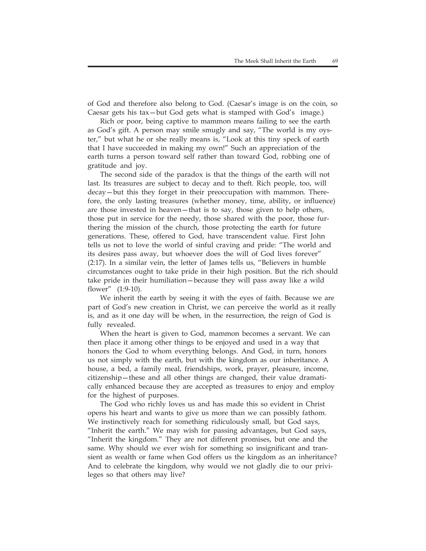of God and therefore also belong to God. (Caesar's image is on the coin, so Caesar gets his tax—but God gets what is stamped with God's image.)

Rich or poor, being captive to mammon means failing to see the earth as God's gift. A person may smile smugly and say, "The world is my oyster," but what he or she really means is, "Look at this tiny speck of earth that I have succeeded in making my own!" Such an appreciation of the earth turns a person toward self rather than toward God, robbing one of gratitude and joy.

The second side of the paradox is that the things of the earth will not last. Its treasures are subject to decay and to theft. Rich people, too, will decay—but this they forget in their preoccupation with mammon. Therefore, the only lasting treasures (whether money, time, ability, or influence) are those invested in heaven—that is to say, those given to help others, those put in service for the needy, those shared with the poor, those furthering the mission of the church, those protecting the earth for future generations. These, offered to God, have transcendent value. First John tells us not to love the world of sinful craving and pride: "The world and its desires pass away, but whoever does the will of God lives forever" (2:17). In a similar vein, the letter of James tells us, "Believers in humble circumstances ought to take pride in their high position. But the rich should take pride in their humiliation—because they will pass away like a wild flower" (1:9-10).

We inherit the earth by seeing it with the eyes of faith. Because we are part of God's new creation in Christ, we can perceive the world as it really is, and as it one day will be when, in the resurrection, the reign of God is fully revealed.

When the heart is given to God, mammon becomes a servant. We can then place it among other things to be enjoyed and used in a way that honors the God to whom everything belongs. And God, in turn, honors us not simply with the earth, but with the kingdom as our inheritance. A house, a bed, a family meal, friendships, work, prayer, pleasure, income, citizenship—these and all other things are changed, their value dramatically enhanced because they are accepted as treasures to enjoy and employ for the highest of purposes.

The God who richly loves us and has made this so evident in Christ opens his heart and wants to give us more than we can possibly fathom. We instinctively reach for something ridiculously small, but God says, "Inherit the earth." We may wish for passing advantages, but God says, "Inherit the kingdom." They are not different promises, but one and the same. Why should we ever wish for something so insignificant and transient as wealth or fame when God offers us the kingdom as an inheritance? And to celebrate the kingdom, why would we not gladly die to our privileges so that others may live?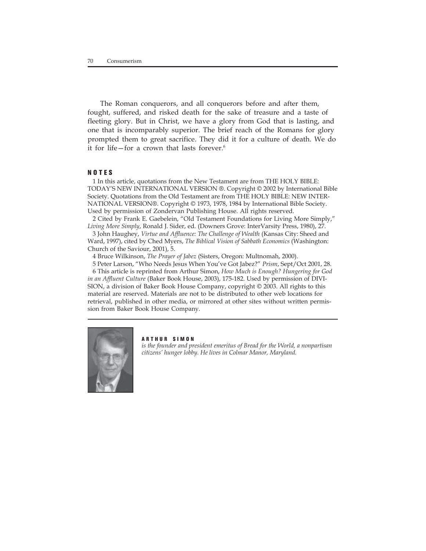The Roman conquerors, and all conquerors before and after them, fought, suffered, and risked death for the sake of treasure and a taste of fleeting glory. But in Christ, we have a glory from God that is lasting, and one that is incomparably superior. The brief reach of the Romans for glory prompted them to great sacrifice. They did it for a culture of death. We do it for life—for a crown that lasts forever.<sup>6</sup>

#### **NOTES**

1 In this article, quotations from the New Testament are from THE HOLY BIBLE: TODAY'S NEW INTERNATIONAL VERSION ®. Copyright © 2002 by International Bible Society. Quotations from the Old Testament are from THE HOLY BIBLE: NEW INTER-NATIONAL VERSION®. Copyright © 1973, 1978, 1984 by International Bible Society. Used by permission of Zondervan Publishing House. All rights reserved.

2 Cited by Frank E. Gaebelein, "Old Testament Foundations for Living More Simply," *Living More Simply*, Ronald J. Sider, ed. (Downers Grove: InterVarsity Press, 1980), 27.

3 John Haughey, *Virtue and Affluence: The Challenge of Wealth* (Kansas City: Sheed and Ward, 1997), cited by Ched Myers, *The Biblical Vision of Sabbath Economics* (Washington: Church of the Saviour, 2001), 5.

4 Bruce Wilkinson, *The Prayer of Jabez* (Sisters, Oregon: Multnomah, 2000).

5 Peter Larson, "Who Needs Jesus When You've Got Jabez?" *Prism*, Sept/Oct 2001, 28. 6 This article is reprinted from Arthur Simon, *How Much is Enough? Hungering for God in an Affluent Culture* (Baker Book House, 2003), 175-182. Used by permission of DIVI-SION, a division of Baker Book House Company, copyright *©* 2003. All rights to this material are reserved. Materials are not to be distributed to other web locations for retrieval, published in other media, or mirrored at other sites without written permission from Baker Book House Company.



#### **ARTHUR SIMON**

*is the founder and president emeritus of Bread for the World, a nonpartisan citizens' hunger lobby. He lives in Colmar Manor, Maryland.*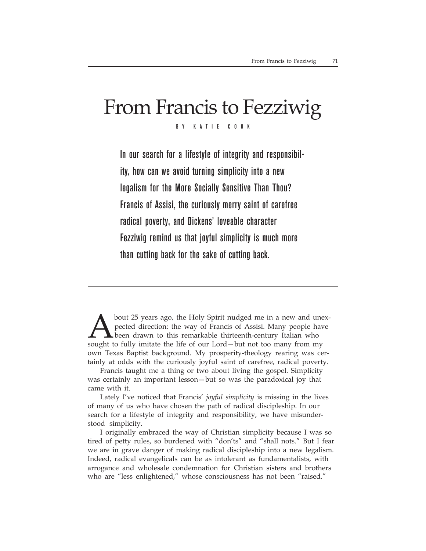# From Francis to Fezziwig

BY KATIE COOK

In our search for a lifestyle of integrity and responsibility, how can we avoid turning simplicity into a new legalism for the More Socially Sensitive Than Thou? Francis of Assisi, the curiously merry saint of carefree radical poverty, and Dickens' loveable character Fezziwig remind us that joyful simplicity is much more than cutting back for the sake of cutting back.

bout 25 years ago, the Holy Spirit nudged me in a new and unexpected direction: the way of Francis of Assisi. Many people have been drawn to this remarkable thirteenth-century Italian who sought to fully imitate the life of our Lord—but not too many from my own Texas Baptist background. My prosperity-theology rearing was certainly at odds with the curiously joyful saint of carefree, radical poverty.

Francis taught me a thing or two about living the gospel. Simplicity was certainly an important lesson—but so was the paradoxical joy that came with it.

Lately I've noticed that Francis' *joyful simplicity* is missing in the lives of many of us who have chosen the path of radical discipleship. In our search for a lifestyle of integrity and responsibility, we have misunderstood simplicity.

I originally embraced the way of Christian simplicity because I was so tired of petty rules, so burdened with "don'ts" and "shall nots." But I fear we are in grave danger of making radical discipleship into a new legalism. Indeed, radical evangelicals can be as intolerant as fundamentalists, with arrogance and wholesale condemnation for Christian sisters and brothers who are "less enlightened," whose consciousness has not been "raised."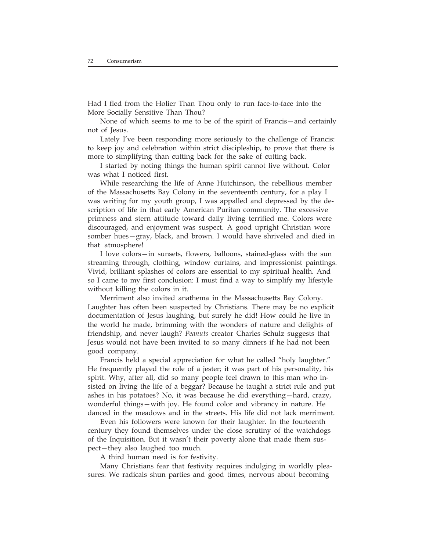Had I fled from the Holier Than Thou only to run face-to-face into the More Socially Sensitive Than Thou?

None of which seems to me to be of the spirit of Francis—and certainly not of Jesus.

Lately I've been responding more seriously to the challenge of Francis: to keep joy and celebration within strict discipleship, to prove that there is more to simplifying than cutting back for the sake of cutting back.

I started by noting things the human spirit cannot live without. Color was what I noticed first.

While researching the life of Anne Hutchinson, the rebellious member of the Massachusetts Bay Colony in the seventeenth century, for a play I was writing for my youth group, I was appalled and depressed by the description of life in that early American Puritan community. The excessive primness and stern attitude toward daily living terrified me. Colors were discouraged, and enjoyment was suspect. A good upright Christian wore somber hues—gray, black, and brown. I would have shriveled and died in that atmosphere!

I love colors—in sunsets, flowers, balloons, stained-glass with the sun streaming through, clothing, window curtains, and impressionist paintings. Vivid, brilliant splashes of colors are essential to my spiritual health. And so I came to my first conclusion: I must find a way to simplify my lifestyle without killing the colors in it.

Merriment also invited anathema in the Massachusetts Bay Colony. Laughter has often been suspected by Christians. There may be no explicit documentation of Jesus laughing, but surely he did! How could he live in the world he made, brimming with the wonders of nature and delights of friendship, and never laugh? *Peanuts* creator Charles Schulz suggests that Jesus would not have been invited to so many dinners if he had not been good company.

Francis held a special appreciation for what he called "holy laughter." He frequently played the role of a jester; it was part of his personality, his spirit. Why, after all, did so many people feel drawn to this man who insisted on living the life of a beggar? Because he taught a strict rule and put ashes in his potatoes? No, it was because he did everything—hard, crazy, wonderful things—with joy. He found color and vibrancy in nature. He danced in the meadows and in the streets. His life did not lack merriment.

Even his followers were known for their laughter. In the fourteenth century they found themselves under the close scrutiny of the watchdogs of the Inquisition. But it wasn't their poverty alone that made them suspect—they also laughed too much.

A third human need is for festivity.

Many Christians fear that festivity requires indulging in worldly pleasures. We radicals shun parties and good times, nervous about becoming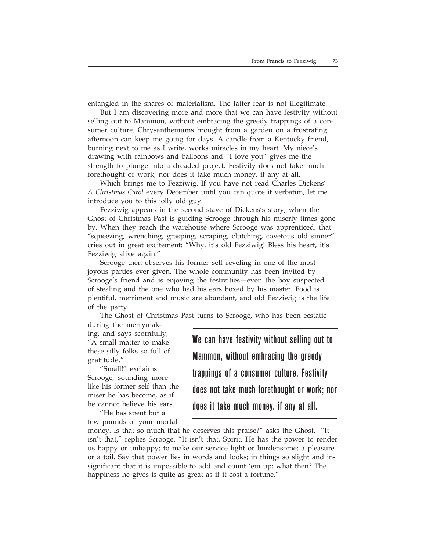entangled in the snares of materialism. The latter fear is not illegitimate.

But I am discovering more and more that we can have festivity without selling out to Mammon, without embracing the greedy trappings of a consumer culture. Chrysanthemums brought from a garden on a frustrating afternoon can keep me going for days. A candle from a Kentucky friend, burning next to me as I write, works miracles in my heart. My niece's drawing with rainbows and balloons and "I love you" gives me the strength to plunge into a dreaded project. Festivity does not take much forethought or work; nor does it take much money, if any at all.

Which brings me to Fezziwig. If you have not read Charles Dickens' *A Christmas Carol* every December until you can quote it verbatim, let me introduce you to this jolly old guy.

Fezziwig appears in the second stave of Dickens's story, when the Ghost of Christmas Past is guiding Scrooge through his miserly times gone by. When they reach the warehouse where Scrooge was apprenticed, that "squeezing, wrenching, grasping, scraping, clutching, covetous old sinner" cries out in great excitement: "Why, it's old Fezziwig! Bless his heart, it's Fezziwig alive again!"

Scrooge then observes his former self reveling in one of the most joyous parties ever given. The whole community has been invited by Scrooge's friend and is enjoying the festivities—even the boy suspected of stealing and the one who had his ears boxed by his master. Food is plentiful, merriment and music are abundant, and old Fezziwig is the life of the party.

The Ghost of Christmas Past turns to Scrooge, who has been ecstatic

during the merrymaking, and says scornfully, "A small matter to make these silly folks so full of gratitude."

"Small!" exclaims Scrooge, sounding more like his former self than the miser he has become, as if he cannot believe his ears.

"He has spent but a few pounds of your mortal We can have festivity without selling out to Mammon, without embracing the greedy trappings of a consumer culture. Festivity does not take much forethought or work; nor does it take much money, if any at all.

money. Is that so much that he deserves this praise?" asks the Ghost. "It isn't that," replies Scrooge. "It isn't that, Spirit. He has the power to render us happy or unhappy; to make our service light or burdensome; a pleasure or a toil. Say that power lies in words and looks; in things so slight and insignificant that it is impossible to add and count 'em up; what then? The happiness he gives is quite as great as if it cost a fortune."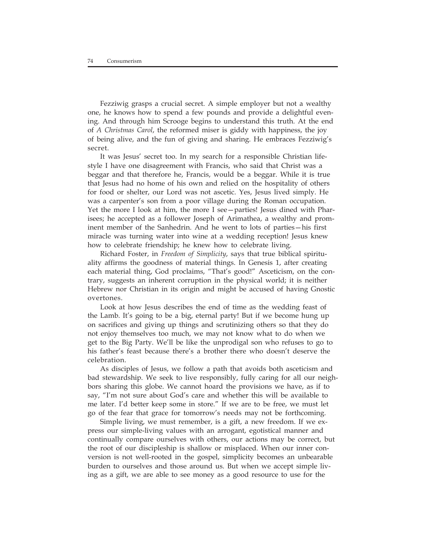Fezziwig grasps a crucial secret. A simple employer but not a wealthy one, he knows how to spend a few pounds and provide a delightful evening. And through him Scrooge begins to understand this truth. At the end of *A Christmas Carol*, the reformed miser is giddy with happiness, the joy of being alive, and the fun of giving and sharing. He embraces Fezziwig's secret.

It was Jesus' secret too. In my search for a responsible Christian lifestyle I have one disagreement with Francis, who said that Christ was a beggar and that therefore he, Francis, would be a beggar. While it is true that Jesus had no home of his own and relied on the hospitality of others for food or shelter, our Lord was not ascetic. Yes, Jesus lived simply. He was a carpenter's son from a poor village during the Roman occupation. Yet the more I look at him, the more I see—parties! Jesus dined with Pharisees; he accepted as a follower Joseph of Arimathea, a wealthy and prominent member of the Sanhedrin. And he went to lots of parties—his first miracle was turning water into wine at a wedding reception! Jesus knew how to celebrate friendship; he knew how to celebrate living.

Richard Foster, in *Freedom of Simplicity*, says that true biblical spirituality affirms the goodness of material things. In Genesis 1, after creating each material thing, God proclaims, "That's good!" Asceticism, on the contrary, suggests an inherent corruption in the physical world; it is neither Hebrew nor Christian in its origin and might be accused of having Gnostic overtones.

Look at how Jesus describes the end of time as the wedding feast of the Lamb. It's going to be a big, eternal party! But if we become hung up on sacrifices and giving up things and scrutinizing others so that they do not enjoy themselves too much, we may not know what to do when we get to the Big Party. We'll be like the unprodigal son who refuses to go to his father's feast because there's a brother there who doesn't deserve the celebration.

As disciples of Jesus, we follow a path that avoids both asceticism and bad stewardship. We seek to live responsibly, fully caring for all our neighbors sharing this globe. We cannot hoard the provisions we have, as if to say, "I'm not sure about God's care and whether this will be available to me later. I'd better keep some in store." If we are to be free, we must let go of the fear that grace for tomorrow's needs may not be forthcoming.

Simple living, we must remember, is a gift, a new freedom. If we express our simple-living values with an arrogant, egotistical manner and continually compare ourselves with others, our actions may be correct, but the root of our discipleship is shallow or misplaced. When our inner conversion is not well-rooted in the gospel, simplicity becomes an unbearable burden to ourselves and those around us. But when we accept simple living as a gift, we are able to see money as a good resource to use for the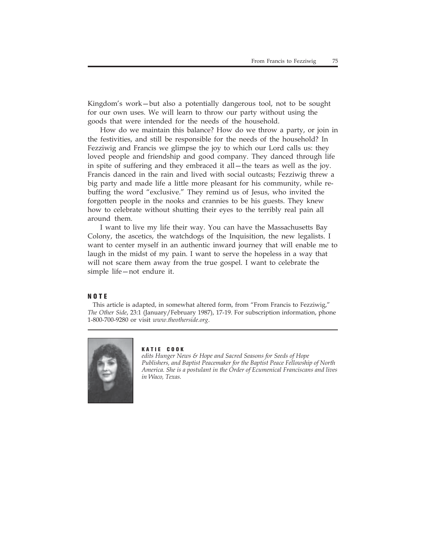Kingdom's work—but also a potentially dangerous tool, not to be sought for our own uses. We will learn to throw our party without using the goods that were intended for the needs of the household.

How do we maintain this balance? How do we throw a party, or join in the festivities, and still be responsible for the needs of the household? In Fezziwig and Francis we glimpse the joy to which our Lord calls us: they loved people and friendship and good company. They danced through life in spite of suffering and they embraced it all—the tears as well as the joy. Francis danced in the rain and lived with social outcasts; Fezziwig threw a big party and made life a little more pleasant for his community, while rebuffing the word "exclusive." They remind us of Jesus, who invited the forgotten people in the nooks and crannies to be his guests. They knew how to celebrate without shutting their eyes to the terribly real pain all around them.

I want to live my life their way. You can have the Massachusetts Bay Colony, the ascetics, the watchdogs of the Inquisition, the new legalists. I want to center myself in an authentic inward journey that will enable me to laugh in the midst of my pain. I want to serve the hopeless in a way that will not scare them away from the true gospel. I want to celebrate the simple life—not endure it.

### **NOTE**

This article is adapted, in somewhat altered form, from "From Francis to Fezziwig," *The Other Side*, 23:1 (January/February 1987), 17-19. For subscription information, phone 1-800-700-9280 or visit *www.theotherside.org*.



#### **KATIE COOK**

*edits Hunger News & Hope and Sacred Seasons for Seeds of Hope Publishers, and Baptist Peacemaker for the Baptist Peace Fellowship of North America. She is a postulant in the Order of Ecumenical Franciscans and lives in Waco, Texas.*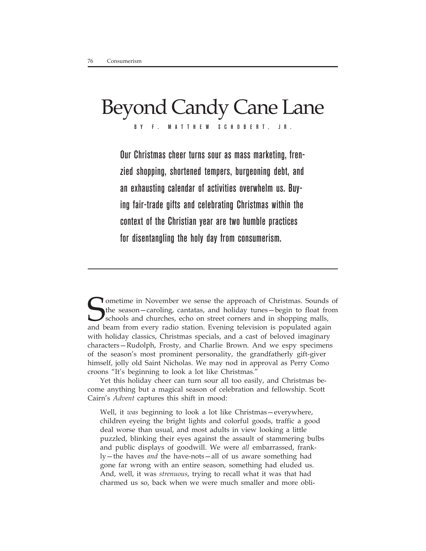# Beyond Candy Cane Lane

BY F. MATTH E W SCHOB E RT, JR.

Our Christmas cheer turns sour as mass marketing, frenzied shopping, shortened tempers, burgeoning debt, and an exhausting calendar of activities overwhelm us. Buying fair-trade gifts and celebrating Christmas within the context of the Christian year are two humble practices for disentangling the holy day from consumerism.

Sometime in November we sense the approach of Christmas. Sounds of the season—caroling, cantatas, and holiday tunes—begin to float from schools and churches, echo on street corners and in shopping malls, and beam from ever the season—caroling, cantatas, and holiday tunes—begin to float from schools and churches, echo on street corners and in shopping malls, and beam from every radio station. Evening television is populated again with holiday classics, Christmas specials, and a cast of beloved imaginary characters—Rudolph, Frosty, and Charlie Brown. And we espy specimens of the season's most prominent personality, the grandfatherly gift-giver himself, jolly old Saint Nicholas. We may nod in approval as Perry Como croons "It's beginning to look a lot like Christmas."

Yet this holiday cheer can turn sour all too easily, and Christmas become anything but a magical season of celebration and fellowship. Scott Cairn's *Advent* captures this shift in mood:

Well, it *was* beginning to look a lot like Christmas—everywhere, children eyeing the bright lights and colorful goods, traffic a good deal worse than usual, and most adults in view looking a little puzzled, blinking their eyes against the assault of stammering bulbs and public displays of goodwill. We were *all* embarrassed, frankly—the haves *and* the have-nots—all of us aware something had gone far wrong with an entire season, something had eluded us. And, well, it was *strenuous*, trying to recall what it was that had charmed us so, back when we were much smaller and more obli-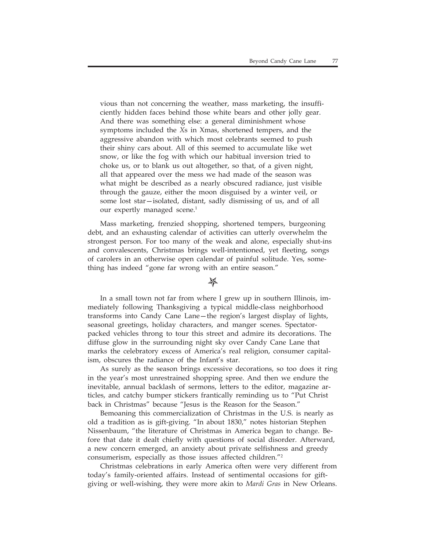vious than not concerning the weather, mass marketing, the insufficiently hidden faces behind those white bears and other jolly gear. And there was something else: a general diminishment whose symptoms included the *X*s in Xmas, shortened tempers, and the aggressive abandon with which most celebrants seemed to push their shiny cars about. All of this seemed to accumulate like wet snow, or like the fog with which our habitual inversion tried to choke us, or to blank us out altogether, so that, of a given night, all that appeared over the mess we had made of the season was what might be described as a nearly obscured radiance, just visible through the gauze, either the moon disguised by a winter veil, or some lost star—isolated, distant, sadly dismissing of us, and of all our expertly managed scene.<sup>1</sup>

Mass marketing, frenzied shopping, shortened tempers, burgeoning debt, and an exhausting calendar of activities can utterly overwhelm the strongest person. For too many of the weak and alone, especially shut-ins and convalescents, Christmas brings well-intentioned, yet fleeting, songs of carolers in an otherwise open calendar of painful solitude. Yes, something has indeed "gone far wrong with an entire season."

### *</del>≱*

In a small town not far from where I grew up in southern Illinois, immediately following Thanksgiving a typical middle-class neighborhood transforms into Candy Cane Lane—the region's largest display of lights, seasonal greetings, holiday characters, and manger scenes. Spectatorpacked vehicles throng to tour this street and admire its decorations. The diffuse glow in the surrounding night sky over Candy Cane Lane that marks the celebratory excess of America's real religion, consumer capitalism, obscures the radiance of the Infant's star.

As surely as the season brings excessive decorations, so too does it ring in the year's most unrestrained shopping spree. And then we endure the inevitable, annual backlash of sermons, letters to the editor, magazine articles, and catchy bumper stickers frantically reminding us to "Put Christ back in Christmas" because "Jesus is the Reason for the Season."

Bemoaning this commercialization of Christmas in the U.S. is nearly as old a tradition as is gift-giving. "In about 1830," notes historian Stephen Nissenbaum, "the literature of Christmas in America began to change. Before that date it dealt chiefly with questions of social disorder. Afterward, a new concern emerged, an anxiety about private selfishness and greedy consumerism, especially as those issues affected children."2

Christmas celebrations in early America often were very different from today's family-oriented affairs. Instead of sentimental occasions for giftgiving or well-wishing, they were more akin to *Mardi Gras* in New Orleans.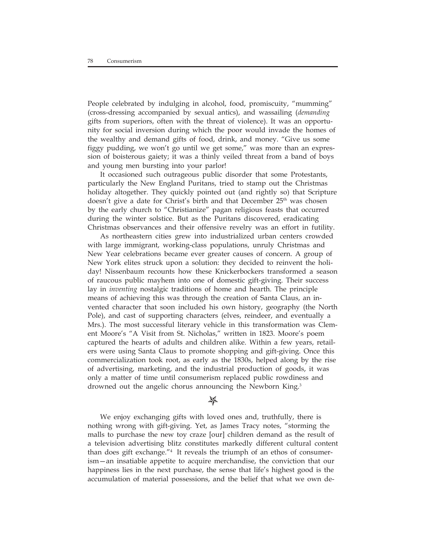People celebrated by indulging in alcohol, food, promiscuity, "mumming" (cross-dressing accompanied by sexual antics), and wassailing (*demanding* gifts from superiors, often with the threat of violence). It was an opportunity for social inversion during which the poor would invade the homes of the wealthy and demand gifts of food, drink, and money. "Give us some figgy pudding, we won't go until we get some," was more than an expression of boisterous gaiety; it was a thinly veiled threat from a band of boys and young men bursting into your parlor!

It occasioned such outrageous public disorder that some Protestants, particularly the New England Puritans, tried to stamp out the Christmas holiday altogether. They quickly pointed out (and rightly so) that Scripture doesn't give a date for Christ's birth and that December 25<sup>th</sup> was chosen by the early church to "Christianize" pagan religious feasts that occurred during the winter solstice. But as the Puritans discovered, eradicating Christmas observances and their offensive revelry was an effort in futility.

As northeastern cities grew into industrialized urban centers crowded with large immigrant, working-class populations, unruly Christmas and New Year celebrations became ever greater causes of concern. A group of New York elites struck upon a solution: they decided to reinvent the holiday! Nissenbaum recounts how these Knickerbockers transformed a season of raucous public mayhem into one of domestic gift-giving. Their success lay in *inventing* nostalgic traditions of home and hearth. The principle means of achieving this was through the creation of Santa Claus, an invented character that soon included his own history, geography (the North Pole), and cast of supporting characters (elves, reindeer, and eventually a Mrs.). The most successful literary vehicle in this transformation was Clement Moore's "A Visit from St. Nicholas," written in 1823. Moore's poem captured the hearts of adults and children alike. Within a few years, retailers were using Santa Claus to promote shopping and gift-giving. Once this commercialization took root, as early as the 1830s, helped along by the rise of advertising, marketing, and the industrial production of goods, it was only a matter of time until consumerism replaced public rowdiness and drowned out the angelic chorus announcing the Newborn King.<sup>3</sup>

### $\frac{1}{2}$

We enjoy exchanging gifts with loved ones and, truthfully, there is nothing wrong with gift-giving. Yet, as James Tracy notes, "storming the malls to purchase the new toy craze [our] children demand as the result of a television advertising blitz constitutes markedly different cultural content than does gift exchange."4 It reveals the triumph of an ethos of consumerism—an insatiable appetite to acquire merchandise, the conviction that our happiness lies in the next purchase, the sense that life's highest good is the accumulation of material possessions, and the belief that what we own de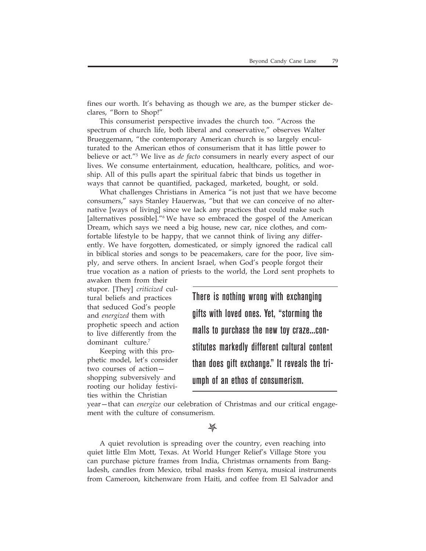fines our worth. It's behaving as though we are, as the bumper sticker declares, "Born to Shop!"

This consumerist perspective invades the church too. "Across the spectrum of church life, both liberal and conservative," observes Walter Brueggemann, "the contemporary American church is so largely enculturated to the American ethos of consumerism that it has little power to believe or act."5 We live as *de facto* consumers in nearly every aspect of our lives. We consume entertainment, education, healthcare, politics, and worship. All of this pulls apart the spiritual fabric that binds us together in ways that cannot be quantified, packaged, marketed, bought, or sold.

What challenges Christians in America "is not just that we have become consumers," says Stanley Hauerwas, "but that we can conceive of no alternative [ways of living] since we lack any practices that could make such [alternatives possible]."6 We have so embraced the gospel of the American Dream, which says we need a big house, new car, nice clothes, and comfortable lifestyle to be happy, that we cannot think of living any differently. We have forgotten, domesticated, or simply ignored the radical call in biblical stories and songs to be peacemakers, care for the poor, live simply, and serve others. In ancient Israel, when God's people forgot their true vocation as a nation of priests to the world, the Lord sent prophets to

awaken them from their stupor. [They] *criticized* cultural beliefs and practices that seduced God's people and *energized* them with prophetic speech and action to live differently from the dominant culture.7

Keeping with this prophetic model, let's consider two courses of action shopping subversively and rooting our holiday festivities within the Christian

There is nothing wrong with exchanging gifts with loved ones. Yet, "storming the malls to purchase the new toy craze...constitutes markedly different cultural content than does gift exchange." It reveals the triumph of an ethos of consumerism.

year—that can *energize* our celebration of Christmas and our critical engagement with the culture of consumerism.

### $\cancel{\mathbb{A}}$

A quiet revolution is spreading over the country, even reaching into quiet little Elm Mott, Texas. At World Hunger Relief's Village Store you can purchase picture frames from India, Christmas ornaments from Bangladesh, candles from Mexico, tribal masks from Kenya, musical instruments from Cameroon, kitchenware from Haiti, and coffee from El Salvador and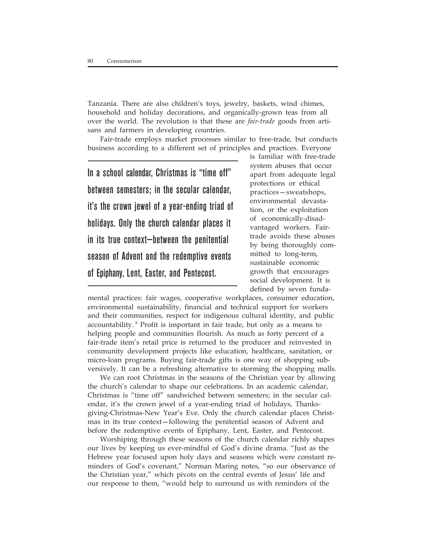Tanzania. There are also children's toys, jewelry, baskets, wind chimes, household and holiday decorations, and organically-grown teas from all over the world. The revolution is that these are *fair-trade* goods from artisans and farmers in developing countries.

Fair-trade employs market processes similar to free-trade, but conducts business according to a different set of principles and practices. Everyone

In a school calendar, Christmas is "time off" between semesters; in the secular calendar, it's the crown jewel of a year-ending triad of holidays. Only the church calendar places it in its true context—between the penitential season of Advent and the redemptive events of Epiphany, Lent, Easter, and Pentecost.

is familiar with free-trade system abuses that occur apart from adequate legal protections or ethical practices—sweatshops, environmental devastation, or the exploitation of economically-disadvantaged workers. Fairtrade avoids these abuses by being thoroughly committed to long-term, sustainable economic growth that encourages social development. It is defined by seven funda-

mental practices: fair wages, cooperative workplaces, consumer education, environmental sustainability, financial and technical support for workers and their communities, respect for indigenous cultural identity, and public accountability. 8 Profit is important in fair trade, but only as a means to helping people and communities flourish. As much as forty percent of a fair-trade item's retail price is returned to the producer and reinvested in community development projects like education, healthcare, sanitation, or micro-loan programs. Buying fair-trade gifts is one way of shopping subversively. It can be a refreshing alternative to storming the shopping malls.

We can root Christmas in the seasons of the Christian year by allowing the church's calendar to shape our celebrations. In an academic calendar, Christmas is "time off" sandwiched between semesters; in the secular calendar, it's the crown jewel of a year-ending triad of holidays, Thanksgiving-Christmas-New Year's Eve. Only the church calendar places Christmas in its true context—following the penitential season of Advent and before the redemptive events of Epiphany, Lent, Easter, and Pentecost.

Worshiping through these seasons of the church calendar richly shapes our lives by keeping us ever-mindful of God's divine drama. "Just as the Hebrew year focused upon holy days and seasons which were constant reminders of God's covenant," Norman Maring notes, "so our observance of the Christian year," which pivots on the central events of Jesus' life and our response to them, "would help to surround us with reminders of the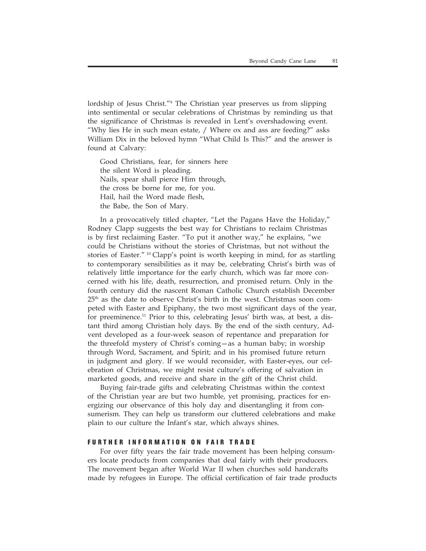lordship of Jesus Christ."9 The Christian year preserves us from slipping into sentimental or secular celebrations of Christmas by reminding us that the significance of Christmas is revealed in Lent's overshadowing event. "Why lies He in such mean estate, / Where ox and ass are feeding?" asks William Dix in the beloved hymn "What Child Is This?" and the answer is found at Calvary:

Good Christians, fear, for sinners here the silent Word is pleading. Nails, spear shall pierce Him through, the cross be borne for me, for you. Hail, hail the Word made flesh, the Babe, the Son of Mary.

In a provocatively titled chapter, "Let the Pagans Have the Holiday," Rodney Clapp suggests the best way for Christians to reclaim Christmas is by first reclaiming Easter. "To put it another way," he explains, "we could be Christians without the stories of Christmas, but not without the stories of Easter."  $\frac{10}{10}$  Clapp's point is worth keeping in mind, for as startling to contemporary sensibilities as it may be, celebrating Christ's birth was of relatively little importance for the early church, which was far more concerned with his life, death, resurrection, and promised return. Only in the fourth century did the nascent Roman Catholic Church establish December 25th as the date to observe Christ's birth in the west. Christmas soon competed with Easter and Epiphany, the two most significant days of the year, for preeminence.11 Prior to this, celebrating Jesus' birth was, at best, a distant third among Christian holy days. By the end of the sixth century, Advent developed as a four-week season of repentance and preparation for the threefold mystery of Christ's coming—as a human baby; in worship through Word, Sacrament, and Spirit; and in his promised future return in judgment and glory. If we would reconsider, with Easter-eyes, our celebration of Christmas, we might resist culture's offering of salvation in marketed goods, and receive and share in the gift of the Christ child.

Buying fair-trade gifts and celebrating Christmas within the context of the Christian year are but two humble, yet promising, practices for energizing our observance of this holy day and disentangling it from consumerism. They can help us transform our cluttered celebrations and make plain to our culture the Infant's star, which always shines.

#### **FURTHER INFORMATION ON FAIR TRADE**

For over fifty years the fair trade movement has been helping consumers locate products from companies that deal fairly with their producers. The movement began after World War II when churches sold handcrafts made by refugees in Europe. The official certification of fair trade products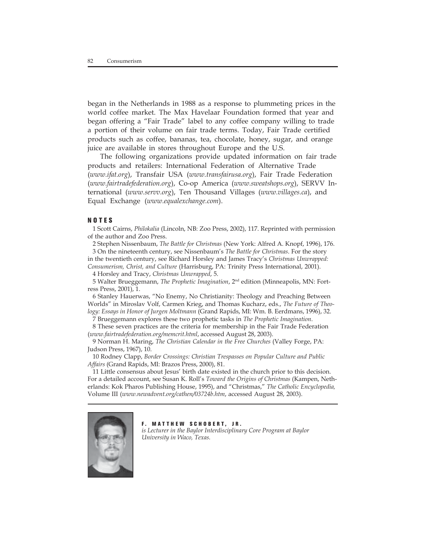began in the Netherlands in 1988 as a response to plummeting prices in the world coffee market. The Max Havelaar Foundation formed that year and began offering a "Fair Trade" label to any coffee company willing to trade a portion of their volume on fair trade terms. Today, Fair Trade certified products such as coffee, bananas, tea, chocolate, honey, sugar, and orange juice are available in stores throughout Europe and the U.S.

The following organizations provide updated information on fair trade products and retailers: International Federation of Alternative Trade (*www.ifat.org*), Transfair USA (*www.transfairusa.org*), Fair Trade Federation (*www.fairtradefederation.org*), Co-op America (*www.sweatshops.org*), SERVV International (*www.servv.org*), Ten Thousand Villages (*www.villages.ca*), and Equal Exchange (*www.equalexchange.com*).

#### **NOTES**

1 Scott Cairns, *Philokalia* (Lincoln, NB: Zoo Press, 2002), 117. Reprinted with permission of the author and Zoo Press.

2 Stephen Nissenbaum, *The Battle for Christmas* (New York: Alfred A. Knopf, 1996), 176. 3 On the nineteenth century, see Nissenbaum's *The Battle for Christmas*. For the story

in the twentieth century, see Richard Horsley and James Tracy's *Christmas Unwrapped: Consumerism, Christ, and Culture* (Harrisburg, PA: Trinity Press International, 2001).

4 Horsley and Tracy, *Christmas Unwrapped*, 5.

5 Walter Brueggemann, *The Prophetic Imagination*, 2nd edition (Minneapolis, MN: Fortress Press, 2001), 1.

6 Stanley Hauerwas, "No Enemy, No Christianity: Theology and Preaching Between Worlds" in Miroslav Volf, Carmen Krieg, and Thomas Kucharz, eds., *The Future of Theology: Essays in Honor of Jurgen Moltmann* (Grand Rapids, MI: Wm. B. Eerdmans, 1996), 32.

7 Brueggemann explores these two prophetic tasks in *The Prophetic Imagination*.

8 These seven practices are the criteria for membership in the Fair Trade Federation (*www.fairtradefederation.org/memcrit.html*, accessed August 28, 2003).

9 Norman H. Maring, *The Christian Calendar in the Free Churches* (Valley Forge, PA: Judson Press, 1967), 10.

10 Rodney Clapp, *Border Crossings: Christian Trespasses on Popular Culture and Public Affairs* (Grand Rapids, MI: Brazos Press, 2000), 81.

11 Little consensus about Jesus' birth date existed in the church prior to this decision. For a detailed account, see Susan K. Roll's *Toward the Origins of Christmas* (Kampen, Netherlands: Kok Pharos Publishing House, 1995), and "Christmas," *The Catholic Encyclopedia,* Volume III (*www.newadvent.org/cathen/03724b.htm*, accessed August 28, 2003).



**F. MATTHEW SCHOBERT, JR.** *is Lecturer in the Baylor Interdisciplinary Core Program at Baylor University in Waco, Texas.*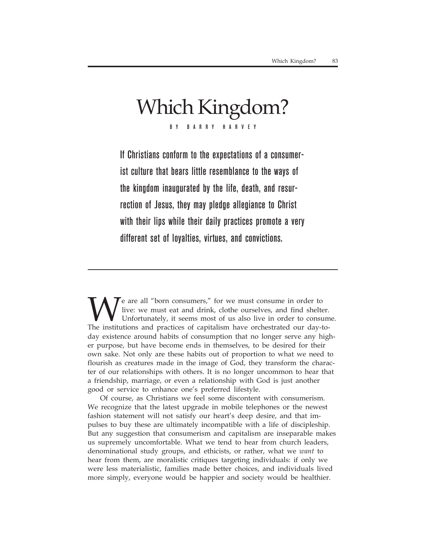## Which Kingdom? BY BARRY HARVEY

If Christians conform to the expectations of a consumerist culture that bears little resemblance to the ways of the kingdom inaugurated by the life, death, and resurrection of Jesus, they may pledge allegiance to Christ with their lips while their daily practices promote a very different set of loyalties, virtues, and convictions.

We are all "born consumers," for we must consume in order to live: we must eat and drink, clothe ourselves, and find shelter. Unfortunately, it seems most of us also live in order to consume. The institutions and practices of capitalism have orchestrated our day-today existence around habits of consumption that no longer serve any higher purpose, but have become ends in themselves, to be desired for their own sake. Not only are these habits out of proportion to what we need to flourish as creatures made in the image of God, they transform the character of our relationships with others. It is no longer uncommon to hear that a friendship, marriage, or even a relationship with God is just another good or service to enhance one's preferred lifestyle.

Of course, as Christians we feel some discontent with consumerism. We recognize that the latest upgrade in mobile telephones or the newest fashion statement will not satisfy our heart's deep desire, and that impulses to buy these are ultimately incompatible with a life of discipleship. But any suggestion that consumerism and capitalism are inseparable makes us supremely uncomfortable. What we tend to hear from church leaders, denominational study groups, and ethicists, or rather, what we *want* to hear from them, are moralistic critiques targeting individuals: if only we were less materialistic, families made better choices, and individuals lived more simply, everyone would be happier and society would be healthier.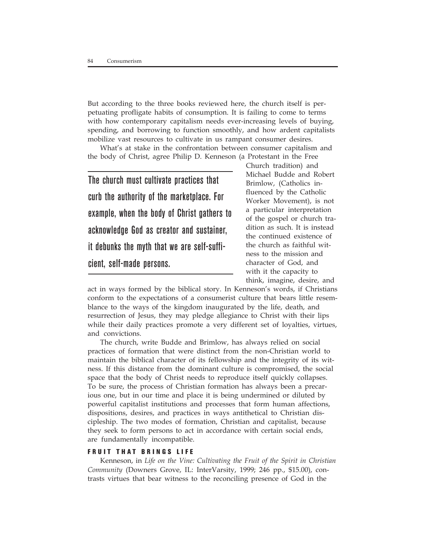But according to the three books reviewed here, the church itself is perpetuating profligate habits of consumption. It is failing to come to terms with how contemporary capitalism needs ever-increasing levels of buying, spending, and borrowing to function smoothly, and how ardent capitalists mobilize vast resources to cultivate in us rampant consumer desires.

What's at stake in the confrontation between consumer capitalism and the body of Christ, agree Philip D. Kenneson (a Protestant in the Free

The church must cultivate practices that curb the authority of the marketplace. For example, when the body of Christ gathers to acknowledge God as creator and sustainer, it debunks the myth that we are self-sufficient, self-made persons.

Church tradition) and Michael Budde and Robert Brimlow, (Catholics influenced by the Catholic Worker Movement), is not a particular interpretation of the gospel or church tradition as such. It is instead the continued existence of the church as faithful witness to the mission and character of God, and with it the capacity to think, imagine, desire, and

act in ways formed by the biblical story. In Kenneson's words, if Christians conform to the expectations of a consumerist culture that bears little resemblance to the ways of the kingdom inaugurated by the life, death, and resurrection of Jesus, they may pledge allegiance to Christ with their lips while their daily practices promote a very different set of loyalties, virtues, and convictions.

The church, write Budde and Brimlow, has always relied on social practices of formation that were distinct from the non-Christian world to maintain the biblical character of its fellowship and the integrity of its witness. If this distance from the dominant culture is compromised, the social space that the body of Christ needs to reproduce itself quickly collapses. To be sure, the process of Christian formation has always been a precarious one, but in our time and place it is being undermined or diluted by powerful capitalist institutions and processes that form human affections, dispositions, desires, and practices in ways antithetical to Christian discipleship. The two modes of formation, Christian and capitalist, because they seek to form persons to act in accordance with certain social ends, are fundamentally incompatible.

### **FRUIT THAT BRINGS LIFE**

Kenneson, in *Life on the Vine: Cultivating the Fruit of the Spirit in Christian Community* (Downers Grove, IL: InterVarsity, 1999; 246 pp., \$15.00), contrasts virtues that bear witness to the reconciling presence of God in the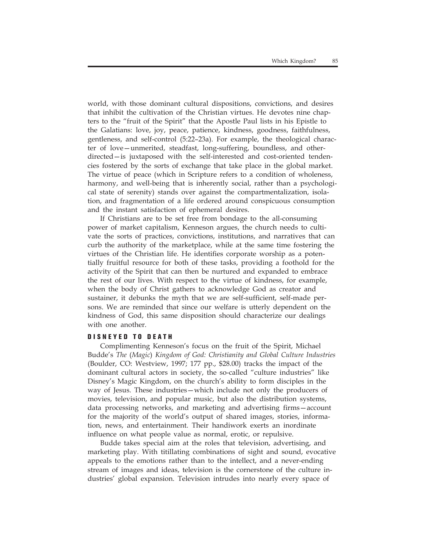world, with those dominant cultural dispositions, convictions, and desires that inhibit the cultivation of the Christian virtues. He devotes nine chapters to the "fruit of the Spirit" that the Apostle Paul lists in his Epistle to the Galatians: love, joy, peace, patience, kindness, goodness, faithfulness, gentleness, and self-control (5:22–23a). For example, the theological character of love—unmerited, steadfast, long-suffering, boundless, and otherdirected—is juxtaposed with the self-interested and cost-oriented tendencies fostered by the sorts of exchange that take place in the global market. The virtue of peace (which in Scripture refers to a condition of wholeness, harmony, and well-being that is inherently social, rather than a psychological state of serenity) stands over against the compartmentalization, isolation, and fragmentation of a life ordered around conspicuous consumption and the instant satisfaction of ephemeral desires.

If Christians are to be set free from bondage to the all-consuming power of market capitalism, Kenneson argues, the church needs to cultivate the sorts of practices, convictions, institutions, and narratives that can curb the authority of the marketplace, while at the same time fostering the virtues of the Christian life. He identifies corporate worship as a potentially fruitful resource for both of these tasks, providing a foothold for the activity of the Spirit that can then be nurtured and expanded to embrace the rest of our lives. With respect to the virtue of kindness, for example, when the body of Christ gathers to acknowledge God as creator and sustainer, it debunks the myth that we are self-sufficient, self-made persons. We are reminded that since our welfare is utterly dependent on the kindness of God, this same disposition should characterize our dealings with one another.

### **DISNEYED TO DEATH**

Complimenting Kenneson's focus on the fruit of the Spirit, Michael Budde's *The* (*Magic*) *Kingdom of God: Christianity and Global Culture Industries* (Boulder, CO: Westview, 1997; 177 pp., \$28.00) tracks the impact of the dominant cultural actors in society, the so-called "culture industries" like Disney's Magic Kingdom, on the church's ability to form disciples in the way of Jesus. These industries—which include not only the producers of movies, television, and popular music, but also the distribution systems, data processing networks, and marketing and advertising firms—account for the majority of the world's output of shared images, stories, information, news, and entertainment. Their handiwork exerts an inordinate influence on what people value as normal, erotic, or repulsive.

Budde takes special aim at the roles that television, advertising, and marketing play. With titillating combinations of sight and sound, evocative appeals to the emotions rather than to the intellect, and a never-ending stream of images and ideas, television is the cornerstone of the culture industries' global expansion. Television intrudes into nearly every space of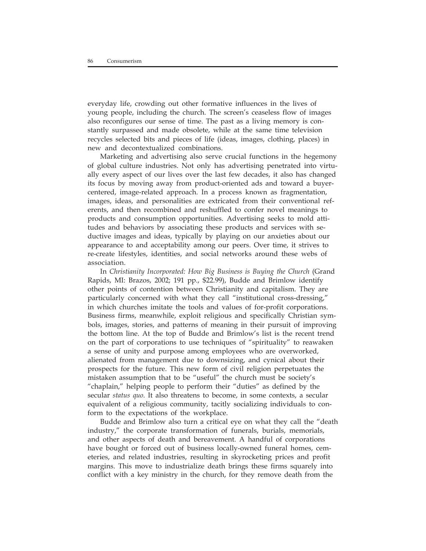everyday life, crowding out other formative influences in the lives of young people, including the church. The screen's ceaseless flow of images also reconfigures our sense of time. The past as a living memory is constantly surpassed and made obsolete, while at the same time television recycles selected bits and pieces of life (ideas, images, clothing, places) in new and decontextualized combinations.

Marketing and advertising also serve crucial functions in the hegemony of global culture industries. Not only has advertising penetrated into virtually every aspect of our lives over the last few decades, it also has changed its focus by moving away from product-oriented ads and toward a buyercentered, image-related approach. In a process known as fragmentation, images, ideas, and personalities are extricated from their conventional referents, and then recombined and reshuffled to confer novel meanings to products and consumption opportunities. Advertising seeks to mold attitudes and behaviors by associating these products and services with seductive images and ideas, typically by playing on our anxieties about our appearance to and acceptability among our peers. Over time, it strives to re-create lifestyles, identities, and social networks around these webs of association.

In *Christianity Incorporated: How Big Business is Buying the Church* (Grand Rapids, MI: Brazos, 2002; 191 pp., \$22.99), Budde and Brimlow identify other points of contention between Christianity and capitalism. They are particularly concerned with what they call "institutional cross-dressing," in which churches imitate the tools and values of for-profit corporations. Business firms, meanwhile, exploit religious and specifically Christian symbols, images, stories, and patterns of meaning in their pursuit of improving the bottom line. At the top of Budde and Brimlow's list is the recent trend on the part of corporations to use techniques of "spirituality" to reawaken a sense of unity and purpose among employees who are overworked, alienated from management due to downsizing, and cynical about their prospects for the future. This new form of civil religion perpetuates the mistaken assumption that to be "useful" the church must be society's "chaplain," helping people to perform their "duties" as defined by the secular *status quo*. It also threatens to become, in some contexts, a secular equivalent of a religious community, tacitly socializing individuals to conform to the expectations of the workplace.

Budde and Brimlow also turn a critical eye on what they call the "death industry," the corporate transformation of funerals, burials, memorials, and other aspects of death and bereavement. A handful of corporations have bought or forced out of business locally-owned funeral homes, cemeteries, and related industries, resulting in skyrocketing prices and profit margins. This move to industrialize death brings these firms squarely into conflict with a key ministry in the church, for they remove death from the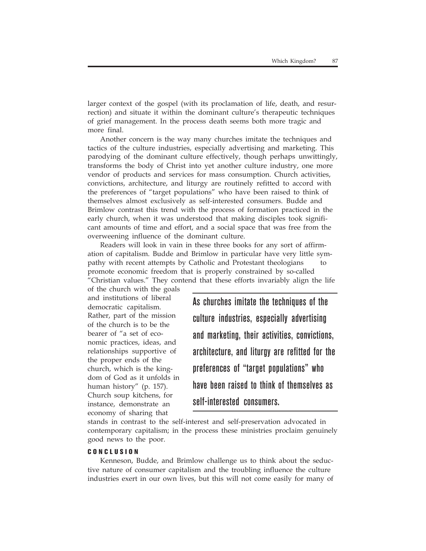larger context of the gospel (with its proclamation of life, death, and resurrection) and situate it within the dominant culture's therapeutic techniques of grief management. In the process death seems both more tragic and more final.

Another concern is the way many churches imitate the techniques and tactics of the culture industries, especially advertising and marketing. This parodying of the dominant culture effectively, though perhaps unwittingly, transforms the body of Christ into yet another culture industry, one more vendor of products and services for mass consumption. Church activities, convictions, architecture, and liturgy are routinely refitted to accord with the preferences of "target populations" who have been raised to think of themselves almost exclusively as self-interested consumers. Budde and Brimlow contrast this trend with the process of formation practiced in the early church, when it was understood that making disciples took significant amounts of time and effort, and a social space that was free from the overweening influence of the dominant culture.

Readers will look in vain in these three books for any sort of affirmation of capitalism. Budde and Brimlow in particular have very little sympathy with recent attempts by Catholic and Protestant theologians to promote economic freedom that is properly constrained by so-called "Christian values." They contend that these efforts invariably align the life

of the church with the goals and institutions of liberal democratic capitalism. Rather, part of the mission of the church is to be the bearer of "a set of economic practices, ideas, and relationships supportive of the proper ends of the church, which is the kingdom of God as it unfolds in human history" (p. 157). Church soup kitchens, for instance, demonstrate an economy of sharing that

As churches imitate the techniques of the culture industries, especially advertising and marketing, their activities, convictions, architecture, and liturgy are refitted for the preferences of "target populations" who have been raised to think of themselves as self-interested consumers.

stands in contrast to the self-interest and self-preservation advocated in contemporary capitalism; in the process these ministries proclaim genuinely good news to the poor.

### **CONCLUSION**

Kenneson, Budde, and Brimlow challenge us to think about the seductive nature of consumer capitalism and the troubling influence the culture industries exert in our own lives, but this will not come easily for many of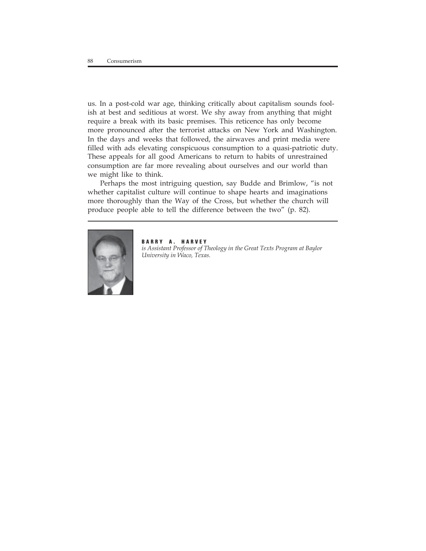us. In a post-cold war age, thinking critically about capitalism sounds foolish at best and seditious at worst. We shy away from anything that might require a break with its basic premises. This reticence has only become more pronounced after the terrorist attacks on New York and Washington. In the days and weeks that followed, the airwaves and print media were filled with ads elevating conspicuous consumption to a quasi-patriotic duty. These appeals for all good Americans to return to habits of unrestrained consumption are far more revealing about ourselves and our world than we might like to think.

Perhaps the most intriguing question, say Budde and Brimlow, "is not whether capitalist culture will continue to shape hearts and imaginations more thoroughly than the Way of the Cross, but whether the church will produce people able to tell the difference between the two" (p. 82).



**BARRY A. HARVEY** *is Assistant Professor of Theology in the Great Texts Program at Baylor University in Waco, Texas.*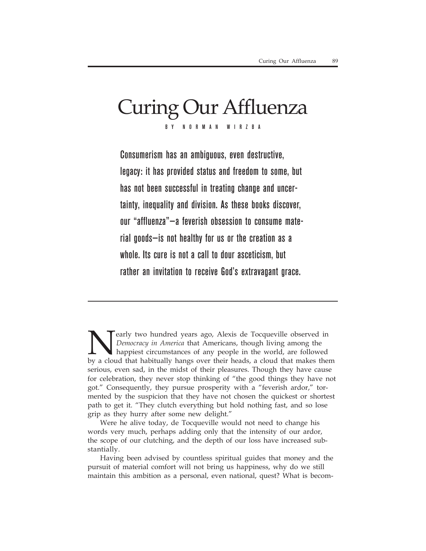# Curing Our Affluenza BY NORMAN WIRZBA

Consumerism has an ambiguous, even destructive, legacy: it has provided status and freedom to some, but has not been successful in treating change and uncertainty, inequality and division. As these books discover, our "affluenza"—a feverish obsession to consume material goods—is not healthy for us or the creation as a whole. Its cure is not a call to dour asceticism, but rather an invitation to receive God's extravagant grace.

**Nearly two hundred years ago, Alexis de Tocqueville observed in**<br>Democracy in America that Americans, though living among the<br>happiest circumstances of any people in the world, are followed<br>by a cloud that habitually hang *Democracy in America* that Americans, though living among the happiest circumstances of any people in the world, are followed by a cloud that habitually hangs over their heads, a cloud that makes them serious, even sad, in the midst of their pleasures. Though they have cause for celebration, they never stop thinking of "the good things they have not got." Consequently, they pursue prosperity with a "feverish ardor," tormented by the suspicion that they have not chosen the quickest or shortest path to get it. "They clutch everything but hold nothing fast, and so lose grip as they hurry after some new delight."

Were he alive today, de Tocqueville would not need to change his words very much, perhaps adding only that the intensity of our ardor, the scope of our clutching, and the depth of our loss have increased substantially.

Having been advised by countless spiritual guides that money and the pursuit of material comfort will not bring us happiness, why do we still maintain this ambition as a personal, even national, quest? What is becom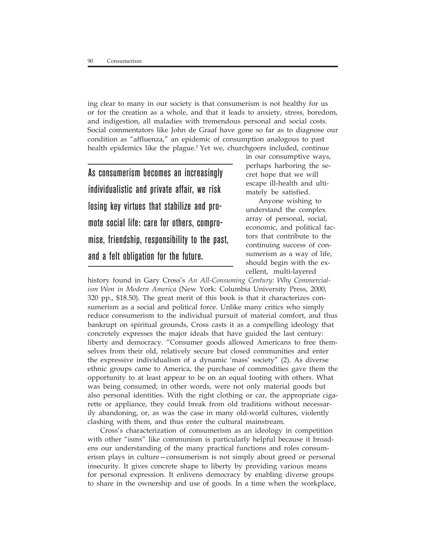ing clear to many in our society is that consumerism is not healthy for us or for the creation as a whole, and that it leads to anxiety, stress, boredom, and indigestion, all maladies with tremendous personal and social costs. Social commentators like John de Graaf have gone so far as to diagnose our condition as "affluenza," an epidemic of consumption analogous to past health epidemics like the plague.† Yet we, churchgoers included, continue

As consumerism becomes an increasingly individualistic and private affair, we risk losing key virtues that stabilize and promote social life: care for others, compromise, friendship, responsibility to the past, and a felt obligation for the future.

in our consumptive ways, perhaps harboring the secret hope that we will escape ill-health and ultimately be satisfied.

Anyone wishing to understand the complex array of personal, social, economic, and political factors that contribute to the continuing success of consumerism as a way of life, should begin with the excellent, multi-layered

history found in Gary Cross's *An All-Consuming Century: Why Commercialism Won in Modern America* (New York: Columbia University Press, 2000, 320 pp., \$18.50). The great merit of this book is that it characterizes consumerism as a social and political force. Unlike many critics who simply reduce consumerism to the individual pursuit of material comfort, and thus bankrupt on spiritual grounds, Cross casts it as a compelling ideology that concretely expresses the major ideals that have guided the last century: liberty and democracy. "Consumer goods allowed Americans to free themselves from their old, relatively secure but closed communities and enter the expressive individualism of a dynamic 'mass' society" (2). As diverse ethnic groups came to America, the purchase of commodities gave them the opportunity to at least appear to be on an equal footing with others. What was being consumed, in other words, were not only material goods but also personal identities. With the right clothing or car, the appropriate cigarette or appliance, they could break from old traditions without necessarily abandoning, or, as was the case in many old-world cultures, violently clashing with them, and thus enter the cultural mainstream.

Cross's characterization of consumerism as an ideology in competition with other "isms" like communism is particularly helpful because it broadens our understanding of the many practical functions and roles consumerism plays in culture—consumerism is not simply about greed or personal insecurity. It gives concrete shape to liberty by providing various means for personal expression. It enlivens democracy by enabling diverse groups to share in the ownership and use of goods. In a time when the workplace,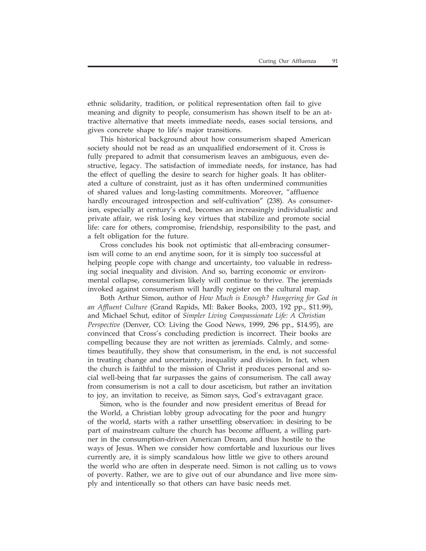ethnic solidarity, tradition, or political representation often fail to give meaning and dignity to people, consumerism has shown itself to be an attractive alternative that meets immediate needs, eases social tensions, and gives concrete shape to life's major transitions.

This historical background about how consumerism shaped American society should not be read as an unqualified endorsement of it. Cross is fully prepared to admit that consumerism leaves an ambiguous, even destructive, legacy. The satisfaction of immediate needs, for instance, has had the effect of quelling the desire to search for higher goals. It has obliterated a culture of constraint, just as it has often undermined communities of shared values and long-lasting commitments. Moreover, "affluence hardly encouraged introspection and self-cultivation" (238). As consumerism, especially at century's end, becomes an increasingly individualistic and private affair, we risk losing key virtues that stabilize and promote social life: care for others, compromise, friendship, responsibility to the past, and a felt obligation for the future.

Cross concludes his book not optimistic that all-embracing consumerism will come to an end anytime soon, for it is simply too successful at helping people cope with change and uncertainty, too valuable in redressing social inequality and division. And so, barring economic or environmental collapse, consumerism likely will continue to thrive. The jeremiads invoked against consumerism will hardly register on the cultural map.

Both Arthur Simon, author of *How Much is Enough? Hungering for God in an Affluent Culture* (Grand Rapids, MI: Baker Books, 2003, 192 pp., \$11.99), and Michael Schut, editor of *Simpler Living Compassionate Life: A Christian Perspective* (Denver, CO: Living the Good News, 1999, 296 pp., \$14.95), are convinced that Cross's concluding prediction is incorrect. Their books are compelling because they are not written as jeremiads. Calmly, and sometimes beautifully, they show that consumerism, in the end, is not successful in treating change and uncertainty, inequality and division. In fact, when the church is faithful to the mission of Christ it produces personal and social well-being that far surpasses the gains of consumerism. The call away from consumerism is not a call to dour asceticism, but rather an invitation to joy, an invitation to receive, as Simon says, God's extravagant grace.

Simon, who is the founder and now president emeritus of Bread for the World, a Christian lobby group advocating for the poor and hungry of the world, starts with a rather unsettling observation: in desiring to be part of mainstream culture the church has become affluent, a willing partner in the consumption-driven American Dream, and thus hostile to the ways of Jesus. When we consider how comfortable and luxurious our lives currently are, it is simply scandalous how little we give to others around the world who are often in desperate need. Simon is not calling us to vows of poverty. Rather, we are to give out of our abundance and live more simply and intentionally so that others can have basic needs met.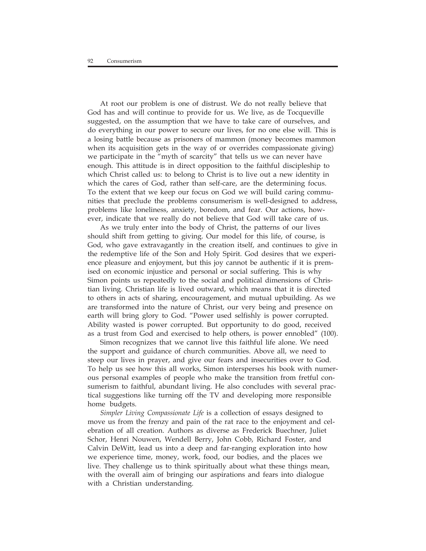At root our problem is one of distrust. We do not really believe that God has and will continue to provide for us. We live, as de Tocqueville suggested, on the assumption that we have to take care of ourselves, and do everything in our power to secure our lives, for no one else will. This is a losing battle because as prisoners of mammon (money becomes mammon when its acquisition gets in the way of or overrides compassionate giving) we participate in the "myth of scarcity" that tells us we can never have enough. This attitude is in direct opposition to the faithful discipleship to which Christ called us: to belong to Christ is to live out a new identity in which the cares of God, rather than self-care, are the determining focus. To the extent that we keep our focus on God we will build caring communities that preclude the problems consumerism is well-designed to address, problems like loneliness, anxiety, boredom, and fear. Our actions, however, indicate that we really do not believe that God will take care of us.

As we truly enter into the body of Christ, the patterns of our lives should shift from getting to giving. Our model for this life, of course, is God, who gave extravagantly in the creation itself, and continues to give in the redemptive life of the Son and Holy Spirit. God desires that we experience pleasure and enjoyment, but this joy cannot be authentic if it is premised on economic injustice and personal or social suffering. This is why Simon points us repeatedly to the social and political dimensions of Christian living. Christian life is lived outward, which means that it is directed to others in acts of sharing, encouragement, and mutual upbuilding. As we are transformed into the nature of Christ, our very being and presence on earth will bring glory to God. "Power used selfishly is power corrupted. Ability wasted is power corrupted. But opportunity to do good, received as a trust from God and exercised to help others, is power ennobled" (100).

Simon recognizes that we cannot live this faithful life alone. We need the support and guidance of church communities. Above all, we need to steep our lives in prayer, and give our fears and insecurities over to God. To help us see how this all works, Simon intersperses his book with numerous personal examples of people who make the transition from fretful consumerism to faithful, abundant living. He also concludes with several practical suggestions like turning off the TV and developing more responsible home budgets.

*Simpler Living Compassionate Life* is a collection of essays designed to move us from the frenzy and pain of the rat race to the enjoyment and celebration of all creation. Authors as diverse as Frederick Buechner, Juliet Schor, Henri Nouwen, Wendell Berry, John Cobb, Richard Foster, and Calvin DeWitt, lead us into a deep and far-ranging exploration into how we experience time, money, work, food, our bodies, and the places we live. They challenge us to think spiritually about what these things mean, with the overall aim of bringing our aspirations and fears into dialogue with a Christian understanding.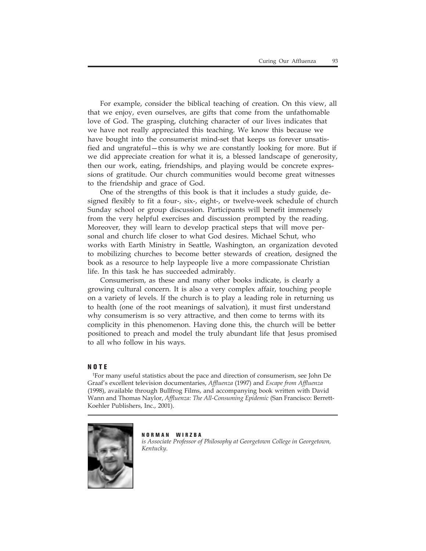For example, consider the biblical teaching of creation. On this view, all that we enjoy, even ourselves, are gifts that come from the unfathomable love of God. The grasping, clutching character of our lives indicates that we have not really appreciated this teaching. We know this because we have bought into the consumerist mind-set that keeps us forever unsatisfied and ungrateful—this is why we are constantly looking for more. But if we did appreciate creation for what it is, a blessed landscape of generosity, then our work, eating, friendships, and playing would be concrete expressions of gratitude. Our church communities would become great witnesses to the friendship and grace of God.

One of the strengths of this book is that it includes a study guide, designed flexibly to fit a four-, six-, eight-, or twelve-week schedule of church Sunday school or group discussion. Participants will benefit immensely from the very helpful exercises and discussion prompted by the reading. Moreover, they will learn to develop practical steps that will move personal and church life closer to what God desires. Michael Schut, who works with Earth Ministry in Seattle, Washington, an organization devoted to mobilizing churches to become better stewards of creation, designed the book as a resource to help laypeople live a more compassionate Christian life. In this task he has succeeded admirably.

Consumerism, as these and many other books indicate, is clearly a growing cultural concern. It is also a very complex affair, touching people on a variety of levels. If the church is to play a leading role in returning us to health (one of the root meanings of salvation), it must first understand why consumerism is so very attractive, and then come to terms with its complicity in this phenomenon. Having done this, the church will be better positioned to preach and model the truly abundant life that Jesus promised to all who follow in his ways.

#### **NOTE**

† For many useful statistics about the pace and direction of consumerism, see John De Graaf's excellent television documentaries, *Affluenza* (1997) and *Escape from Affluenza* (1998), available through Bullfrog Films, and accompanying book written with David Wann and Thomas Naylor, *Affluenza: The All-Consuming Epidemic* (San Francisco: Berrett-Koehler Publishers, Inc., 2001).



**NORMAN WIRZBA** *is Associate Professor of Philosophy at Georgetown College in Georgetown, Kentucky.*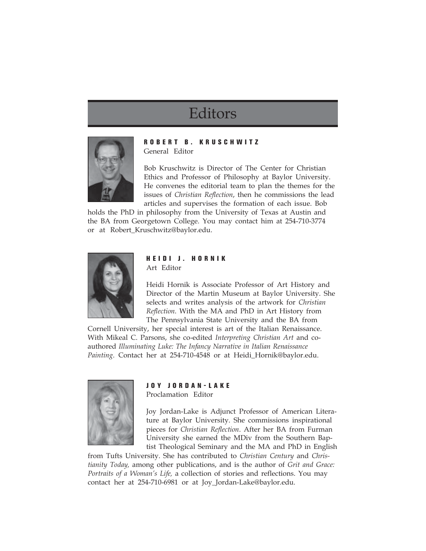# Editors



### **ROBERT B. KRUSCHWITZ** General Editor

Bob Kruschwitz is Director of The Center for Christian Ethics and Professor of Philosophy at Baylor University. He convenes the editorial team to plan the themes for the issues of *Christian Reflection*, then he commissions the lead articles and supervises the formation of each issue. Bob

holds the PhD in philosophy from the University of Texas at Austin and the BA from Georgetown College. You may contact him at 254-710-3774 or at Robert\_Kruschwitz@baylor.edu.



### **HEIDI J. HORNIK** Art Editor

Heidi Hornik is Associate Professor of Art History and Director of the Martin Museum at Baylor University. She selects and writes analysis of the artwork for *Christian Reflection*. With the MA and PhD in Art History from The Pennsylvania State University and the BA from

Cornell University, her special interest is art of the Italian Renaissance. With Mikeal C. Parsons, she co-edited *Interpreting Christian Art* and coauthored *Illuminating Luke: The Infancy Narrative in Italian Renaissance Painting*. Contact her at 254-710-4548 or at Heidi\_Hornik@baylor.edu.



### **JOY JORDAN-LAKE**

Proclamation Editor

Joy Jordan-Lake is Adjunct Professor of American Literature at Baylor University. She commissions inspirational pieces for *Christian Reflection*. After her BA from Furman University she earned the MDiv from the Southern Baptist Theological Seminary and the MA and PhD in English

from Tufts University. She has contributed to *Christian Century* and *Christianity Today,* among other publications, and is the author of *Grit and Grace: Portraits of a Woman's Life,* a collection of stories and reflections. You may contact her at 254-710-6981 or at Joy\_Jordan-Lake@baylor.edu.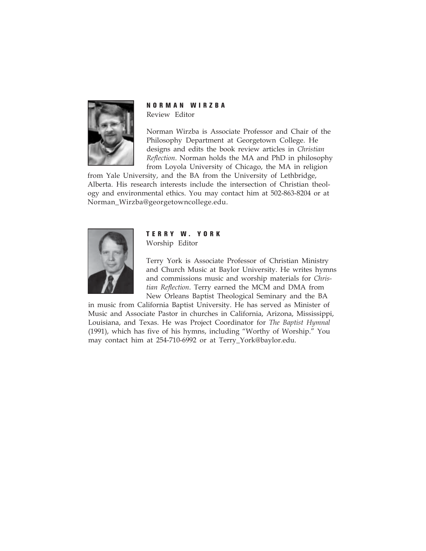

**NORMAN WIRZBA** Review Editor

Norman Wirzba is Associate Professor and Chair of the Philosophy Department at Georgetown College. He designs and edits the book review articles in *Christian Reflection*. Norman holds the MA and PhD in philosophy from Loyola University of Chicago, the MA in religion

from Yale University, and the BA from the University of Lethbridge, Alberta. His research interests include the intersection of Christian theology and environmental ethics. You may contact him at 502-863-8204 or at Norman\_Wirzba@georgetowncollege.edu.



### **TERRY W. YORK** Worship Editor

Terry York is Associate Professor of Christian Ministry and Church Music at Baylor University. He writes hymns and commissions music and worship materials for *Christian Reflection*. Terry earned the MCM and DMA from New Orleans Baptist Theological Seminary and the BA

in music from California Baptist University. He has served as Minister of Music and Associate Pastor in churches in California, Arizona, Mississippi, Louisiana, and Texas. He was Project Coordinator for *The Baptist Hymnal* (1991), which has five of his hymns, including "Worthy of Worship." You may contact him at 254-710-6992 or at Terry\_York@baylor.edu.